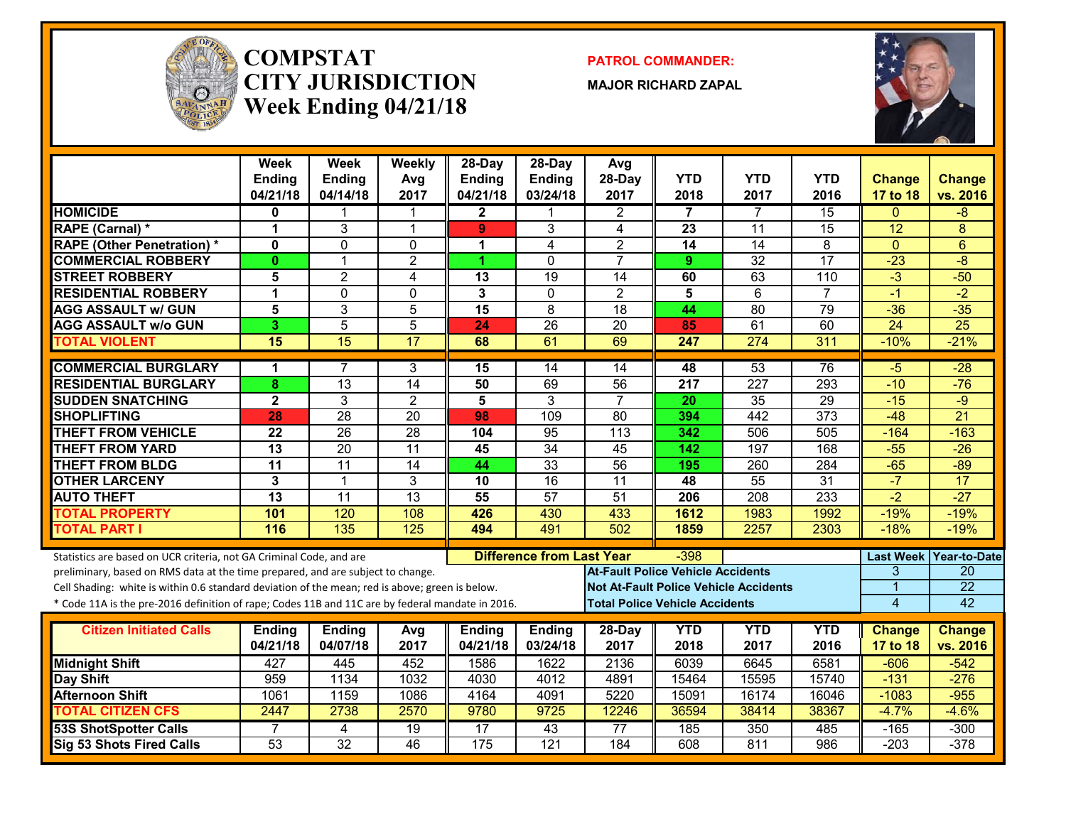

#### **COMPSTATCITY JURISDICTIONWeek Ending 04/21/18**

**PATROL COMMANDER:**

**MAJOR RICHARD ZAPAL**



|                                                                                                  | Week<br><b>Ending</b><br>04/21/18 | Week<br><b>Ending</b><br>04/14/18 | Weekly<br>Avg<br>2017 | 28-Day<br><b>Ending</b><br>04/21/18 | $28-Day$<br><b>Ending</b><br>03/24/18 | Avg<br>28-Day<br>2017                    | <b>YTD</b><br>2018 | <b>YTD</b><br>2017                           | <b>YTD</b><br>2016 | <b>Change</b><br>17 to 18 | Change<br>vs. 2016        |
|--------------------------------------------------------------------------------------------------|-----------------------------------|-----------------------------------|-----------------------|-------------------------------------|---------------------------------------|------------------------------------------|--------------------|----------------------------------------------|--------------------|---------------------------|---------------------------|
| <b>HOMICIDE</b>                                                                                  | 0                                 |                                   |                       | $\mathbf{2}$                        |                                       | 2                                        | 7                  | 7                                            | 15                 | $\mathbf{0}$              | -8                        |
| <b>RAPE (Carnal) *</b>                                                                           | 1                                 | 3                                 | $\mathbf 1$           | 9                                   | 3                                     | 4                                        | 23                 | 11                                           | $\overline{15}$    | 12                        | 8                         |
| <b>RAPE (Other Penetration)*</b>                                                                 | $\mathbf{0}$                      | $\mathbf{0}$                      | $\mathbf 0$           | 1                                   | 4                                     | $\overline{2}$                           | 14                 | 14                                           | 8                  | $\mathbf{0}$              | 6                         |
| <b>COMMERCIAL ROBBERY</b>                                                                        | $\mathbf{0}$                      | $\mathbf{1}$                      | $\overline{2}$        | 1.                                  | $\Omega$                              | $\overline{7}$                           | 9                  | $\overline{32}$                              | 17                 | $-23$                     | $-\frac{8}{3}$            |
| <b>STREET ROBBERY</b>                                                                            | 5                                 | $\overline{2}$                    | 4                     | 13                                  | $\overline{19}$                       | $\overline{14}$                          | 60                 | 63                                           | 110                | $-3$                      | $-50$                     |
| <b>RESIDENTIAL ROBBERY</b>                                                                       | 1                                 | $\mathbf{0}$                      | $\mathbf 0$           | 3                                   | $\mathbf{0}$                          | $\overline{2}$                           | 5                  | 6                                            | $\overline{7}$     | $-1$                      | $-2$                      |
| <b>AGG ASSAULT w/ GUN</b>                                                                        | 5                                 | 3                                 | 5                     | 15                                  | 8                                     | $\overline{18}$                          | 44                 | 80                                           | $\overline{79}$    | $-36$                     | $-35$                     |
| <b>AGG ASSAULT w/o GUN</b>                                                                       | 3                                 | 5                                 | $\overline{5}$        | 24                                  | $\overline{26}$                       | $\overline{20}$                          | 85                 | 61                                           | 60                 | $\overline{24}$           | $\overline{25}$           |
| <b>TOTAL VIOLENT</b>                                                                             | 15                                | 15                                | $\overline{17}$       | 68                                  | 61                                    | 69                                       | 247                | $\overline{274}$                             | 311                | $-10%$                    | $-21%$                    |
| <b>COMMERCIAL BURGLARY</b>                                                                       | 1                                 | 7                                 | 3                     | 15                                  | 14                                    | 14                                       | 48                 | 53                                           | 76                 | $-5$                      | $-28$                     |
| <b>RESIDENTIAL BURGLARY</b>                                                                      | 8                                 | $\overline{13}$                   | $\overline{14}$       | 50                                  | 69                                    | $\overline{56}$                          | 217                | $\overline{227}$                             | 293                | $-10$                     | $-76$                     |
| <b>SUDDEN SNATCHING</b>                                                                          | $\mathbf 2$                       | 3                                 | $\overline{2}$        | 5                                   | $\overline{3}$                        | $\overline{7}$                           | 20                 | $\overline{35}$                              | 29                 | $-15$                     | $-9$                      |
| <b>SHOPLIFTING</b>                                                                               | 28                                | 28                                | $\overline{20}$       | 98                                  | 109                                   | $\overline{80}$                          | 394                | 442                                          | 373                | $-48$                     | $\overline{21}$           |
| <b>THEFT FROM VEHICLE</b>                                                                        | 22                                | $\overline{26}$                   | $\overline{28}$       | 104                                 | 95                                    | 113                                      | 342                | 506                                          | 505                | $-164$                    | $-163$                    |
| <b>THEFT FROM YARD</b>                                                                           | $\overline{13}$                   | $\overline{20}$                   | $\overline{11}$       | 45                                  | $\overline{34}$                       | 45                                       | 142                | 197                                          | 168                | $-55$                     | $-26$                     |
| <b>THEFT FROM BLDG</b>                                                                           | $\overline{11}$                   | $\overline{11}$                   | $\overline{14}$       | 44                                  | 33                                    | 56                                       | 195                | 260                                          | 284                | $-65$                     | $-89$                     |
| <b>OTHER LARCENY</b>                                                                             | 3                                 | $\mathbf{1}$                      | 3                     | $\overline{10}$                     | 16                                    | 11                                       | 48                 | $\overline{55}$                              | $\overline{31}$    | $-7$                      | 17                        |
| <b>AUTO THEFT</b>                                                                                | $\overline{13}$                   | $\overline{11}$                   | 13                    | 55                                  | $\overline{57}$                       | 51                                       | 206                | $\overline{208}$                             | 233                | $\overline{-2}$           | $-27$                     |
| <b>TOTAL PROPERTY</b>                                                                            | 101                               | 120                               | 108                   | 426                                 | 430                                   | 433                                      | 1612               | 1983                                         | 1992               | $-19%$                    | $-19%$                    |
| <b>TOTAL PART I</b>                                                                              | 116                               | 135                               | 125                   | 494                                 | 491                                   | 502                                      | 1859               | 2257                                         | 2303               | $-18%$                    | $-19%$                    |
| Statistics are based on UCR criteria, not GA Criminal Code, and are                              |                                   |                                   |                       |                                     | <b>Difference from Last Year</b>      |                                          | $-398$             |                                              |                    | <b>Last Week</b>          | Year-to-Date              |
| preliminary, based on RMS data at the time prepared, and are subject to change.                  |                                   |                                   |                       |                                     |                                       | <b>At-Fault Police Vehicle Accidents</b> |                    |                                              |                    | 3                         | 20                        |
| Cell Shading: white is within 0.6 standard deviation of the mean; red is above; green is below.  |                                   |                                   |                       |                                     |                                       |                                          |                    | <b>Not At-Fault Police Vehicle Accidents</b> |                    | 1                         | $\overline{22}$           |
| * Code 11A is the pre-2016 definition of rape; Codes 11B and 11C are by federal mandate in 2016. |                                   |                                   |                       |                                     |                                       | <b>Total Police Vehicle Accidents</b>    |                    |                                              |                    | $\overline{4}$            | 42                        |
| <b>Citizen Initiated Calls</b>                                                                   | <b>Ending</b>                     |                                   |                       |                                     |                                       |                                          | <b>YTD</b>         | <b>YTD</b>                                   | <b>YTD</b>         |                           |                           |
|                                                                                                  | 04/21/18                          | <b>Ending</b><br>04/07/18         | Avg<br>2017           | <b>Ending</b><br>04/21/18           | <b>Ending</b><br>03/24/18             | 28-Day<br>2017                           | 2018               | 2017                                         | 2016               | <b>Change</b><br>17 to 18 | <b>Change</b><br>vs. 2016 |
| <b>Midnight Shift</b>                                                                            | 427                               | 445                               | 452                   | 1586                                | 1622                                  | 2136                                     | 6039               | 6645                                         | 6581               | $-606$                    | $-542$                    |
| Day Shift                                                                                        | 959                               | 1134                              | 1032                  | 4030                                | 4012                                  | 4891                                     | 15464              | 15595                                        | 15740              | $-131$                    | $-276$                    |
| <b>Afternoon Shift</b>                                                                           | 1061                              | 1159                              | 1086                  | 4164                                | 4091                                  | 5220                                     | 15091              | 16174                                        | 16046              | $-1083$                   | $-955$                    |
| <b>TOTAL CITIZEN CFS</b>                                                                         | 2447                              | 2738                              | 2570                  | 9780                                | 9725                                  | 12246                                    | 36594              | 38414                                        | 38367              | $-4.7%$                   | $-4.6%$                   |
| <b>53S ShotSpotter Calls</b>                                                                     | 7                                 | 4                                 | 19                    | 17                                  | 43                                    | 77                                       | 185                | 350                                          | 485                | $-165$                    | $-300$                    |
| <b>Sig 53 Shots Fired Calls</b>                                                                  | $\overline{53}$                   | $\overline{32}$                   | $\overline{46}$       | 175                                 | $\overline{121}$                      | 184                                      | 608                | 811                                          | 986                | $-203$                    | $-378$                    |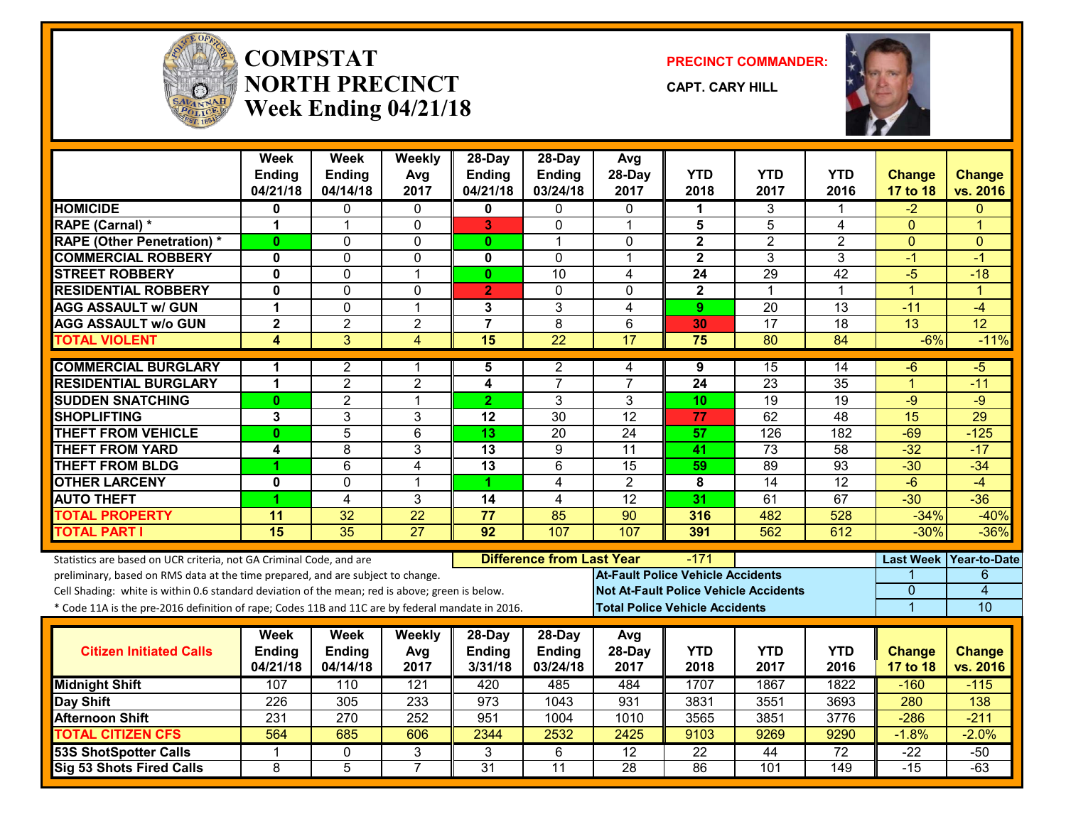

#### **COMPSTATNORTH PRECINCTWeek Ending 04/21/18**

**PRECINCT COMMANDER:**

**CAPT. CARY HILL**



|                                                                                                  | Week<br><b>Ending</b>   | <b>Week</b><br><b>Ending</b> | Weekly<br>Avg   | $28-Dav$<br><b>Ending</b> | $28$ -Day<br><b>Ending</b>       | Avg<br>28-Day                                | <b>YTD</b>                            | <b>YTD</b>      | <b>YTD</b>      | <b>Change</b>    | <b>Change</b>       |
|--------------------------------------------------------------------------------------------------|-------------------------|------------------------------|-----------------|---------------------------|----------------------------------|----------------------------------------------|---------------------------------------|-----------------|-----------------|------------------|---------------------|
|                                                                                                  | 04/21/18                | 04/14/18                     | 2017            | 04/21/18                  | 03/24/18                         | 2017                                         | 2018                                  | 2017            | 2016            | 17 to 18         | vs. 2016            |
| <b>HOMICIDE</b>                                                                                  | 0                       | 0                            | 0               | 0                         | 0                                | $\mathbf{0}$                                 | 1                                     | 3               |                 | -2               | $\Omega$            |
| <b>RAPE (Carnal) *</b>                                                                           | 1                       | $\mathbf 1$                  | $\mathbf 0$     | 3                         | 0                                | $\overline{1}$                               | 5                                     | $\overline{5}$  | 4               | $\Omega$         | 1                   |
| <b>RAPE (Other Penetration) *</b>                                                                | $\mathbf{0}$            | $\Omega$                     | $\Omega$        | $\mathbf{0}$              | 1                                | $\mathbf{0}$                                 | $\mathbf{2}$                          | $\overline{2}$  | $\overline{2}$  | $\Omega$         | $\Omega$            |
| <b>COMMERCIAL ROBBERY</b>                                                                        | $\mathbf 0$             | $\mathbf 0$                  | $\Omega$        | 0                         | $\Omega$                         | $\overline{\mathbf{1}}$                      | $\mathbf{2}$                          | 3               | 3               | $-1$             | $-1$                |
| <b>STREET ROBBERY</b>                                                                            | $\mathbf{0}$            | $\Omega$                     | $\overline{1}$  | $\mathbf{0}$              | $\overline{10}$                  | 4                                            | $\overline{24}$                       | 29              | $\overline{42}$ | -5               | $-18$               |
| <b>RESIDENTIAL ROBBERY</b>                                                                       | 0                       | $\mathbf 0$                  | $\mathbf 0$     | $\overline{2}$            | $\Omega$                         | $\Omega$                                     | $\mathbf{2}$                          | 1               | 1               | $\overline{1}$   | $\overline{1}$      |
| <b>AGG ASSAULT w/ GUN</b>                                                                        | 1                       | $\mathbf 0$                  | $\mathbf 1$     | 3                         | 3                                | $\overline{4}$                               | 9                                     | $\overline{20}$ | $\overline{13}$ | $-11$            | $-4$                |
| <b>AGG ASSAULT w/o GUN</b>                                                                       | $\overline{\mathbf{c}}$ | $\overline{2}$               | $\overline{2}$  | $\overline{\mathbf{7}}$   | 8                                | $6\phantom{1}$                               | 30                                    | $\overline{17}$ | $\overline{18}$ | $\overline{13}$  | 12                  |
| <b>TOTAL VIOLENT</b>                                                                             | $\overline{\mathbf{4}}$ | $\overline{3}$               | $\overline{4}$  | 15                        | $\overline{22}$                  | 17                                           | $\overline{75}$                       | 80              | 84              | $-6%$            | $-11%$              |
| <b>COMMERCIAL BURGLARY</b>                                                                       | 1                       | 2                            | 1               | 5                         | 2                                | 4                                            | 9                                     | 15              | 14              | -6               | -5                  |
| <b>RESIDENTIAL BURGLARY</b>                                                                      | 1                       | $\overline{2}$               | $\overline{2}$  | $\overline{\mathbf{4}}$   | $\overline{7}$                   | $\overline{7}$                               | 24                                    | 23              | 35              | $\overline{1}$   | $-11$               |
| <b>SUDDEN SNATCHING</b>                                                                          | $\mathbf{0}$            | $\overline{2}$               | $\mathbf{1}$    | $\overline{2}$            | 3                                | 3                                            | 10                                    | $\overline{19}$ | 19              | $-9$             | $-9$                |
| <b>SHOPLIFTING</b>                                                                               | 3                       | 3                            | 3               | 12                        | 30                               | 12                                           | 77                                    | 62              | 48              | 15               | 29                  |
| <b>THEFT FROM VEHICLE</b>                                                                        | 0                       | 5                            | 6               | 13                        | 20                               | 24                                           | 57                                    | 126             | 182             | $-69$            | $-125$              |
| <b>THEFT FROM YARD</b>                                                                           | 4                       | $\overline{8}$               | $\overline{3}$  | $\overline{13}$           | $\overline{9}$                   | $\overline{11}$                              | 41                                    | 73              | 58              | $-32$            | $-17$               |
| <b>THEFT FROM BLDG</b>                                                                           | 4                       | 6                            | $\overline{4}$  | $\overline{13}$           | 6                                | $\overline{15}$                              | 59                                    | 89              | $\overline{93}$ | $-30$            | $-34$               |
| <b>OTHER LARCENY</b>                                                                             | 0                       | 0                            | $\mathbf{1}$    | 1                         | 4                                | $\overline{2}$                               | 8                                     | 14              | 12              | $-6$             | $-4$                |
| <b>AUTO THEFT</b>                                                                                | 4                       | 4                            | 3               | 14                        | $\overline{4}$                   | 12                                           | 31                                    | 61              | 67              | $-30$            | $-36$               |
| <b>TOTAL PROPERTY</b>                                                                            | 11                      | $\overline{32}$              | $\overline{22}$ | $\overline{77}$           | 85                               | $\overline{90}$                              | 316                                   | 482             | $\frac{1}{2}$   | $-34%$           | $-40%$              |
| <b>TOTAL PART I</b>                                                                              | $\overline{15}$         | 35                           | $\overline{27}$ | $\overline{92}$           | 107                              | 107                                          | 391                                   | 562             | 612             | $-30%$           | $-36%$              |
| Statistics are based on UCR criteria, not GA Criminal Code, and are                              |                         |                              |                 |                           | <b>Difference from Last Year</b> |                                              | $-171$                                |                 |                 | <b>Last Week</b> | <b>Year-to-Date</b> |
| preliminary, based on RMS data at the time prepared, and are subject to change.                  |                         |                              |                 |                           |                                  | <b>At-Fault Police Vehicle Accidents</b>     |                                       |                 |                 |                  | 6                   |
| Cell Shading: white is within 0.6 standard deviation of the mean; red is above; green is below.  |                         |                              |                 |                           |                                  | <b>Not At-Fault Police Vehicle Accidents</b> |                                       |                 |                 | 0                | 4                   |
| * Code 11A is the pre-2016 definition of rape; Codes 11B and 11C are by federal mandate in 2016. |                         |                              |                 |                           |                                  |                                              | <b>Total Police Vehicle Accidents</b> |                 |                 | $\overline{1}$   | 10                  |
|                                                                                                  | Week                    | <b>Week</b>                  | Weekly          | $28-Day$                  | $28-Day$                         | Avg                                          |                                       |                 |                 |                  |                     |
| <b>Citizen Initiated Calls</b>                                                                   | <b>Ending</b>           | Ending                       | Avg             | <b>Ending</b>             | <b>Ending</b>                    | 28-Day                                       | <b>YTD</b>                            | <b>YTD</b>      | <b>YTD</b>      | <b>Change</b>    | <b>Change</b>       |
|                                                                                                  | 04/21/18                | 04/14/18                     | 2017            | 3/31/18                   | 03/24/18                         | 2017                                         | 2018                                  | 2017            | 2016            | 17 to 18         | vs. 2016            |
| <b>Midnight Shift</b>                                                                            | 107                     | 110                          | 121             | 420                       | 485                              | 484                                          | 1707                                  | 1867            | 1822            | $-160$           | $-115$              |
| Day Shift                                                                                        | 226                     | 305                          | 233             | 973                       | 1043                             | 931                                          | 3831                                  | 3551            | 3693            | 280              | 138                 |
| <b>Afternoon Shift</b>                                                                           | 231                     | $\overline{270}$             | 252             | 951                       | 1004                             | 1010                                         | 3565                                  | 3851            | 3776            | $-286$           | $-211$              |
| <b>TOTAL CITIZEN CFS</b>                                                                         | 564                     | 685                          | 606             | 2344                      | 2532                             | 2425                                         | 9103                                  | 9269            | 9290            | $-1.8%$          | $-2.0%$             |
| 53S ShotSpotter Calls                                                                            | 1                       | 0                            | 3               | 3                         | 6                                | 12                                           | 22                                    | 44              | $\overline{72}$ | $-22$            | $-50$               |
| Sig 53 Shots Fired Calls                                                                         | 8                       | $\overline{5}$               | $\overline{7}$  | $\overline{31}$           | $\overline{11}$                  | $\overline{28}$                              | 86                                    | 101             | 149             | $-15$            | $-63$               |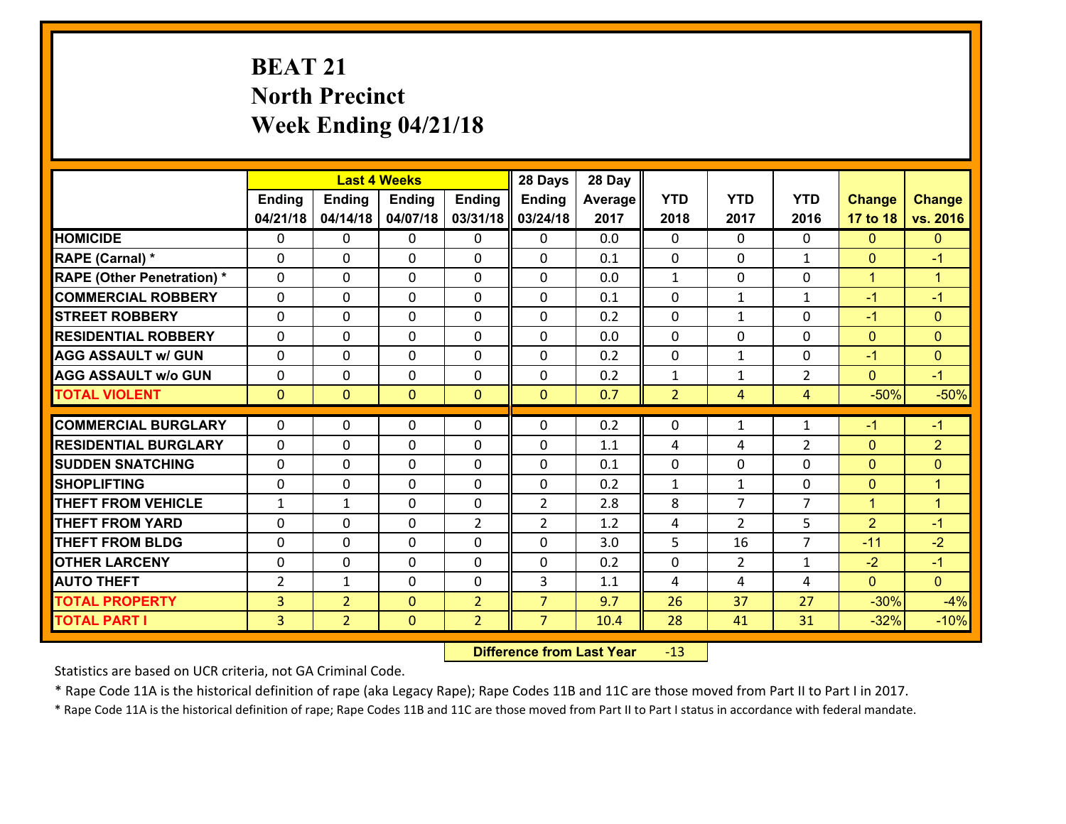# **BEAT 21 North Precinct Week Ending 04/21/18**

|                                   |                          |                | <b>Last 4 Weeks</b>        |                | 28 Days        | 28 Day     |                   |                   |                |                              |                            |
|-----------------------------------|--------------------------|----------------|----------------------------|----------------|----------------|------------|-------------------|-------------------|----------------|------------------------------|----------------------------|
|                                   | <b>Ending</b>            | <b>Ending</b>  | <b>Ending</b>              | <b>Ending</b>  | Ending         | Average    | <b>YTD</b>        | <b>YTD</b>        | <b>YTD</b>     | <b>Change</b>                | <b>Change</b>              |
|                                   | 04/21/18                 | 04/14/18       | 04/07/18                   | 03/31/18       | 03/24/18       | 2017       | 2018              | 2017              | 2016           | 17 to 18                     | vs. 2016                   |
| <b>HOMICIDE</b>                   | $\Omega$                 | 0              | 0                          | 0              | 0              | 0.0        | 0                 | $\Omega$          | 0              | $\Omega$                     | $\Omega$                   |
| RAPE (Carnal) *                   | $\Omega$                 | 0              | $\mathbf{0}$               | $\Omega$       | 0              | 0.1        | $\mathbf{0}$      | $\Omega$          | $\mathbf{1}$   | $\mathbf{0}$                 | $-1$                       |
| <b>RAPE (Other Penetration) *</b> | 0                        | 0              | $\mathbf 0$                | 0              | 0              | 0.0        | $\mathbf{1}$      | $\mathbf{0}$      | 0              | $\mathbf{1}$                 | $\blacktriangleleft$       |
| <b>COMMERCIAL ROBBERY</b>         | 0                        | 0              | $\mathbf 0$                | 0              | 0              | 0.1        | 0                 | $\mathbf{1}$      | $\mathbf{1}$   | $-1$                         | $-1$                       |
| <b>STREET ROBBERY</b>             | 0                        | 0              | $\mathbf 0$                | 0              | 0              | 0.2        | 0                 | $\mathbf{1}$      | 0              | $-1$                         | $\overline{0}$             |
| <b>RESIDENTIAL ROBBERY</b>        | 0                        | 0              | $\mathbf 0$                | 0              | 0              | 0.0        | $\mathbf 0$       | 0                 | 0              | $\mathbf{0}$                 | $\mathbf{0}$               |
| <b>AGG ASSAULT w/ GUN</b>         | 0                        | 0              | $\mathbf 0$                | 0              | 0              | 0.2        | $\mathbf 0$       | $\mathbf{1}$      | 0              | $-1$                         | $\mathbf{0}$               |
| <b>AGG ASSAULT w/o GUN</b>        | 0                        | 0              | $\mathbf 0$                | 0              | 0              | 0.2        | $\mathbf{1}$      | $\mathbf{1}$      | $\overline{2}$ | $\mathbf{0}$                 | $-1$                       |
| <b>TOTAL VIOLENT</b>              | $\mathbf{0}$             | $\overline{0}$ | $\mathbf{0}$               | $\mathbf{0}$   | $\mathbf{0}$   | 0.7        | $\overline{2}$    | 4                 | 4              | $-50%$                       | $-50%$                     |
| <b>COMMERCIAL BURGLARY</b>        | $\Omega$                 | 0              | 0                          | 0              | 0              | 0.2        | $\mathbf{0}$      | $\mathbf{1}$      | $\mathbf{1}$   | $-1$                         | $-1$                       |
| <b>RESIDENTIAL BURGLARY</b>       |                          |                |                            |                |                |            |                   |                   |                |                              |                            |
| <b>SUDDEN SNATCHING</b>           | $\mathbf{0}$<br>$\Omega$ | 0              | 0                          | 0<br>$\Omega$  | 0              | 1.1        | 4                 | 4                 | $\overline{2}$ | $\mathbf{0}$                 | $\overline{2}$<br>$\Omega$ |
| <b>SHOPLIFTING</b>                | 0                        | 0<br>0         | $\mathbf 0$<br>$\mathbf 0$ | 0              | 0<br>0         | 0.1<br>0.2 | 0<br>$\mathbf{1}$ | 0<br>$\mathbf{1}$ | 0<br>0         | $\mathbf{0}$<br>$\mathbf{0}$ | $\mathbf{1}$               |
| <b>THEFT FROM VEHICLE</b>         | $\mathbf{1}$             | $\mathbf{1}$   | $\mathbf 0$                | 0              | $\overline{2}$ | 2.8        | 8                 | $\overline{7}$    | $\overline{7}$ | $\mathbf{1}$                 | $\blacktriangleleft$       |
| <b>THEFT FROM YARD</b>            | 0                        | 0              | $\mathbf 0$                | $\overline{2}$ | $\overline{2}$ | 1.2        |                   | $\overline{2}$    | 5              | $\overline{2}$               | $-1$                       |
| <b>THEFT FROM BLDG</b>            | 0                        | 0              | $\mathbf 0$                | $\Omega$       | 0              | 3.0        | 4<br>5            | 16                | $\overline{7}$ | $-11$                        | $-2$                       |
|                                   |                          |                |                            |                |                |            |                   |                   |                |                              |                            |
| <b>OTHER LARCENY</b>              | $\mathbf 0$              | 0              | $\mathbf 0$                | $\Omega$       | 0              | 0.2        | 0                 | $\overline{2}$    | $\mathbf{1}$   | $-2$                         | $-1$                       |
| <b>AUTO THEFT</b>                 | $\overline{2}$           | $\mathbf{1}$   | $\mathbf 0$                | $\mathbf 0$    | 3              | 1.1        | 4                 | 4                 | 4              | $\mathbf{0}$                 | $\mathbf{0}$               |
| <b>TOTAL PROPERTY</b>             | 3                        | $\overline{2}$ | $\mathbf{0}$               | $\overline{2}$ | $\overline{7}$ | 9.7        | 26                | 37                | 27             | $-30%$                       | $-4%$                      |
| <b>TOTAL PART I</b>               | $\overline{3}$           | $\overline{2}$ | $\mathbf{0}$               | $\overline{2}$ | $\overline{7}$ | 10.4       | 28                | 41                | 31             | $-32%$                       | $-10%$                     |

 **Difference from Last Year**r -13

Statistics are based on UCR criteria, not GA Criminal Code.

\* Rape Code 11A is the historical definition of rape (aka Legacy Rape); Rape Codes 11B and 11C are those moved from Part II to Part I in 2017.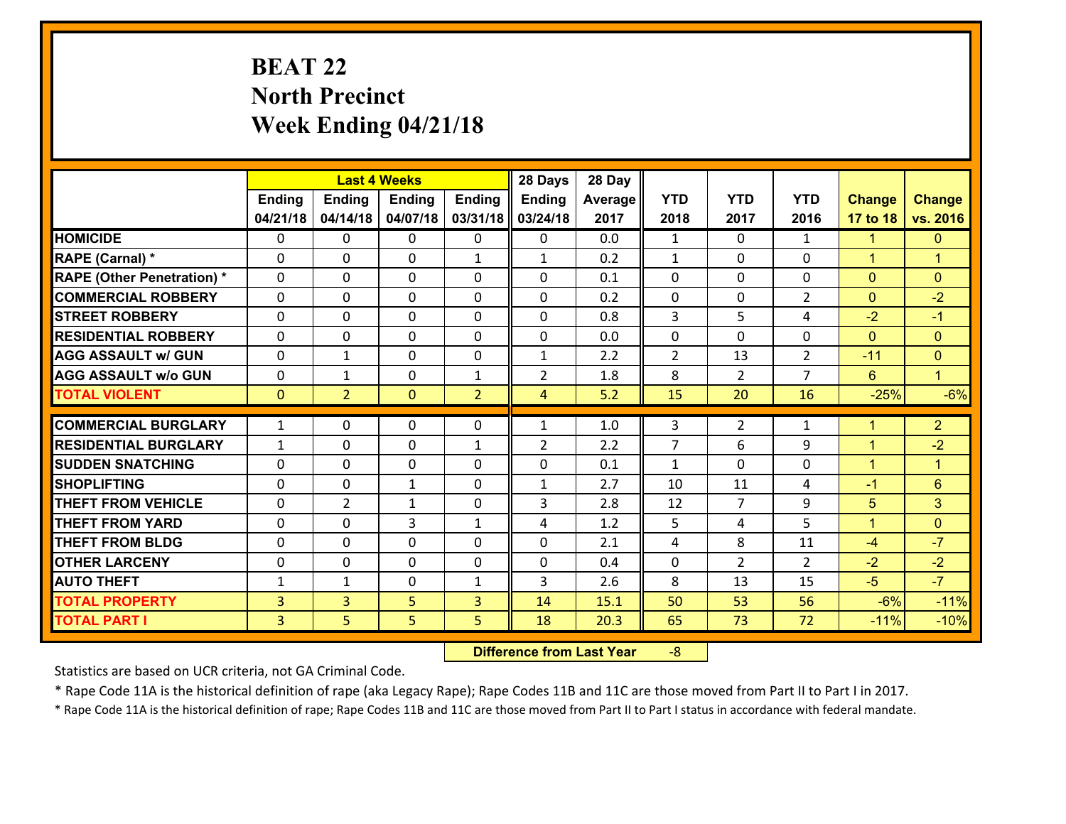# **BEAT 22 North Precinct Week Ending 04/21/18**

|                                              |                                  |                     | <b>Last 4 Weeks</b> |                | 28 Days        | 28 Day       |                |                |                |                 |                      |
|----------------------------------------------|----------------------------------|---------------------|---------------------|----------------|----------------|--------------|----------------|----------------|----------------|-----------------|----------------------|
|                                              | <b>Ending</b>                    | <b>Ending</b>       | <b>Ending</b>       | <b>Ending</b>  | <b>Ending</b>  | Average      | <b>YTD</b>     | <b>YTD</b>     | <b>YTD</b>     | <b>Change</b>   | <b>Change</b>        |
|                                              | 04/21/18                         | 04/14/18            | 04/07/18            | 03/31/18       | 03/24/18       | 2017         | 2018           | 2017           | 2016           | 17 to 18        | vs. 2016             |
| <b>HOMICIDE</b>                              | $\mathbf{0}$                     | 0                   | $\mathbf{0}$        | $\mathbf{0}$   | 0              | 0.0          | $\mathbf{1}$   | $\Omega$       | $\mathbf{1}$   | $\mathbf{1}$    | $\mathbf{0}$         |
| RAPE (Carnal) *                              | $\Omega$                         | 0                   | $\mathbf{0}$        | $\mathbf{1}$   | $\mathbf{1}$   | 0.2          | 1              | $\Omega$       | $\Omega$       | $\mathbf{1}$    | $\blacktriangleleft$ |
| <b>RAPE (Other Penetration) *</b>            | $\Omega$                         | $\Omega$            | $\Omega$            | $\Omega$       | $\Omega$       | 0.1          | $\Omega$       | $\Omega$       | $\Omega$       | $\Omega$        | $\Omega$             |
| <b>COMMERCIAL ROBBERY</b>                    | 0                                | 0                   | $\mathbf 0$         | 0              | 0              | 0.2          | 0              | $\mathbf{0}$   | $\overline{2}$ | $\mathbf{0}$    | $-2$                 |
| <b>STREET ROBBERY</b>                        | $\Omega$                         | 0                   | $\mathbf 0$         | $\Omega$       | 0              | 0.8          | 3              | 5              | 4              | $-2$            | $-1$                 |
| <b>RESIDENTIAL ROBBERY</b>                   | $\Omega$                         | $\Omega$            | $\mathbf 0$         | $\Omega$       | 0              | 0.0          | 0              | $\Omega$       | 0              | $\mathbf{0}$    | $\mathbf{0}$         |
| <b>AGG ASSAULT w/ GUN</b>                    | $\Omega$                         | $\mathbf 1$         | $\mathbf 0$         | $\Omega$       | $\mathbf{1}$   | 2.2          | $\overline{2}$ | 13             | $\overline{2}$ | $-11$           | $\mathbf{0}$         |
| <b>AGG ASSAULT w/o GUN</b>                   | 0                                | 1                   | $\mathbf 0$         | $\mathbf{1}$   | $\overline{2}$ | 1.8          | 8              | $\overline{2}$ | $\overline{7}$ | $6^{\circ}$     | $\mathbf{1}$         |
| <b>TOTAL VIOLENT</b>                         | $\mathbf{0}$                     | $\overline{2}$      | $\mathbf{0}$        | $\overline{2}$ | $\overline{4}$ | 5.2          | 15             | 20             | 16             | $-25%$          | $-6%$                |
| <b>COMMERCIAL BURGLARY</b>                   | $\mathbf{1}$                     | 0                   | 0                   | 0              |                |              |                |                |                |                 |                      |
|                                              |                                  |                     |                     |                |                |              |                |                |                |                 |                      |
|                                              |                                  |                     |                     |                | $\mathbf{1}$   | 1.0          | 3              | $\overline{2}$ | $\mathbf{1}$   | $\mathbf{1}$    | $\overline{2}$       |
| <b>RESIDENTIAL BURGLARY</b>                  | $\mathbf{1}$                     | 0                   | $\mathbf{0}$        | $\mathbf{1}$   | $\overline{2}$ | 2.2          | $\overline{7}$ | 6              | 9              | $\mathbf{1}$    | $-2$                 |
| <b>SUDDEN SNATCHING</b>                      | $\Omega$                         | 0                   | $\mathbf{0}$        | $\Omega$       | $\Omega$       | 0.1          | $\mathbf{1}$   | $\Omega$       | $\Omega$       | $\mathbf{1}$    | $\blacktriangleleft$ |
| <b>SHOPLIFTING</b>                           | 0                                | 0                   | $\mathbf{1}$        | 0              | $\mathbf{1}$   | 2.7          | 10             | 11             | 4              | $-1$            | 6                    |
| <b>THEFT FROM VEHICLE</b>                    | $\Omega$                         | $\overline{2}$      | $\mathbf{1}$        | $\Omega$       | 3              | 2.8          | 12             | $\overline{7}$ | 9              | 5               | 3                    |
| <b>THEFT FROM YARD</b>                       | 0                                | 0                   | 3                   | $\mathbf{1}$   | 4              | 1.2          | 5              | 4              | 5              | $\mathbf{1}$    | $\mathbf{0}$         |
| <b>THEFT FROM BLDG</b>                       | 0                                | 0                   | $\mathbf 0$         | 0              | 0              | 2.1          | 4              | 8              | 11             | $-4$            | $-7$                 |
| <b>OTHER LARCENY</b>                         | 0                                | 0                   | $\mathbf 0$         | 0              | 0              | 0.4          | 0              | $\overline{2}$ | $\overline{2}$ | $-2$            | $-2$                 |
| <b>AUTO THEFT</b>                            | $\mathbf{1}$                     | $\mathbf{1}$        | $\mathbf 0$         | $\mathbf{1}$   | 3              | 2.6          | 8              | 13             | 15             | $-5$            | $-7$                 |
| <b>TOTAL PROPERTY</b><br><b>TOTAL PART I</b> | $\overline{3}$<br>$\overline{3}$ | $\overline{3}$<br>5 | 5<br>5              | 3<br>5         | 14<br>18       | 15.1<br>20.3 | 50<br>65       | 53<br>73       | 56<br>72       | $-6%$<br>$-11%$ | $-11%$<br>$-10%$     |

 **Difference from Last Year**r -8

Statistics are based on UCR criteria, not GA Criminal Code.

\* Rape Code 11A is the historical definition of rape (aka Legacy Rape); Rape Codes 11B and 11C are those moved from Part II to Part I in 2017.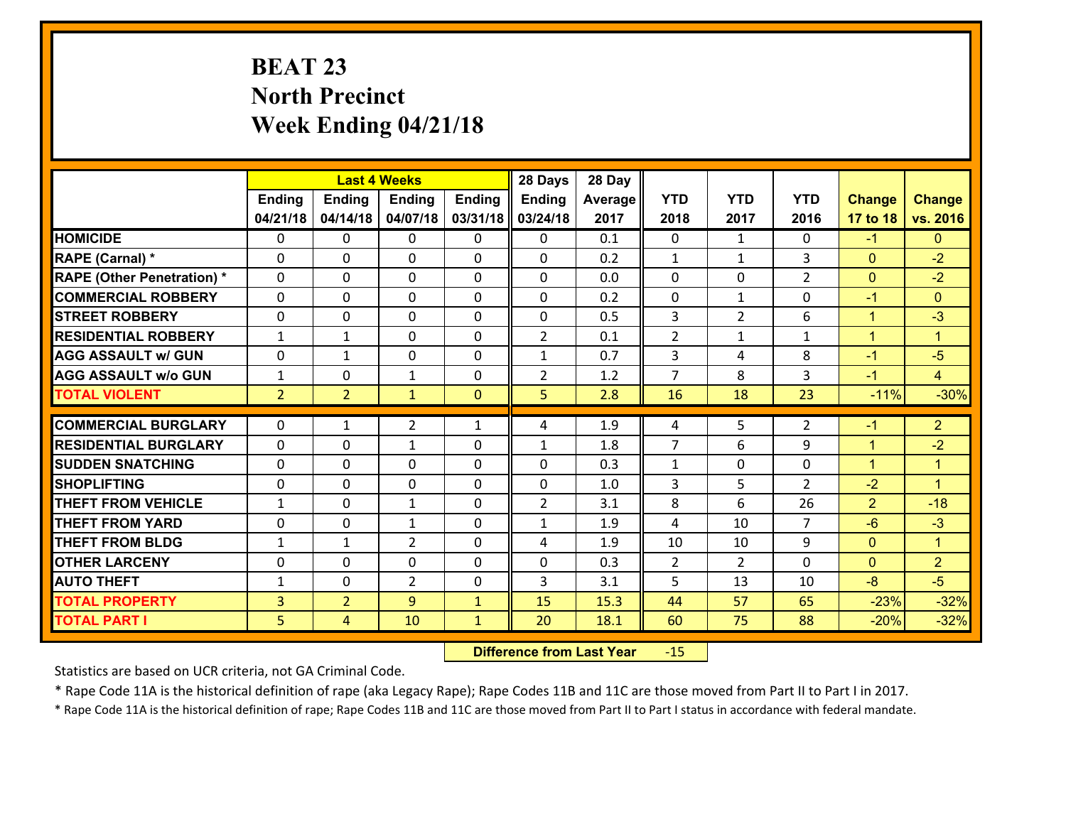# **BEAT 23 North Precinct Week Ending 04/21/18**

|                                   |                |                | <b>Last 4 Weeks</b> |                | 28 Days        | 28 Day  |                |                |                |                |                      |
|-----------------------------------|----------------|----------------|---------------------|----------------|----------------|---------|----------------|----------------|----------------|----------------|----------------------|
|                                   | <b>Ending</b>  | <b>Ending</b>  | <b>Ending</b>       | <b>Ending</b>  | <b>Ending</b>  | Average | <b>YTD</b>     | <b>YTD</b>     | <b>YTD</b>     | <b>Change</b>  | <b>Change</b>        |
|                                   | 04/21/18       | 04/14/18       | 04/07/18            | 03/31/18       | 03/24/18       | 2017    | 2018           | 2017           | 2016           | 17 to 18       | vs. 2016             |
| <b>HOMICIDE</b>                   | 0              | 0              | 0                   | 0              | 0              | 0.1     | $\mathbf{0}$   | $\mathbf{1}$   | 0              | $-1$           | $\mathbf{0}$         |
| RAPE (Carnal) *                   | 0              | $\Omega$       | $\mathbf{0}$        | 0              | 0              | 0.2     | 1              | $\mathbf{1}$   | 3              | $\mathbf{0}$   | $-2$                 |
| <b>RAPE (Other Penetration) *</b> | $\Omega$       | 0              | $\Omega$            | 0              | $\Omega$       | 0.0     | $\Omega$       | $\Omega$       | $\overline{2}$ | $\mathbf{0}$   | $-2$                 |
| <b>COMMERCIAL ROBBERY</b>         | 0              | $\Omega$       | $\mathbf 0$         | $\Omega$       | $\Omega$       | 0.2     | $\mathbf 0$    | $\mathbf{1}$   | $\Omega$       | $-1$           | $\Omega$             |
| <b>ISTREET ROBBERY</b>            | 0              | 0              | $\mathbf 0$         | 0              | 0              | 0.5     | 3              | $\overline{2}$ | 6              | $\mathbf{1}$   | $-3$                 |
| <b>RESIDENTIAL ROBBERY</b>        | $\mathbf{1}$   | $\mathbf{1}$   | 0                   | $\Omega$       | $\overline{2}$ | 0.1     | $\overline{2}$ | $\mathbf{1}$   | $\mathbf{1}$   | $\mathbf{1}$   | $\mathbf{1}$         |
| <b>AGG ASSAULT w/ GUN</b>         | 0              | $\mathbf{1}$   | 0                   | $\Omega$       | $\mathbf{1}$   | 0.7     | 3              | 4              | 8              | $-1$           | $-5$                 |
| <b>AGG ASSAULT w/o GUN</b>        | $\mathbf{1}$   | 0              | $\mathbf{1}$        | $\Omega$       | $\overline{2}$ | 1.2     | $\overline{7}$ | 8              | 3              | $-1$           | $\overline{4}$       |
| <b>TOTAL VIOLENT</b>              | 2 <sup>1</sup> | $\overline{2}$ | $\mathbf{1}$        | $\overline{0}$ | 5              | 2.8     | 16             | 18             | 23             | $-11%$         | $-30%$               |
| <b>COMMERCIAL BURGLARY</b>        | $\Omega$       | 1              | $\overline{2}$      | $\mathbf{1}$   | 4              | 1.9     | 4              | 5              | 2              | $-1$           | $\overline{2}$       |
| <b>RESIDENTIAL BURGLARY</b>       | $\Omega$       | 0              | $\mathbf{1}$        | 0              | $\mathbf{1}$   | 1.8     | $\overline{7}$ | 6              | 9              | $\mathbf{1}$   | $-2$                 |
| <b>SUDDEN SNATCHING</b>           | $\Omega$       | $\Omega$       | $\Omega$            | $\Omega$       | 0              | 0.3     | $\mathbf{1}$   | $\Omega$       | $\Omega$       | $\mathbf{1}$   | $\blacktriangleleft$ |
| <b>SHOPLIFTING</b>                | $\Omega$       | $\Omega$       | $\mathbf{0}$        | $\Omega$       | $\mathbf{0}$   | 1.0     | 3              | 5              | $\mathcal{L}$  | $-2$           | $\blacktriangleleft$ |
| <b>THEFT FROM VEHICLE</b>         | 1              | 0              | 1                   | 0              | $\overline{2}$ | 3.1     | 8              | 6              | 26             | $\overline{2}$ | $-18$                |
| <b>THEFT FROM YARD</b>            | 0              | 0              | $\mathbf{1}$        | $\Omega$       | $\mathbf{1}$   | 1.9     | 4              | 10             | $\overline{7}$ | $-6$           | $-3$                 |
| <b>THEFT FROM BLDG</b>            | $\mathbf{1}$   | $\mathbf{1}$   | $\overline{2}$      | 0              | 4              | 1.9     | 10             | 10             | 9              | $\overline{0}$ | $\mathbf{1}$         |
| <b>OTHER LARCENY</b>              | 0              | 0              | $\mathbf 0$         | 0              | 0              | 0.3     | 2              | $\overline{2}$ | $\Omega$       | $\mathbf{0}$   | $\overline{2}$       |
| <b>AUTO THEFT</b>                 | $\mathbf{1}$   | 0              | $\overline{2}$      | $\Omega$       | 3              | 3.1     | 5              | 13             | 10             | $-8$           | $-5$                 |
| <b>TOTAL PROPERTY</b>             | 3              | $\overline{2}$ | 9                   | $\mathbf{1}$   | 15             | 15.3    | 44             | 57             | 65             | $-23%$         | $-32%$               |
| <b>TOTAL PART I</b>               | 5              | $\overline{4}$ | 10                  | $\mathbf{1}$   | 20             | 18.1    | 60             | 75             | 88             | $-20%$         | $-32%$               |

 **Difference from Last Year**r -15

Statistics are based on UCR criteria, not GA Criminal Code.

\* Rape Code 11A is the historical definition of rape (aka Legacy Rape); Rape Codes 11B and 11C are those moved from Part II to Part I in 2017.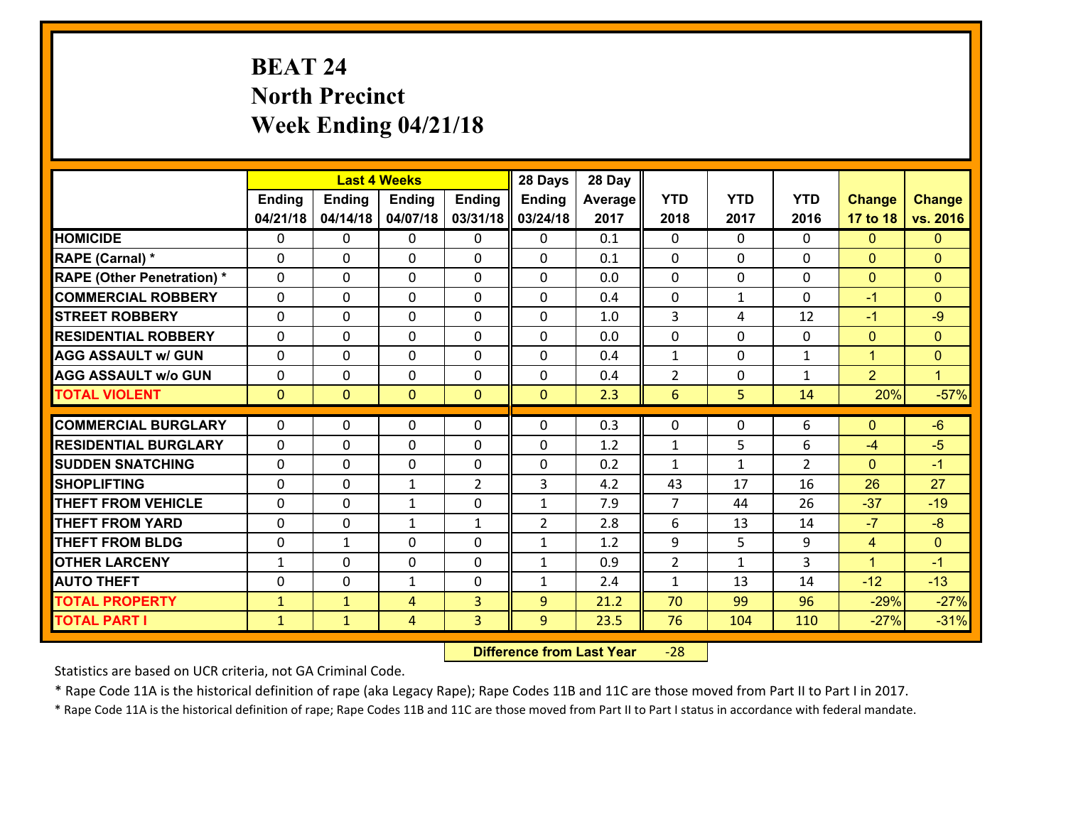# **BEAT 24 North Precinct Week Ending 04/21/18**

|                                   |               |                | <b>Last 4 Weeks</b> |                | 28 Days        | 28 Day  |                |              |                |                |                      |
|-----------------------------------|---------------|----------------|---------------------|----------------|----------------|---------|----------------|--------------|----------------|----------------|----------------------|
|                                   | <b>Ending</b> | <b>Ending</b>  | <b>Ending</b>       | <b>Ending</b>  | Ending         | Average | <b>YTD</b>     | <b>YTD</b>   | <b>YTD</b>     | <b>Change</b>  | <b>Change</b>        |
|                                   | 04/21/18      | 04/14/18       | 04/07/18            | 03/31/18       | 03/24/18       | 2017    | 2018           | 2017         | 2016           | 17 to 18       | vs. 2016             |
| <b>HOMICIDE</b>                   | $\Omega$      | 0              | 0                   | $\Omega$       | 0              | 0.1     | $\Omega$       | $\Omega$     | $\Omega$       | $\Omega$       | $\Omega$             |
| RAPE (Carnal) *                   | $\Omega$      | 0              | $\mathbf{0}$        | $\Omega$       | 0              | 0.1     | 0              | $\Omega$     | 0              | $\mathbf{0}$   | $\mathbf{0}$         |
| <b>RAPE (Other Penetration) *</b> | $\Omega$      | 0              | $\mathbf 0$         | 0              | 0              | 0.0     | 0              | $\Omega$     | $\Omega$       | $\mathbf{0}$   | $\mathbf{0}$         |
| <b>COMMERCIAL ROBBERY</b>         | 0             | 0              | $\mathbf 0$         | 0              | 0              | 0.4     | $\mathbf 0$    | $\mathbf{1}$ | 0              | $-1$           | $\mathbf{0}$         |
| <b>STREET ROBBERY</b>             | $\Omega$      | 0              | $\mathbf 0$         | 0              | 0              | 1.0     | 3              | 4            | 12             | $-1$           | $-9$                 |
| <b>RESIDENTIAL ROBBERY</b>        | 0             | 0              | $\mathbf 0$         | 0              | 0              | 0.0     | $\mathbf 0$    | $\mathbf 0$  | 0              | $\mathbf{0}$   | $\mathbf{0}$         |
| <b>AGG ASSAULT w/ GUN</b>         | 0             | 0              | $\mathbf 0$         | 0              | 0              | 0.4     | $\mathbf{1}$   | 0            | $\mathbf{1}$   | $\mathbf{1}$   | $\mathbf{0}$         |
| <b>AGG ASSAULT w/o GUN</b>        | 0             | 0              | 0                   | 0              | 0              | 0.4     | $\overline{2}$ | 0            | 1              | $\overline{2}$ | $\blacktriangleleft$ |
| <b>TOTAL VIOLENT</b>              | $\mathbf{0}$  | $\overline{0}$ | $\mathbf{O}$        | $\mathbf{0}$   | $\mathbf{0}$   | 2.3     | 6              | 5            | 14             | 20%            | $-57%$               |
|                                   |               |                |                     |                |                |         |                |              |                |                |                      |
| <b>COMMERCIAL BURGLARY</b>        | $\Omega$      | 0              | $\mathbf{0}$        | 0              | $\Omega$       | 0.3     | $\mathbf{0}$   | $\mathbf{0}$ | 6              | $\mathbf{0}$   | $-6$                 |
| <b>RESIDENTIAL BURGLARY</b>       | $\Omega$      | 0              | $\mathbf 0$         | 0              | 0              | 1.2     | $\mathbf{1}$   | 5            | 6              | $-4$           | $-5$                 |
| <b>SUDDEN SNATCHING</b>           | $\Omega$      | 0              | $\mathbf 0$         | 0              | 0              | 0.2     | $\mathbf{1}$   | $\mathbf{1}$ | $\overline{2}$ | $\Omega$       | $-1$                 |
| <b>SHOPLIFTING</b>                | 0             | 0              | $\mathbf{1}$        | $\overline{2}$ | 3              | 4.2     | 43             | 17           | 16             | 26             | 27                   |
| <b>THEFT FROM VEHICLE</b>         | 0             | 0              | 1                   | 0              | $\mathbf{1}$   | 7.9     | $\overline{7}$ | 44           | 26             | $-37$          | $-19$                |
| <b>THEFT FROM YARD</b>            | 0             | 0              | 1                   | $\mathbf{1}$   | $\overline{2}$ | 2.8     | 6              | 13           | 14             | $-7$           | $-8$                 |
| <b>THEFT FROM BLDG</b>            | 0             | 1              | $\mathbf 0$         | $\Omega$       | $\mathbf{1}$   | 1.2     | 9              | 5            | 9              | $\overline{4}$ | $\mathbf{0}$         |
| <b>OTHER LARCENY</b>              | $\mathbf{1}$  | 0              | $\mathbf 0$         | $\Omega$       | $\mathbf{1}$   | 0.9     | $\overline{2}$ | $\mathbf{1}$ | 3              | $\mathbf{1}$   | $-1$                 |
| <b>AUTO THEFT</b>                 | 0             | 0              | $\mathbf{1}$        | 0              | $\mathbf{1}$   | 2.4     | $\mathbf{1}$   | 13           | 14             | $-12$          | $-13$                |
| <b>TOTAL PROPERTY</b>             | $\mathbf{1}$  | $\mathbf{1}$   | 4                   | 3              | 9              | 21.2    | 70             | 99           | 96             | $-29%$         | $-27%$               |
| <b>TOTAL PART I</b>               | $\mathbf{1}$  | $\mathbf{1}$   | 4                   | 3              | 9              | 23.5    | 76             | 104          | 110            | $-27%$         | $-31%$               |

 **Difference from Last Year**‐28

Statistics are based on UCR criteria, not GA Criminal Code.

\* Rape Code 11A is the historical definition of rape (aka Legacy Rape); Rape Codes 11B and 11C are those moved from Part II to Part I in 2017.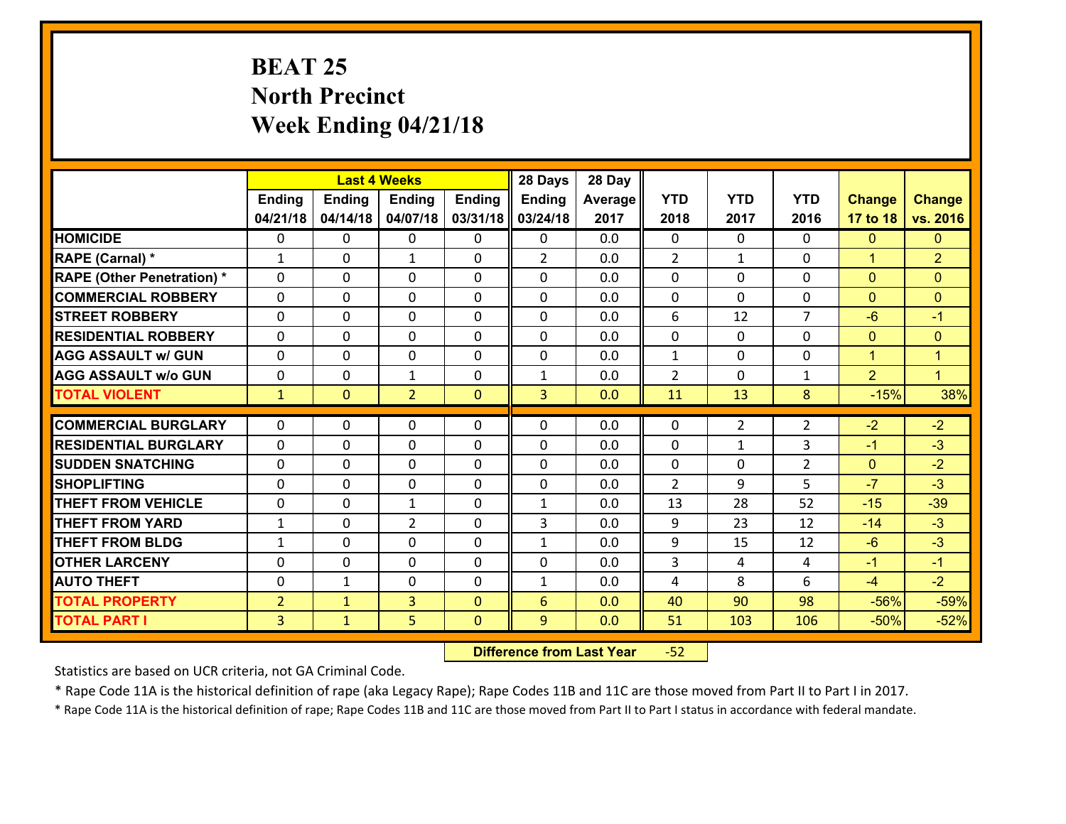# **BEAT 25 North Precinct Week Ending 04/21/18**

|                                   |                |                | <b>Last 4 Weeks</b> |               | 28 Days        | 28 Day  |                |                |                |                |                      |
|-----------------------------------|----------------|----------------|---------------------|---------------|----------------|---------|----------------|----------------|----------------|----------------|----------------------|
|                                   | <b>Ending</b>  | <b>Ending</b>  | <b>Ending</b>       | <b>Ending</b> | <b>Ending</b>  | Average | <b>YTD</b>     | <b>YTD</b>     | <b>YTD</b>     | <b>Change</b>  | <b>Change</b>        |
|                                   | 04/21/18       | 04/14/18       | 04/07/18            | 03/31/18      | 03/24/18       | 2017    | 2018           | 2017           | 2016           | 17 to 18       | vs. 2016             |
| <b>HOMICIDE</b>                   | $\Omega$       | $\Omega$       | $\mathbf{0}$        | 0             | $\mathbf{0}$   | 0.0     | $\Omega$       | $\Omega$       | $\Omega$       | $\mathbf{0}$   | $\mathbf{0}$         |
| RAPE (Carnal) *                   | 1              | $\Omega$       | 1                   | 0             | $\overline{2}$ | 0.0     | 2              | $\mathbf{1}$   | $\Omega$       | $\mathbf{1}$   | $\overline{2}$       |
| <b>RAPE (Other Penetration) *</b> | 0              | 0              | $\mathbf 0$         | 0             | 0              | 0.0     | $\mathbf 0$    | $\Omega$       | 0              | $\mathbf{0}$   | $\mathbf{0}$         |
| <b>COMMERCIAL ROBBERY</b>         | $\Omega$       | 0              | 0                   | $\Omega$      | $\mathbf{0}$   | 0.0     | $\mathbf{0}$   | $\mathbf{0}$   | $\Omega$       | $\mathbf{0}$   | $\mathbf{0}$         |
| <b>STREET ROBBERY</b>             | 0              | 0              | $\mathbf 0$         | 0             | $\Omega$       | 0.0     | 6              | 12             | $\overline{7}$ | $-6$           | $-1$                 |
| <b>RESIDENTIAL ROBBERY</b>        | 0              | 0              | $\mathbf 0$         | 0             | 0              | 0.0     | $\mathbf 0$    | $\mathbf 0$    | 0              | $\mathbf{0}$   | $\mathbf{0}$         |
| <b>AGG ASSAULT w/ GUN</b>         | 0              | 0              | 0                   | $\Omega$      | 0              | 0.0     | $\mathbf{1}$   | $\mathbf 0$    | 0              | $\mathbf{1}$   | $\mathbf{1}$         |
| <b>AGG ASSAULT w/o GUN</b>        | 0              | 0              | $\mathbf{1}$        | $\Omega$      | 1              | 0.0     | $\overline{2}$ | $\Omega$       | 1              | $\overline{2}$ | $\blacktriangleleft$ |
| <b>TOTAL VIOLENT</b>              | $\mathbf{1}$   | $\overline{0}$ | $\overline{2}$      | $\Omega$      | $\overline{3}$ | 0.0     | 11             | 13             | 8              | $-15%$         | 38%                  |
| <b>COMMERCIAL BURGLARY</b>        | $\Omega$       | 0              | $\mathbf{0}$        | 0             | 0              | 0.0     | $\mathbf{0}$   | $\overline{2}$ | $\overline{2}$ | $-2$           | $-2$                 |
| <b>RESIDENTIAL BURGLARY</b>       | 0              | 0              | $\mathbf 0$         | 0             | 0              | 0.0     | $\mathbf{0}$   | $\mathbf{1}$   | 3              | $-1$           | $-3$                 |
| <b>ISUDDEN SNATCHING</b>          | $\Omega$       | $\Omega$       | $\mathbf{0}$        | $\Omega$      | 0              | 0.0     | $\Omega$       | $\Omega$       | $\overline{2}$ | $\mathbf{0}$   | $-2$                 |
| <b>SHOPLIFTING</b>                | $\Omega$       | $\Omega$       | $\Omega$            | 0             | $\Omega$       | 0.0     | $\overline{2}$ | 9              | 5              | $-7$           | $-3$                 |
| <b>THEFT FROM VEHICLE</b>         | $\Omega$       | 0              | $\mathbf{1}$        | 0             | $\mathbf{1}$   | 0.0     | 13             | 28             | 52             | $-15$          | $-39$                |
| <b>THEFT FROM YARD</b>            | $\mathbf{1}$   | 0              | $\overline{2}$      | 0             | 3              | 0.0     | 9              | 23             | 12             | $-14$          | $-3$                 |
| <b>THEFT FROM BLDG</b>            | 1              | $\Omega$       | $\mathbf 0$         | 0             | $\mathbf{1}$   | 0.0     | 9              | 15             | 12             | $-6$           | $-3$                 |
| <b>OTHER LARCENY</b>              | 0              | 0              | $\mathbf 0$         | 0             | 0              | 0.0     | 3              | 4              | 4              | $-1$           | $-1$                 |
| <b>AUTO THEFT</b>                 | $\Omega$       | $\mathbf{1}$   | 0                   | $\Omega$      | $\mathbf{1}$   | 0.0     | 4              | 8              | 6              | $-4$           | $-2$                 |
| <b>TOTAL PROPERTY</b>             | $\overline{2}$ | $\mathbf{1}$   | 3                   | $\Omega$      | 6              | 0.0     | 40             | 90             | 98             | $-56%$         | $-59%$               |
| <b>TOTAL PART I</b>               | $\overline{3}$ | $\mathbf{1}$   | 5                   | $\mathbf{0}$  | 9              | 0.0     | 51             | 103            | 106            | $-50%$         | $-52%$               |
|                                   |                |                |                     |               |                |         |                |                |                |                |                      |

 **Difference from Last Year**r -52

Statistics are based on UCR criteria, not GA Criminal Code.

\* Rape Code 11A is the historical definition of rape (aka Legacy Rape); Rape Codes 11B and 11C are those moved from Part II to Part I in 2017.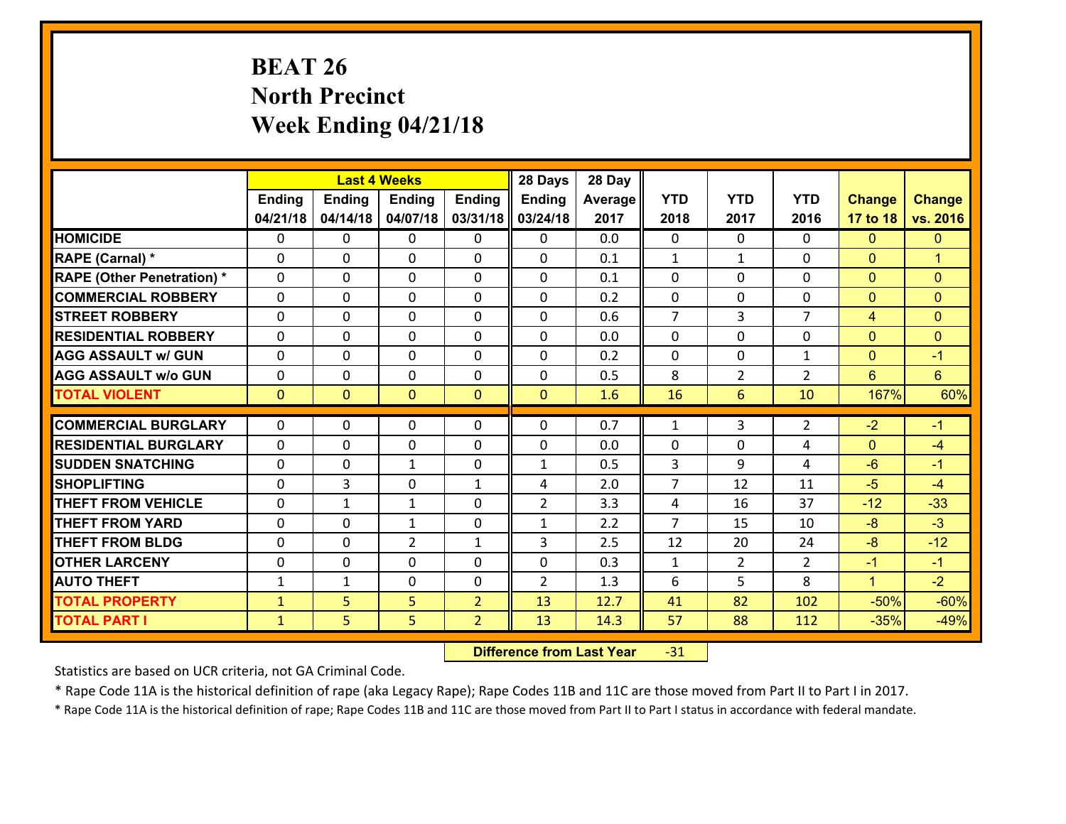# **BEAT 26 North Precinct Week Ending 04/21/18**

|                                   |               |                | <b>Last 4 Weeks</b> |                | 28 Days        | 28 Day  |                |                |                |                |                |
|-----------------------------------|---------------|----------------|---------------------|----------------|----------------|---------|----------------|----------------|----------------|----------------|----------------|
|                                   | <b>Ending</b> | <b>Ending</b>  | <b>Ending</b>       | <b>Ending</b>  | Ending         | Average | <b>YTD</b>     | <b>YTD</b>     | <b>YTD</b>     | <b>Change</b>  | <b>Change</b>  |
|                                   | 04/21/18      | 04/14/18       | 04/07/18            | 03/31/18       | 03/24/18       | 2017    | 2018           | 2017           | 2016           | 17 to 18       | vs. 2016       |
| <b>HOMICIDE</b>                   | $\Omega$      | 0              | 0                   | 0              | 0              | 0.0     | 0              | $\Omega$       | 0              | $\Omega$       | $\Omega$       |
| RAPE (Carnal) *                   | $\Omega$      | 0              | $\mathbf{0}$        | $\Omega$       | 0              | 0.1     | $\mathbf{1}$   | $\mathbf{1}$   | 0              | $\mathbf{0}$   | $\mathbf{1}$   |
| <b>RAPE (Other Penetration) *</b> | 0             | 0              | $\mathbf 0$         | $\Omega$       | 0              | 0.1     | $\mathbf{0}$   | 0              | 0              | $\mathbf{0}$   | $\Omega$       |
| <b>COMMERCIAL ROBBERY</b>         | 0             | 0              | $\mathbf 0$         | 0              | 0              | 0.2     | 0              | 0              | 0              | $\mathbf{0}$   | $\Omega$       |
| <b>STREET ROBBERY</b>             | 0             | 0              | $\mathbf 0$         | 0              | 0              | 0.6     | $\overline{7}$ | $\overline{3}$ | $\overline{7}$ | $\overline{4}$ | $\Omega$       |
| <b>RESIDENTIAL ROBBERY</b>        | 0             | 0              | $\mathbf 0$         | $\mathbf 0$    | 0              | 0.0     | $\mathbf 0$    | 0              | 0              | $\mathbf{0}$   | $\overline{0}$ |
| <b>AGG ASSAULT w/ GUN</b>         | 0             | 0              | $\mathbf 0$         | 0              | 0              | 0.2     | $\mathbf{0}$   | 0              | $\mathbf{1}$   | $\mathbf{0}$   | $-1$           |
| <b>AGG ASSAULT w/o GUN</b>        | 0             | 0              | $\mathbf 0$         | $\Omega$       | $\mathbf 0$    | 0.5     | 8              | $\overline{2}$ | $\overline{2}$ | 6              | $6\phantom{1}$ |
| <b>TOTAL VIOLENT</b>              | $\mathbf{0}$  | $\overline{0}$ | $\mathbf{0}$        | $\mathbf{0}$   | $\mathbf{0}$   | 1.6     | 16             | 6              | 10             | 167%           | 60%            |
| <b>COMMERCIAL BURGLARY</b>        | $\Omega$      | 0              | 0                   | 0              | 0              | 0.7     | $\mathbf{1}$   | 3              | $\overline{2}$ | $-2$           | $-1$           |
| <b>RESIDENTIAL BURGLARY</b>       | $\mathbf{0}$  | 0              | 0                   | 0              | 0              | 0.0     | $\mathbf{0}$   | 0              | 4              | $\mathbf{0}$   | $-4$           |
| <b>SUDDEN SNATCHING</b>           | 0             | 0              | $\mathbf{1}$        | $\Omega$       | $\mathbf{1}$   | 0.5     | $\overline{3}$ | 9              | 4              | $-6$           | $-1$           |
| <b>SHOPLIFTING</b>                | 0             | 3              | $\mathbf 0$         | $\mathbf{1}$   | 4              | 2.0     | $\overline{7}$ | 12             | 11             | $-5$           | $-4$           |
| <b>THEFT FROM VEHICLE</b>         | $\mathbf{0}$  | $\mathbf{1}$   | $\mathbf{1}$        | 0              | $\overline{2}$ | 3.3     | 4              | 16             | 37             | $-12$          | $-33$          |
| <b>THEFT FROM YARD</b>            | 0             | 0              | 1                   | 0              | $\mathbf{1}$   | 2.2     | $\overline{7}$ | 15             | 10             | $-8$           | $-3$           |
| <b>THEFT FROM BLDG</b>            | $\Omega$      | 0              | $\overline{2}$      | $\mathbf{1}$   | 3              | 2.5     | 12             | 20             | 24             | $-8$           | $-12$          |
| <b>OTHER LARCENY</b>              | $\mathbf 0$   | 0              | $\mathbf 0$         | $\Omega$       | 0              | 0.3     | $\mathbf 1$    | $\overline{2}$ | $\overline{2}$ | $-1$           | $-1$           |
| <b>AUTO THEFT</b>                 | $\mathbf{1}$  | $\mathbf{1}$   | $\mathbf 0$         | $\mathbf 0$    | $\overline{2}$ | 1.3     | 6              | 5              | 8              | $\mathbf{1}$   | $-2$           |
| <b>TOTAL PROPERTY</b>             | $\mathbf{1}$  | 5              | 5                   | $\overline{2}$ | 13             | 12.7    | 41             | 82             | 102            | $-50%$         | $-60%$         |
| <b>TOTAL PART I</b>               | $\mathbf{1}$  | 5              | 5                   | $\overline{2}$ | 13             | 14.3    | 57             | 88             | 112            | $-35%$         | $-49%$         |
|                                   |               |                |                     |                |                |         |                |                |                |                |                |

 **Difference from Last Year**r -31

Statistics are based on UCR criteria, not GA Criminal Code.

\* Rape Code 11A is the historical definition of rape (aka Legacy Rape); Rape Codes 11B and 11C are those moved from Part II to Part I in 2017.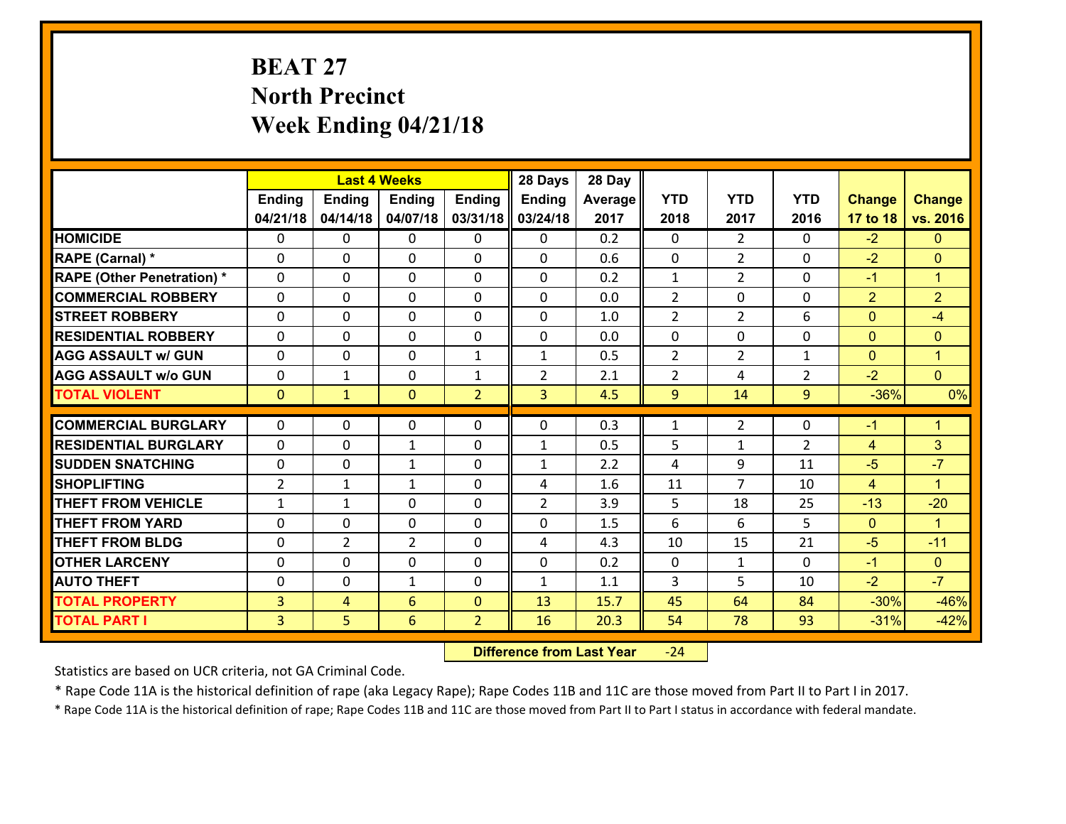# **BEAT 27 North Precinct Week Ending 04/21/18**

|                                   |                |                | <b>Last 4 Weeks</b> |                | 28 Days        | 28 Day  |                |                |                |                |                      |
|-----------------------------------|----------------|----------------|---------------------|----------------|----------------|---------|----------------|----------------|----------------|----------------|----------------------|
|                                   | <b>Ending</b>  | Ending         | <b>Ending</b>       | <b>Ending</b>  | Ending         | Average | <b>YTD</b>     | <b>YTD</b>     | <b>YTD</b>     | <b>Change</b>  | <b>Change</b>        |
|                                   | 04/21/18       | 04/14/18       | 04/07/18            | 03/31/18       | 03/24/18       | 2017    | 2018           | 2017           | 2016           | 17 to 18       | vs. 2016             |
| <b>HOMICIDE</b>                   | $\Omega$       | 0              | $\mathbf{0}$        | $\Omega$       | 0              | 0.2     | $\Omega$       | $\mathfrak{D}$ | $\Omega$       | $-2$           | $\mathbf{0}$         |
| RAPE (Carnal) *                   | $\Omega$       | 0              | $\mathbf{0}$        | 0              | $\Omega$       | 0.6     | $\Omega$       | $\overline{2}$ | $\Omega$       | $-2$           | $\mathbf{0}$         |
| <b>RAPE (Other Penetration) *</b> | $\Omega$       | 0              | $\mathbf 0$         | 0              | 0              | 0.2     | $\mathbf{1}$   | $\overline{2}$ | $\Omega$       | $-1$           | $\blacktriangleleft$ |
| <b>COMMERCIAL ROBBERY</b>         | 0              | 0              | 0                   | 0              | 0              | 0.0     | $\overline{2}$ | 0              | $\Omega$       | $\overline{2}$ | $\overline{2}$       |
| <b>STREET ROBBERY</b>             | $\Omega$       | 0              | $\mathbf 0$         | $\Omega$       | 0              | 1.0     | $\overline{2}$ | $\overline{2}$ | 6              | $\overline{0}$ | $-4$                 |
| <b>RESIDENTIAL ROBBERY</b>        | 0              | 0              | $\mathbf 0$         | 0              | 0              | 0.0     | $\mathbf 0$    | $\mathbf 0$    | 0              | $\overline{0}$ | $\mathbf{0}$         |
| <b>AGG ASSAULT w/ GUN</b>         | 0              | 0              | $\mathbf 0$         | $\mathbf{1}$   | $\mathbf{1}$   | 0.5     | $\overline{2}$ | $\overline{2}$ | $\mathbf{1}$   | $\overline{0}$ | $\mathbf{1}$         |
| <b>AGG ASSAULT w/o GUN</b>        | 0              | 1              | $\mathbf 0$         | $\mathbf{1}$   | $\overline{2}$ | 2.1     | $\overline{2}$ | 4              | $\overline{2}$ | $-2$           | $\overline{0}$       |
| <b>TOTAL VIOLENT</b>              | $\mathbf{0}$   | $\mathbf{1}$   | $\mathbf{0}$        | $\overline{2}$ | $\overline{3}$ | 4.5     | 9              | 14             | 9              | $-36%$         | 0%                   |
| <b>COMMERCIAL BURGLARY</b>        | $\Omega$       | 0              | $\mathbf{0}$        | 0              | $\Omega$       | 0.3     | 1              | $\overline{2}$ | 0              | $-1$           | $\blacktriangleleft$ |
| <b>RESIDENTIAL BURGLARY</b>       | $\Omega$       |                |                     |                |                |         |                |                |                |                |                      |
|                                   |                | 0              | 1                   | 0              | $\mathbf{1}$   | 0.5     | 5              | $\mathbf 1$    | $\overline{2}$ | $\overline{4}$ | 3                    |
| <b>SUDDEN SNATCHING</b>           | 0              | 0              | $\mathbf{1}$        | $\Omega$       | $\mathbf{1}$   | 2.2     | 4              | 9              | 11             | $-5$           | $-7$                 |
| <b>SHOPLIFTING</b>                | $\overline{2}$ | 1              | $\mathbf{1}$        | $\Omega$       | 4              | 1.6     | 11             | $\overline{7}$ | 10             | $\overline{4}$ | $\blacktriangleleft$ |
| <b>THEFT FROM VEHICLE</b>         | $\mathbf{1}$   | 1              | $\mathbf 0$         | 0              | $\overline{2}$ | 3.9     | 5              | 18             | 25             | $-13$          | $-20$                |
| <b>THEFT FROM YARD</b>            | $\mathbf{0}$   | 0              | 0                   | 0              | 0              | 1.5     | 6              | 6              | 5              | $\mathbf{0}$   | $\blacktriangleleft$ |
| <b>THEFT FROM BLDG</b>            | 0              | $\overline{2}$ | $\overline{2}$      | 0              | 4              | 4.3     | 10             | 15             | 21             | $-5$           | $-11$                |
| <b>OTHER LARCENY</b>              | 0              | 0              | $\mathbf 0$         | 0              | 0              | 0.2     | $\mathbf 0$    | $\mathbf{1}$   | $\Omega$       | $-1$           | $\overline{0}$       |
| <b>AUTO THEFT</b>                 | 0              | 0              | 1                   | 0              | $\mathbf{1}$   | 1.1     | 3              | 5              | 10             | $-2$           | $-7$                 |
| <b>TOTAL PROPERTY</b>             | $\overline{3}$ | 4              | $6\overline{6}$     | $\Omega$       | 13             | 15.7    | 45             | 64             | 84             | $-30%$         | $-46%$               |
| <b>TOTAL PART I</b>               | 3 <sup>1</sup> | 5              | 6                   | $\overline{2}$ | 16             | 20.3    | 54             | 78             | 93             | $-31%$         | $-42%$               |

 **Difference from Last Year**‐24

Statistics are based on UCR criteria, not GA Criminal Code.

\* Rape Code 11A is the historical definition of rape (aka Legacy Rape); Rape Codes 11B and 11C are those moved from Part II to Part I in 2017.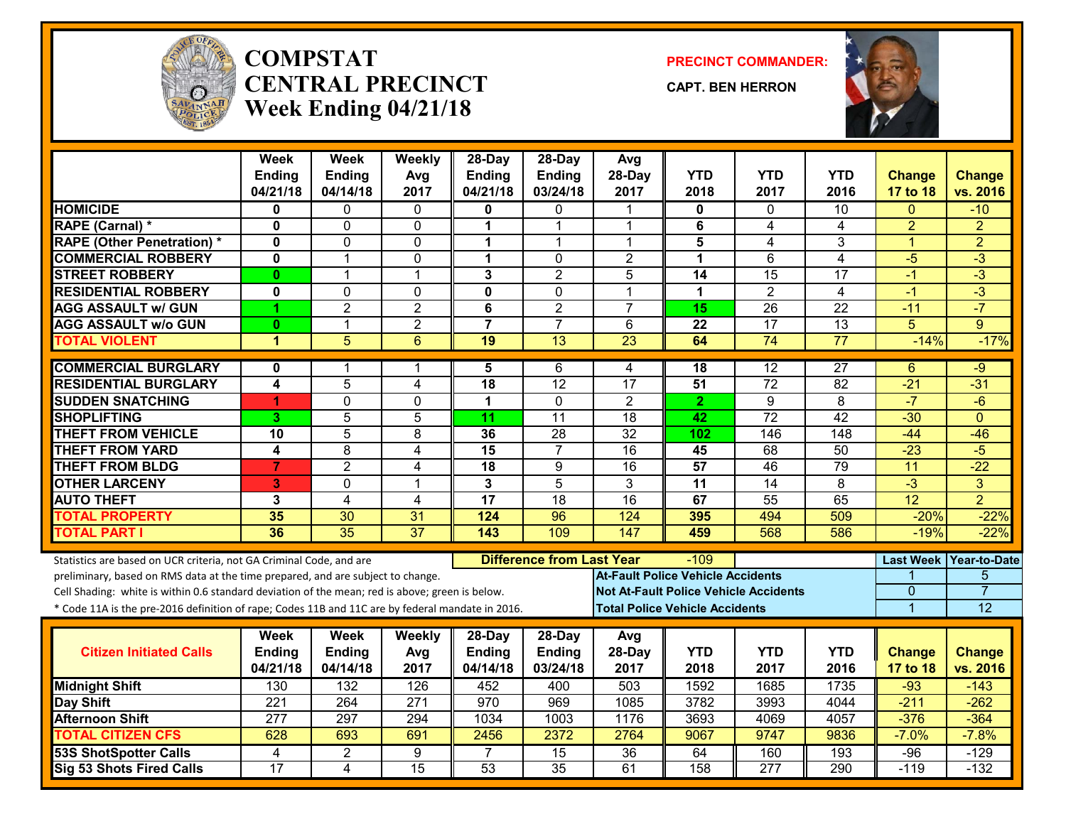

#### **COMPSTATCENTRAL PRECINCTWeek Ending 04/21/18**

**PRECINCT COMMANDER:**

**CAPT. BEN HERRON**



|                                                                                                  | Week<br><b>Ending</b>   | <b>Week</b><br><b>Ending</b> | Weekly<br>Avg    | $28-Day$<br><b>Ending</b> | 28-Day<br><b>Ending</b>          | Avg<br>28-Day                            | <b>YTD</b>      | <b>YTD</b>                                   | <b>YTD</b>       | <b>Change</b>    | <b>Change</b>       |
|--------------------------------------------------------------------------------------------------|-------------------------|------------------------------|------------------|---------------------------|----------------------------------|------------------------------------------|-----------------|----------------------------------------------|------------------|------------------|---------------------|
|                                                                                                  | 04/21/18                | 04/14/18                     | 2017             | 04/21/18                  | 03/24/18                         | 2017                                     | 2018            | 2017                                         | 2016             | 17 to 18         | vs. 2016            |
| <b>HOMICIDE</b>                                                                                  | 0                       | 0                            | 0                | 0                         | 0                                |                                          | 0               | $\Omega$                                     | 10               | $\Omega$         | $-10$               |
| <b>RAPE (Carnal) *</b>                                                                           | $\mathbf 0$             | 0                            | $\Omega$         | 1                         | $\mathbf{1}$                     | 1                                        | 6               | 4                                            | 4                | $\overline{2}$   | $\overline{2}$      |
| <b>RAPE (Other Penetration) *</b>                                                                | $\mathbf{0}$            | $\overline{0}$               | 0                | 1                         | 1                                | 1                                        | 5               | 4                                            | 3                | $\mathbf{1}$     | $\overline{2}$      |
| <b>COMMERCIAL ROBBERY</b>                                                                        | $\mathbf{0}$            | $\mathbf{1}$                 | 0                | $\mathbf{1}$              | $\mathbf 0$                      | $\overline{2}$                           | $\mathbf{1}$    | 6                                            | $\overline{4}$   | $-5$             | $\overline{3}$      |
| <b>STREET ROBBERY</b>                                                                            | $\mathbf{0}$            | $\mathbf{1}$                 | 1                | 3                         | $\overline{2}$                   | 5                                        | 14              | 15                                           | 17               | $-1$             | $\overline{3}$      |
| <b>RESIDENTIAL ROBBERY</b>                                                                       | $\mathbf 0$             | 0                            | $\mathbf 0$      | $\overline{\mathbf{0}}$   | $\overline{0}$                   | 1                                        | $\mathbf{1}$    | $\overline{2}$                               | $\overline{4}$   | $-1$             | $-3$                |
| <b>AGG ASSAULT w/ GUN</b>                                                                        | 4                       | $\overline{2}$               | $\overline{c}$   | 6                         | $\overline{2}$                   | $\overline{7}$                           | 15              | $\overline{26}$                              | $\overline{22}$  | $-11$            | $-7$                |
| <b>AGG ASSAULT w/o GUN</b>                                                                       | $\mathbf{0}$            | $\mathbf{1}$                 | $\overline{2}$   | $\overline{7}$            | $\overline{7}$                   | 6                                        | $\overline{22}$ | 17                                           | $\overline{13}$  | 5                | $\mathbf{Q}$        |
| <b>TOTAL VIOLENT</b>                                                                             | 1                       | $\overline{5}$               | 6                | 19                        | $\overline{13}$                  | 23                                       | 64              | 74                                           | $\overline{77}$  | $-14%$           | $-17%$              |
| <b>COMMERCIAL BURGLARY</b>                                                                       | $\mathbf{0}$            | 1                            | 1                | 5                         | 6                                | 4                                        | 18              | $\overline{12}$                              | $\overline{27}$  | 6                | $-9$                |
| <b>RESIDENTIAL BURGLARY</b>                                                                      | $\overline{\mathbf{4}}$ | 5                            | 4                | 18                        | $\overline{12}$                  | $\overline{17}$                          | 51              | $\overline{72}$                              | 82               | $-21$            | $-31$               |
| <b>SUDDEN SNATCHING</b>                                                                          | 1                       | $\Omega$                     | $\Omega$         | 1                         | $\mathbf{0}$                     | 2                                        | $\mathbf{2}$    | 9                                            | 8                | $-7$             | $-6$                |
| <b>SHOPLIFTING</b>                                                                               | 3 <sup>1</sup>          | $\overline{5}$               | 5                | $\overline{11}$           | $\overline{11}$                  | $\overline{18}$                          | 42              | $\overline{72}$                              | $\overline{42}$  | $-30$            | $\Omega$            |
| <b>THEFT FROM VEHICLE</b>                                                                        | 10                      | $\overline{5}$               | 8                | 36                        | $\overline{28}$                  | $\overline{32}$                          | 102             | 146                                          | $\overline{148}$ | $-44$            | $-46$               |
| <b>THEFT FROM YARD</b>                                                                           | 4                       | $\overline{8}$               | $\overline{4}$   | $\overline{15}$           | $\overline{7}$                   | $\overline{16}$                          | 45              | 68                                           | 50               | $-23$            | $-5$                |
| <b>THEFT FROM BLDG</b>                                                                           | $\overline{7}$          | $\overline{2}$               | 4                | 18                        | 9                                | 16                                       | 57              | 46                                           | 79               | 11               | $-22$               |
| <b>OTHER LARCENY</b>                                                                             | 3                       | $\mathbf{0}$                 | $\mathbf{1}$     | 3                         | $\overline{5}$                   | $\overline{3}$                           | $\overline{11}$ | $\overline{14}$                              | 8                | $-3$             | $\overline{3}$      |
| <b>AUTO THEFT</b>                                                                                | 3                       | $\overline{4}$               | 4                | $\overline{17}$           | $\overline{18}$                  | $\overline{16}$                          | 67              | $\overline{55}$                              | 65               | $\overline{12}$  | $\overline{2}$      |
| <b>TOTAL PROPERTY</b>                                                                            | 35                      | 30                           | 31               | 124                       | 96                               | 124                                      | 395             | 494                                          | 509              | $-20%$           | $-22%$              |
| <b>TOTAL PART I</b>                                                                              | 36                      | 35                           | $\overline{37}$  | 143                       | 109                              | 147                                      | 459             | 568                                          | 586              | $-19%$           | $-22%$              |
| Statistics are based on UCR criteria, not GA Criminal Code, and are                              |                         |                              |                  |                           | <b>Difference from Last Year</b> |                                          | $-109$          |                                              |                  | <b>Last Week</b> | <b>Year-to-Date</b> |
| preliminary, based on RMS data at the time prepared, and are subject to change.                  |                         |                              |                  |                           |                                  | <b>At-Fault Police Vehicle Accidents</b> |                 |                                              |                  |                  | 5                   |
| Cell Shading: white is within 0.6 standard deviation of the mean; red is above; green is below.  |                         |                              |                  |                           |                                  |                                          |                 | <b>Not At-Fault Police Vehicle Accidents</b> |                  | $\overline{0}$   | $\overline{7}$      |
| * Code 11A is the pre-2016 definition of rape; Codes 11B and 11C are by federal mandate in 2016. |                         |                              |                  |                           |                                  | <b>Total Police Vehicle Accidents</b>    |                 |                                              |                  | 1                | 12                  |
|                                                                                                  | Week                    | Week                         | Weekly           | 28-Day                    | 28-Day                           | Avg                                      |                 |                                              |                  |                  |                     |
| <b>Citizen Initiated Calls</b>                                                                   | Ending                  | <b>Ending</b>                |                  | <b>Ending</b>             | <b>Ending</b>                    | 28-Day                                   | <b>YTD</b>      | <b>YTD</b>                                   | <b>YTD</b>       | <b>Change</b>    | <b>Change</b>       |
|                                                                                                  | 04/21/18                | 04/14/18                     | Avg<br>2017      | 04/14/18                  | 03/24/18                         | 2017                                     | 2018            | 2017                                         | 2016             | 17 to 18         | vs. 2016            |
|                                                                                                  | 130                     | 132                          | 126              | 452                       | 400                              | 503                                      | 1592            | 1685                                         | 1735             | $-93$            | $-143$              |
| <b>Midnight Shift</b><br>Day Shift                                                               | $\overline{221}$        | 264                          | $\overline{271}$ | 970                       | 969                              | 1085                                     | 3782            | 3993                                         | 4044             | $-211$           | $-262$              |
| <b>Afternoon Shift</b>                                                                           | 277                     | 297                          | 294              | 1034                      | 1003                             | 1176                                     | 3693            | 4069                                         | 4057             | $-376$           | $-364$              |
| <b>TOTAL CITIZEN CFS</b>                                                                         | 628                     | 693                          | 691              | 2456                      | 2372                             | 2764                                     | 9067            | 9747                                         | 9836             | $-7.0%$          | $-7.8%$             |
| <b>53S ShotSpotter Calls</b>                                                                     | 4                       | $\overline{2}$               | 9                | 7                         | 15                               | $\overline{36}$                          | 64              | 160                                          | 193              | $-96$            | $-129$              |
| <b>Sig 53 Shots Fired Calls</b>                                                                  | $\overline{17}$         | $\overline{4}$               | $\overline{15}$  | $\overline{53}$           | $\overline{35}$                  | 61                                       | 158             | $\overline{277}$                             | 290              | $-119$           | $-132$              |
|                                                                                                  |                         |                              |                  |                           |                                  |                                          |                 |                                              |                  |                  |                     |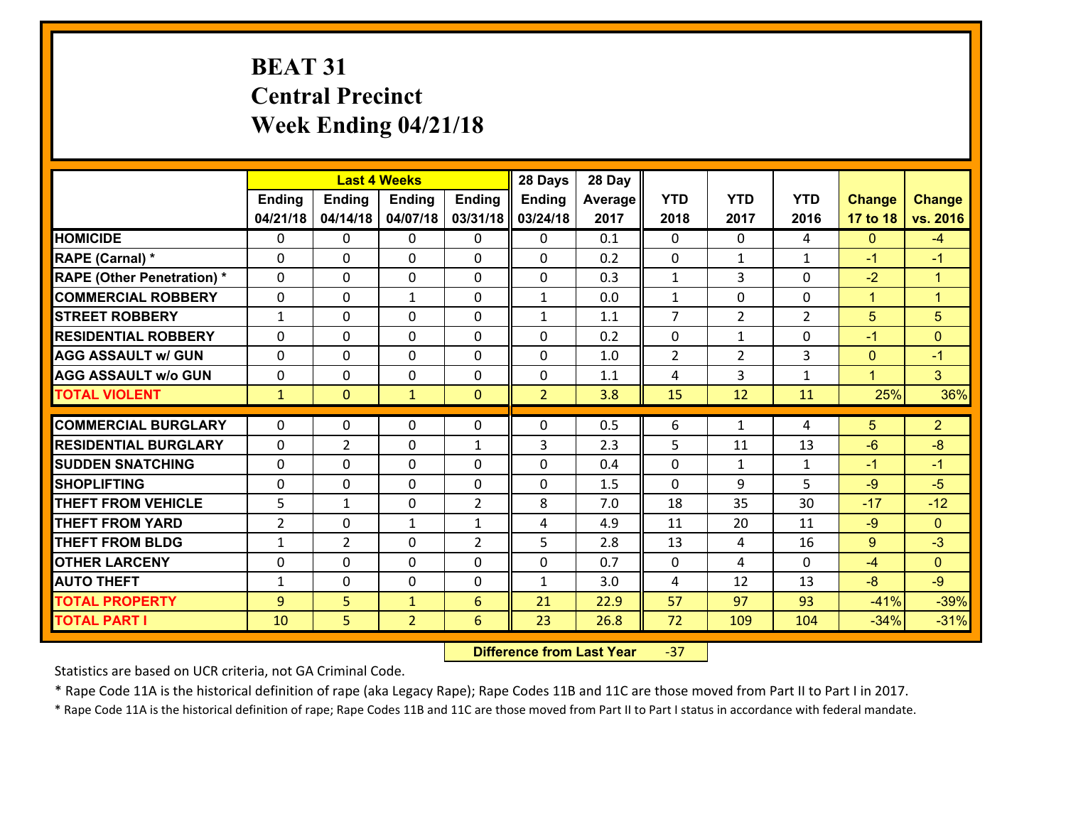# **BEAT 31 Central Precinct Week Ending 04/21/18**

|                                   |                |                | <b>Last 4 Weeks</b> |                | 28 Days        | 28 Day  |                |                |                |                      |                      |
|-----------------------------------|----------------|----------------|---------------------|----------------|----------------|---------|----------------|----------------|----------------|----------------------|----------------------|
|                                   | <b>Ending</b>  | <b>Ending</b>  | <b>Ending</b>       | <b>Ending</b>  | Ending         | Average | <b>YTD</b>     | <b>YTD</b>     | <b>YTD</b>     | <b>Change</b>        | <b>Change</b>        |
|                                   | 04/21/18       | 04/14/18       | 04/07/18            | 03/31/18       | 03/24/18       | 2017    | 2018           | 2017           | 2016           | 17 to 18             | vs. 2016             |
| <b>HOMICIDE</b>                   | $\Omega$       | 0              | 0                   | 0              | 0              | 0.1     | 0              | $\Omega$       | 4              | $\mathbf{0}$         | $-4$                 |
| RAPE (Carnal) *                   | $\Omega$       | 0              | $\mathbf{0}$        | $\Omega$       | $\Omega$       | 0.2     | $\mathbf{0}$   | $\mathbf{1}$   | $\mathbf{1}$   | $-1$                 | $-1$                 |
| <b>RAPE (Other Penetration) *</b> | 0              | 0              | $\mathbf 0$         | 0              | 0              | 0.3     | $\mathbf{1}$   | 3              | 0              | $-2$                 | $\blacktriangleleft$ |
| <b>COMMERCIAL ROBBERY</b>         | 0              | 0              | $\mathbf{1}$        | 0              | $\mathbf{1}$   | 0.0     | $\mathbf{1}$   | 0              | 0              | $\mathbf{1}$         | $\mathbf{1}$         |
| <b>STREET ROBBERY</b>             | $\mathbf{1}$   | 0              | $\mathbf 0$         | 0              | $\mathbf{1}$   | 1.1     | $\overline{7}$ | $\overline{2}$ | $\overline{2}$ | 5                    | $\overline{5}$       |
| <b>RESIDENTIAL ROBBERY</b>        | 0              | 0              | $\mathbf 0$         | 0              | 0              | 0.2     | $\mathbf 0$    | $\mathbf{1}$   | 0              | $-1$                 | $\overline{0}$       |
| <b>AGG ASSAULT w/ GUN</b>         | 0              | 0              | $\mathbf 0$         | 0              | 0              | 1.0     | $\overline{2}$ | $\overline{2}$ | 3              | $\mathbf{0}$         | $-1$                 |
| <b>AGG ASSAULT w/o GUN</b>        | 0              | 0              | $\mathbf 0$         | $\Omega$       | 0              | 1.1     | 4              | 3              | 1              | $\blacktriangleleft$ | 3 <sup>1</sup>       |
| <b>TOTAL VIOLENT</b>              | $\mathbf{1}$   | $\overline{0}$ | $\mathbf{1}$        | $\mathbf{0}$   | $\overline{2}$ | 3.8     | 15             | 12             | 11             | 25%                  | 36%                  |
|                                   |                |                |                     |                |                |         |                |                |                |                      |                      |
| <b>COMMERCIAL BURGLARY</b>        | $\Omega$       | 0              | 0                   | 0              | $\Omega$       | 0.5     | 6              | $\mathbf{1}$   | 4              | 5                    | 2 <sup>1</sup>       |
| <b>RESIDENTIAL BURGLARY</b>       | $\mathbf{0}$   | $\overline{2}$ | 0                   | $\mathbf{1}$   | 3              | 2.3     | 5              | 11             | 13             | $-6$                 | $-8$                 |
| <b>SUDDEN SNATCHING</b>           | 0              | $\Omega$       | $\mathbf 0$         | $\Omega$       | 0              | 0.4     | 0              | $\mathbf{1}$   | $\mathbf{1}$   | $-1$                 | $-1$                 |
| <b>SHOPLIFTING</b>                | 0              | 0              | $\mathbf 0$         | 0              | 0              | 1.5     | 0              | 9              | 5              | $-9$                 | $-5$                 |
| <b>THEFT FROM VEHICLE</b>         | 5              | $\mathbf{1}$   | $\mathbf 0$         | $\overline{2}$ | 8              | 7.0     | 18             | 35             | 30             | $-17$                | $-12$                |
| <b>THEFT FROM YARD</b>            | $\overline{2}$ | 0              | 1                   | $\mathbf{1}$   | 4              | 4.9     | 11             | 20             | 11             | $-9$                 | $\overline{0}$       |
| <b>THEFT FROM BLDG</b>            | $\mathbf{1}$   | $\overline{2}$ | $\mathbf 0$         | $\overline{2}$ | 5              | 2.8     | 13             | 4              | 16             | 9                    | $-3$                 |
| <b>OTHER LARCENY</b>              | $\mathbf 0$    | 0              | $\mathbf 0$         | $\Omega$       | 0              | 0.7     | $\mathbf 0$    | 4              | 0              | $-4$                 | $\overline{0}$       |
| <b>AUTO THEFT</b>                 | $\mathbf{1}$   | 0              | $\mathbf 0$         | 0              | $\mathbf{1}$   | 3.0     | 4              | 12             | 13             | $-8$                 | $-9$                 |
| <b>TOTAL PROPERTY</b>             | 9              | 5              | $\mathbf{1}$        | 6              | 21             | 22.9    | 57             | 97             | 93             | $-41%$               | $-39%$               |
| <b>TOTAL PART I</b>               | 10             | 5              | $\overline{2}$      | 6              | 23             | 26.8    | 72             | 109            | 104            | $-34%$               | $-31%$               |

 **Difference from Last Year**‐37

Statistics are based on UCR criteria, not GA Criminal Code.

\* Rape Code 11A is the historical definition of rape (aka Legacy Rape); Rape Codes 11B and 11C are those moved from Part II to Part I in 2017.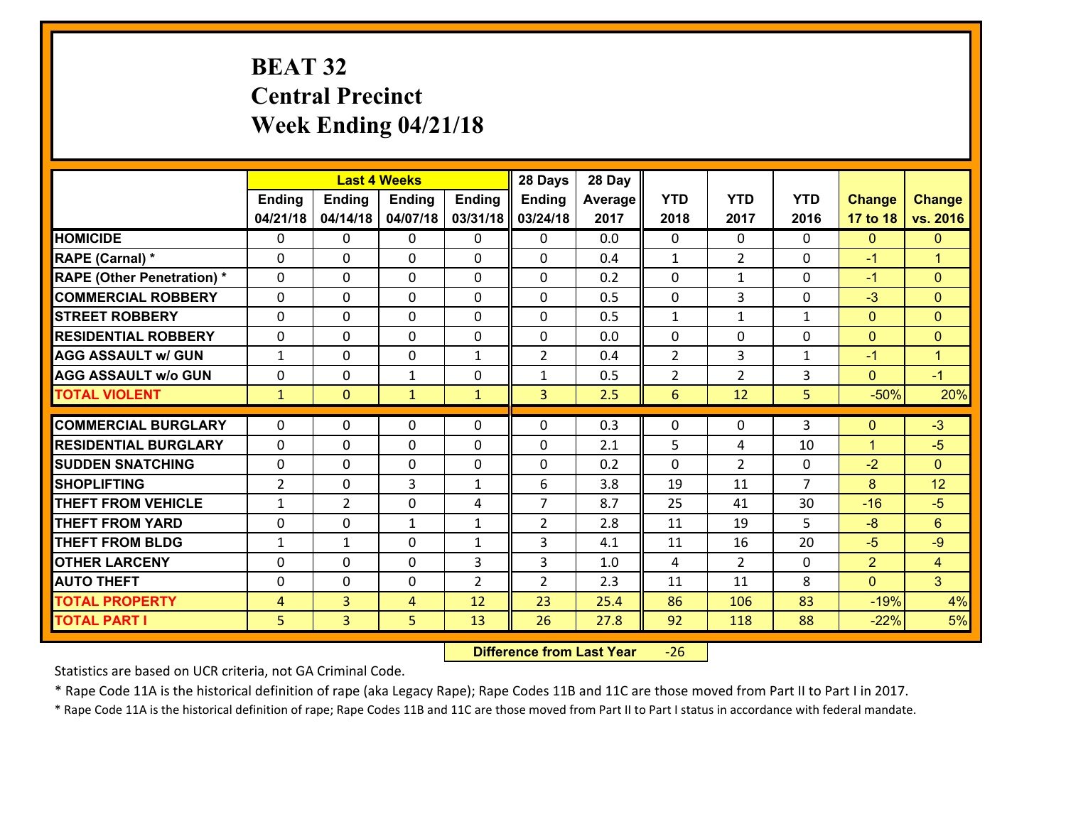# **BEAT 32 Central Precinct Week Ending 04/21/18**

|                                   |                |                | <b>Last 4 Weeks</b> |              | 28 Days        | 28 Day  |                |                |                |                |                      |
|-----------------------------------|----------------|----------------|---------------------|--------------|----------------|---------|----------------|----------------|----------------|----------------|----------------------|
|                                   | <b>Ending</b>  | <b>Ending</b>  | <b>Ending</b>       | Ending       | <b>Ending</b>  | Average | <b>YTD</b>     | <b>YTD</b>     | <b>YTD</b>     | <b>Change</b>  | <b>Change</b>        |
|                                   | 04/21/18       | 04/14/18       | 04/07/18            | 03/31/18     | 03/24/18       | 2017    | 2018           | 2017           | 2016           | 17 to 18       | vs. 2016             |
| <b>HOMICIDE</b>                   | $\Omega$       | 0              | $\Omega$            | $\Omega$     | $\Omega$       | 0.0     | $\Omega$       | $\Omega$       | 0              | $\mathbf{0}$   | $\mathbf{0}$         |
| RAPE (Carnal) *                   | 0              | 0              | $\mathbf{0}$        | 0            | 0              | 0.4     | $\mathbf{1}$   | $\overline{2}$ | 0              | $-1$           | $\blacktriangleleft$ |
| <b>RAPE (Other Penetration) *</b> | $\Omega$       | 0              | $\mathbf{0}$        | $\Omega$     | 0              | 0.2     | $\Omega$       | $\mathbf{1}$   | $\Omega$       | $-1$           | $\mathbf{0}$         |
| <b>COMMERCIAL ROBBERY</b>         | 0              | 0              | 0                   | 0            | 0              | 0.5     | $\mathbf{0}$   | 3              | 0              | $-3$           | $\mathbf{0}$         |
| <b>STREET ROBBERY</b>             | $\Omega$       | 0              | $\mathbf 0$         | $\Omega$     | 0              | 0.5     | $\mathbf{1}$   | $\mathbf{1}$   | $\mathbf{1}$   | $\mathbf{0}$   | $\mathbf{0}$         |
| <b>RESIDENTIAL ROBBERY</b>        | $\Omega$       | $\Omega$       | $\mathbf 0$         | $\Omega$     | 0              | 0.0     | $\mathbf 0$    | $\Omega$       | $\Omega$       | $\mathbf{0}$   | $\mathbf{0}$         |
| <b>AGG ASSAULT w/ GUN</b>         | $\mathbf{1}$   | 0              | $\mathbf 0$         | $\mathbf{1}$ | $\overline{2}$ | 0.4     | $\overline{2}$ | 3              | $\mathbf{1}$   | $-1$           | $\mathbf{1}$         |
| <b>AGG ASSAULT w/o GUN</b>        | 0              | 0              | $\mathbf{1}$        | 0            | $\mathbf{1}$   | 0.5     | $\overline{2}$ | $\overline{2}$ | 3              | $\mathbf{0}$   | $-1$                 |
| <b>TOTAL VIOLENT</b>              | $\mathbf{1}$   | $\overline{0}$ | $\mathbf{1}$        | $\mathbf{1}$ | 3              | 2.5     | $6\phantom{1}$ | 12             | 5              | $-50%$         | 20%                  |
| <b>COMMERCIAL BURGLARY</b>        | $\Omega$       | 0              | $\mathbf{0}$        | $\Omega$     | $\Omega$       | 0.3     | $\Omega$       | $\Omega$       | 3              | $\mathbf{0}$   | $-3$                 |
| <b>RESIDENTIAL BURGLARY</b>       | 0              | 0              | $\mathbf 0$         | 0            | 0              | 2.1     | 5              | 4              | 10             | $\mathbf{1}$   | $-5$                 |
| <b>SUDDEN SNATCHING</b>           | 0              | 0              | $\mathbf 0$         | 0            | 0              | 0.2     | $\mathbf 0$    | $\overline{2}$ | 0              | $-2$           | $\mathbf{0}$         |
| <b>SHOPLIFTING</b>                | $\overline{2}$ | 0              | 3                   | $\mathbf{1}$ | 6              | 3.8     | 19             | 11             | $\overline{7}$ | 8              | 12                   |
| <b>THEFT FROM VEHICLE</b>         | $\mathbf{1}$   | $\overline{2}$ | $\mathbf 0$         | 4            | $\overline{7}$ | 8.7     | 25             | 41             | 30             | $-16$          | $-5$                 |
| <b>THEFT FROM YARD</b>            | 0              | 0              | 1                   | $\mathbf{1}$ | $\overline{2}$ | 2.8     | 11             | 19             | 5              | $-8$           | $6\phantom{1}$       |
| <b>THEFT FROM BLDG</b>            | $\mathbf{1}$   | 1              | $\mathbf 0$         | $\mathbf{1}$ | 3              | 4.1     | 11             | 16             | 20             | $-5$           | $-9$                 |
| <b>OTHER LARCENY</b>              | 0              | 0              | $\mathbf 0$         | 3            | 3              | 1.0     | $\overline{4}$ | $\overline{2}$ | 0              | $\overline{2}$ | $\overline{4}$       |
| <b>AUTO THEFT</b>                 | $\mathbf{0}$   | 0              | $\mathbf{0}$        | 2            | $\overline{2}$ | 2.3     | 11             | 11             | 8              | $\mathbf{0}$   | 3 <sup>1</sup>       |
| <b>TOTAL PROPERTY</b>             | $\overline{4}$ | 3              | 4                   | 12           | 23             | 25.4    | 86             | 106            | 83             | $-19%$         | 4%                   |
| <b>TOTAL PART I</b>               | 5              | $\overline{3}$ | 5                   | 13           | 26             | 27.8    | 92             | 118            | 88             | $-22%$         | 5%                   |
|                                   |                |                |                     |              |                |         |                |                |                |                |                      |

 **Difference from Last Year**‐26

Statistics are based on UCR criteria, not GA Criminal Code.

\* Rape Code 11A is the historical definition of rape (aka Legacy Rape); Rape Codes 11B and 11C are those moved from Part II to Part I in 2017.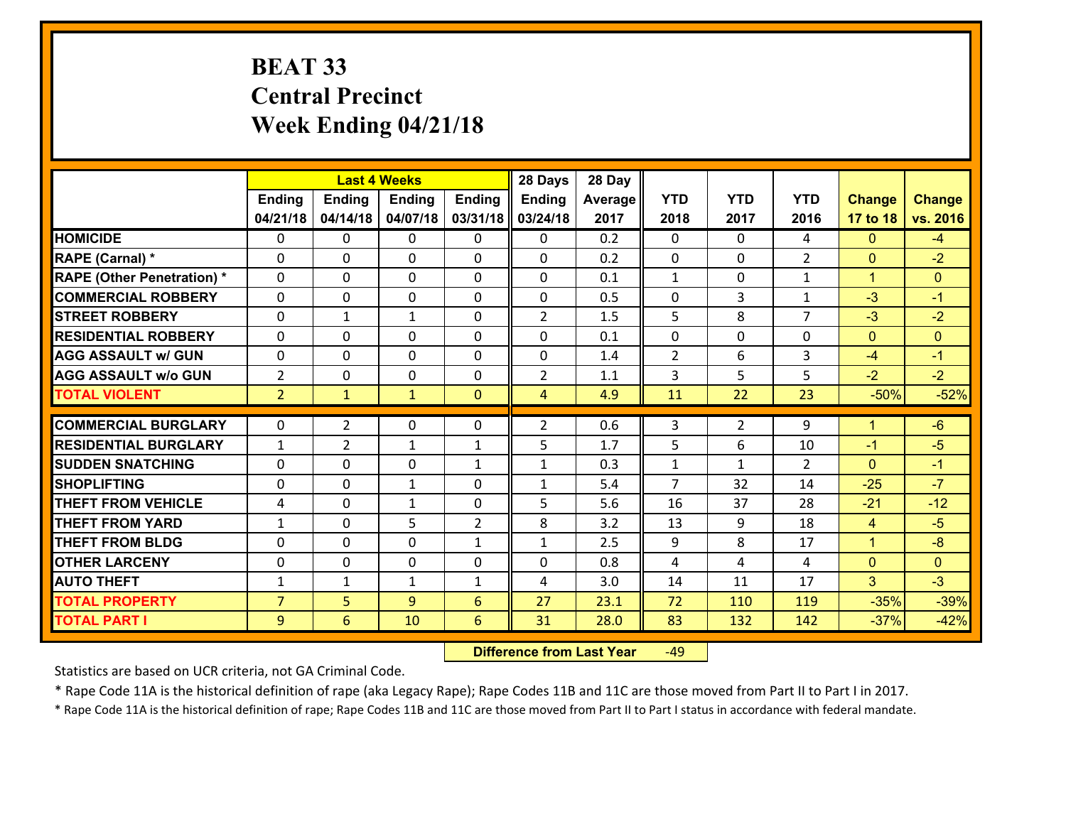# **BEAT 33 Central PrecinctWeek Ending 04/21/18**

|                                   |                |                | <b>Last 4 Weeks</b> |                | 28 Days        | 28 Day  |                |                |                |                |                |
|-----------------------------------|----------------|----------------|---------------------|----------------|----------------|---------|----------------|----------------|----------------|----------------|----------------|
|                                   | <b>Ending</b>  | <b>Ending</b>  | <b>Ending</b>       | <b>Ending</b>  | Ending         | Average | <b>YTD</b>     | <b>YTD</b>     | <b>YTD</b>     | <b>Change</b>  | <b>Change</b>  |
|                                   | 04/21/18       | 04/14/18       | 04/07/18            | 03/31/18       | 03/24/18       | 2017    | 2018           | 2017           | 2016           | 17 to 18       | vs. 2016       |
| <b>HOMICIDE</b>                   | $\Omega$       | 0              | 0                   | 0              | 0              | 0.2     | 0              | $\Omega$       | 4              | $\Omega$       | $-4$           |
| RAPE (Carnal) *                   | $\Omega$       | 0              | $\mathbf{0}$        | $\Omega$       | $\Omega$       | 0.2     | $\mathbf{0}$   | $\Omega$       | $\overline{2}$ | $\mathbf{0}$   | $-2$           |
| <b>RAPE (Other Penetration) *</b> | 0              | 0              | 0                   | $\Omega$       | 0              | 0.1     | $\mathbf{1}$   | $\mathbf{0}$   | $\mathbf{1}$   | $\mathbf{1}$   | $\Omega$       |
| <b>COMMERCIAL ROBBERY</b>         | 0              | 0              | $\mathbf 0$         | 0              | 0              | 0.5     | 0              | 3              | $\mathbf{1}$   | $-3$           | $-1$           |
| <b>STREET ROBBERY</b>             | 0              | $\mathbf{1}$   | $\mathbf{1}$        | 0              | $\overline{2}$ | 1.5     | 5              | 8              | $\overline{7}$ | $-3$           | $-2$           |
| <b>RESIDENTIAL ROBBERY</b>        | 0              | 0              | $\mathbf 0$         | 0              | 0              | 0.1     | 0              | 0              | 0              | $\mathbf{0}$   | $\overline{0}$ |
| <b>AGG ASSAULT w/ GUN</b>         | 0              | 0              | $\mathbf 0$         | 0              | 0              | 1.4     | $\overline{2}$ | 6              | 3              | $-4$           | $-1$           |
| <b>AGG ASSAULT w/o GUN</b>        | $\overline{2}$ | 0              | $\mathbf 0$         | $\mathbf{0}$   | $\overline{2}$ | 1.1     | 3              | 5              | 5              | $-2$           | $-2$           |
| <b>TOTAL VIOLENT</b>              | $\overline{2}$ | $\mathbf{1}$   | $\mathbf{1}$        | $\mathbf{0}$   | $\overline{4}$ | 4.9     | 11             | 22             | 23             | $-50%$         | $-52%$         |
| <b>COMMERCIAL BURGLARY</b>        | $\Omega$       |                |                     |                |                |         |                |                |                | $\mathbf{1}$   |                |
|                                   |                | $\overline{2}$ | 0                   | 0              | $\overline{2}$ | 0.6     | 3              | $\overline{2}$ | 9              |                | $-6$           |
| <b>RESIDENTIAL BURGLARY</b>       | $\mathbf{1}$   | $\overline{2}$ | 1                   | $\mathbf{1}$   | 5              | 1.7     | 5              | 6              | 10             | $-1$           | $-5$           |
| <b>SUDDEN SNATCHING</b>           | $\Omega$       | $\Omega$       | $\mathbf 0$         | $\mathbf{1}$   | $\mathbf{1}$   | 0.3     | $\mathbf{1}$   | $\mathbf{1}$   | $\mathcal{P}$  | $\Omega$       | $-1$           |
| <b>SHOPLIFTING</b>                | 0              | 0              | $\mathbf{1}$        | 0              | $\mathbf{1}$   | 5.4     | $\overline{7}$ | 32             | 14             | $-25$          | $-7$           |
| <b>THEFT FROM VEHICLE</b>         | 4              | 0              | $\mathbf{1}$        | $\mathbf{0}$   | 5              | 5.6     | 16             | 37             | 28             | $-21$          | $-12$          |
| <b>THEFT FROM YARD</b>            | $\mathbf{1}$   | 0              | 5                   | $\overline{2}$ | 8              | 3.2     | 13             | 9              | 18             | 4              | $-5$           |
| <b>THEFT FROM BLDG</b>            | $\Omega$       | $\Omega$       | $\mathbf 0$         | $\mathbf{1}$   | $\mathbf{1}$   | 2.5     | 9              | 8              | 17             | $\mathbf{1}$   | $-8$           |
| <b>OTHER LARCENY</b>              | $\mathbf 0$    | 0              | $\mathbf 0$         | $\Omega$       | 0              | 0.8     | 4              | 4              | 4              | $\overline{0}$ | $\overline{0}$ |
| <b>AUTO THEFT</b>                 | $\mathbf{1}$   | $\mathbf{1}$   | $\mathbf{1}$        | $\mathbf{1}$   | 4              | 3.0     | 14             | 11             | 17             | 3              | $-3$           |
| <b>TOTAL PROPERTY</b>             | $\overline{7}$ | 5              | 9                   | 6              | 27             | 23.1    | 72             | 110            | 119            | $-35%$         | $-39%$         |
| <b>TOTAL PART I</b>               | 9              | 6              | 10                  | 6              | 31             | 28.0    | 83             | 132            | 142            | $-37%$         | $-42%$         |

 **Difference from Last Year**r -49

Statistics are based on UCR criteria, not GA Criminal Code.

\* Rape Code 11A is the historical definition of rape (aka Legacy Rape); Rape Codes 11B and 11C are those moved from Part II to Part I in 2017.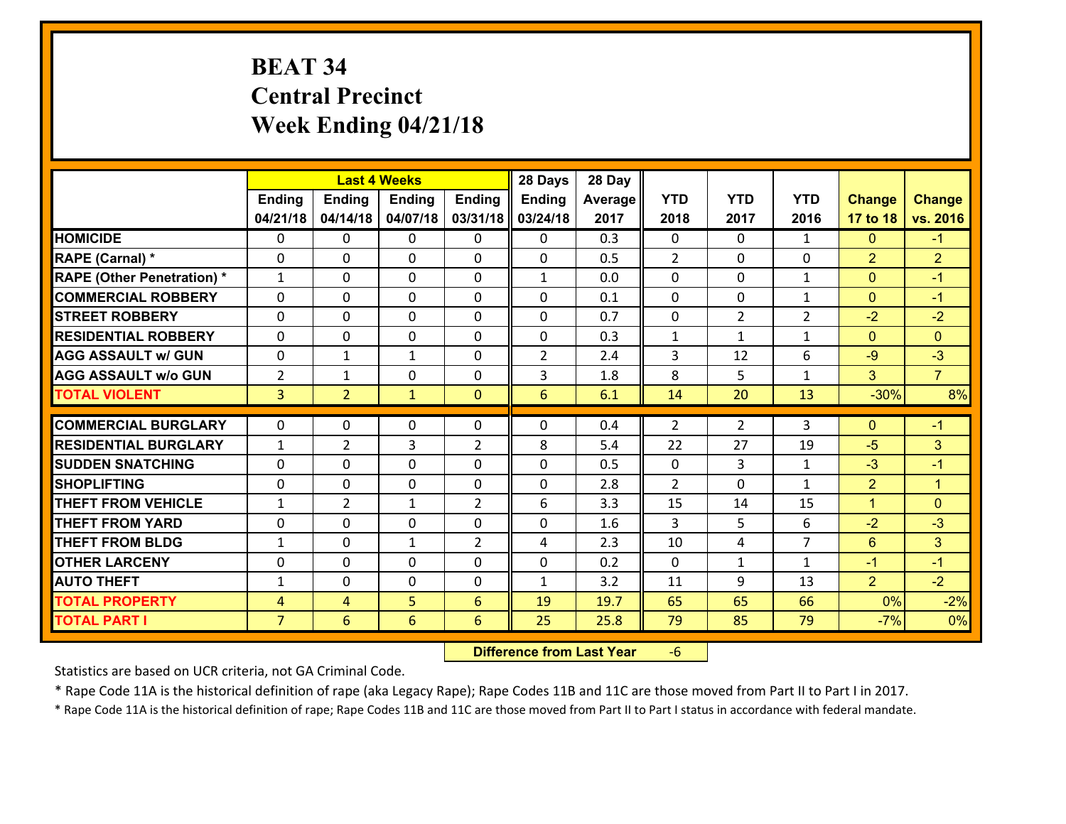# **BEAT 34 Central Precinct Week Ending 04/21/18**

|                                   |                |                | <b>Last 4 Weeks</b> |                | 28 Days        | 28 Day  |              |                |                |                |                |
|-----------------------------------|----------------|----------------|---------------------|----------------|----------------|---------|--------------|----------------|----------------|----------------|----------------|
|                                   | Ending         | <b>Ending</b>  | <b>Ending</b>       | <b>Ending</b>  | <b>Ending</b>  | Average | <b>YTD</b>   | <b>YTD</b>     | <b>YTD</b>     | <b>Change</b>  | <b>Change</b>  |
|                                   | 04/21/18       | 04/14/18       | 04/07/18            | 03/31/18       | 03/24/18       | 2017    | 2018         | 2017           | 2016           | 17 to 18       | vs. 2016       |
| <b>HOMICIDE</b>                   | 0              | 0              | 0                   | 0              | 0              | 0.3     | $\mathbf{0}$ | $\Omega$       | $\mathbf{1}$   | $\mathbf{0}$   | $-1$           |
| RAPE (Carnal) *                   | 0              | 0              | $\mathbf{0}$        | 0              | $\Omega$       | 0.5     | 2            | $\Omega$       | 0              | $\overline{2}$ | $\overline{2}$ |
| <b>RAPE (Other Penetration) *</b> | $\mathbf{1}$   | 0              | $\mathbf{0}$        | $\Omega$       | $\mathbf{1}$   | 0.0     | $\Omega$     | 0              | $\mathbf{1}$   | $\mathbf{0}$   | $-1$           |
| <b>COMMERCIAL ROBBERY</b>         | $\Omega$       | 0              | $\mathbf 0$         | $\Omega$       | 0              | 0.1     | $\Omega$     | $\mathbf{0}$   | $\mathbf{1}$   | $\mathbf{0}$   | $-1$           |
| <b>ISTREET ROBBERY</b>            | 0              | 0              | $\mathbf 0$         | 0              | 0              | 0.7     | 0            | $\overline{2}$ | $\overline{2}$ | $-2$           | $-2$           |
| <b>RESIDENTIAL ROBBERY</b>        | $\mathbf{0}$   | 0              | $\mathbf 0$         | 0              | 0              | 0.3     | $\mathbf{1}$ | $\mathbf{1}$   | $\mathbf{1}$   | $\mathbf{0}$   | $\Omega$       |
| <b>AGG ASSAULT w/ GUN</b>         | 0              | 1              | 1                   | 0              | $\overline{2}$ | 2.4     | 3            | 12             | 6              | $-9$           | $-3$           |
| <b>AGG ASSAULT W/o GUN</b>        | $\overline{2}$ | $\mathbf{1}$   | $\mathbf 0$         | $\mathbf{0}$   | 3              | 1.8     | 8            | 5              | $\mathbf{1}$   | 3 <sup>1</sup> | $\overline{7}$ |
| <b>TOTAL VIOLENT</b>              | $\overline{3}$ | $\overline{2}$ | $\mathbf{1}$        | $\overline{0}$ | 6              | 6.1     | 14           | 20             | 13             | $-30%$         | 8%             |
| <b>COMMERCIAL BURGLARY</b>        | $\mathbf{0}$   | 0              | $\mathbf{0}$        | 0              | $\Omega$       | 0.4     | 2            | $\overline{2}$ | 3              | $\mathbf{0}$   | $-1$           |
| <b>RESIDENTIAL BURGLARY</b>       | $\mathbf{1}$   | $\overline{2}$ | 3                   | $\overline{2}$ | 8              | 5.4     | 22           | 27             | 19             | $-5$           | 3              |
| <b>SUDDEN SNATCHING</b>           | $\Omega$       | 0              | $\mathbf 0$         | $\Omega$       | $\Omega$       | 0.5     | $\Omega$     | 3              | $\mathbf{1}$   | $-3$           | $-1$           |
| <b>SHOPLIFTING</b>                | $\mathbf{0}$   | 0              | $\mathbf{0}$        | $\Omega$       | $\Omega$       | 2.8     | 2            | $\Omega$       | $\mathbf{1}$   | $\overline{2}$ | $\mathbf{1}$   |
| <b>THEFT FROM VEHICLE</b>         | 1              | $\overline{2}$ | 1                   | $\overline{2}$ | 6              | 3.3     | 15           | 14             | 15             | $\mathbf{1}$   | $\Omega$       |
| <b>THEFT FROM YARD</b>            | 0              | 0              | $\mathbf 0$         | 0              | 0              | 1.6     | 3            | 5              | 6              | $-2$           | $-3$           |
| <b>THEFT FROM BLDG</b>            | $\mathbf{1}$   | 0              | $\mathbf{1}$        | $\overline{2}$ | 4              | 2.3     | 10           | 4              | $\overline{7}$ | 6              | 3 <sup>1</sup> |
| <b>OTHER LARCENY</b>              | 0              | 0              | $\mathbf 0$         | 0              | 0              | 0.2     | 0            | $\mathbf{1}$   | $\mathbf{1}$   | $-1$           | $-1$           |
| <b>AUTO THEFT</b>                 | $\mathbf{1}$   | 0              | 0                   | 0              | $\mathbf{1}$   | 3.2     | 11           | 9              | 13             | $\overline{2}$ | $-2$           |
| <b>TOTAL PROPERTY</b>             | 4              | 4              | 5                   | 6              | 19             | 19.7    | 65           | 65             | 66             | 0%             | $-2%$          |
| <b>TOTAL PART I</b>               | $\overline{7}$ | 6              | 6                   | 6              | 25             | 25.8    | 79           | 85             | 79             | $-7%$          | 0%             |

 **Difference from Last Year**‐6

Statistics are based on UCR criteria, not GA Criminal Code.

\* Rape Code 11A is the historical definition of rape (aka Legacy Rape); Rape Codes 11B and 11C are those moved from Part II to Part I in 2017.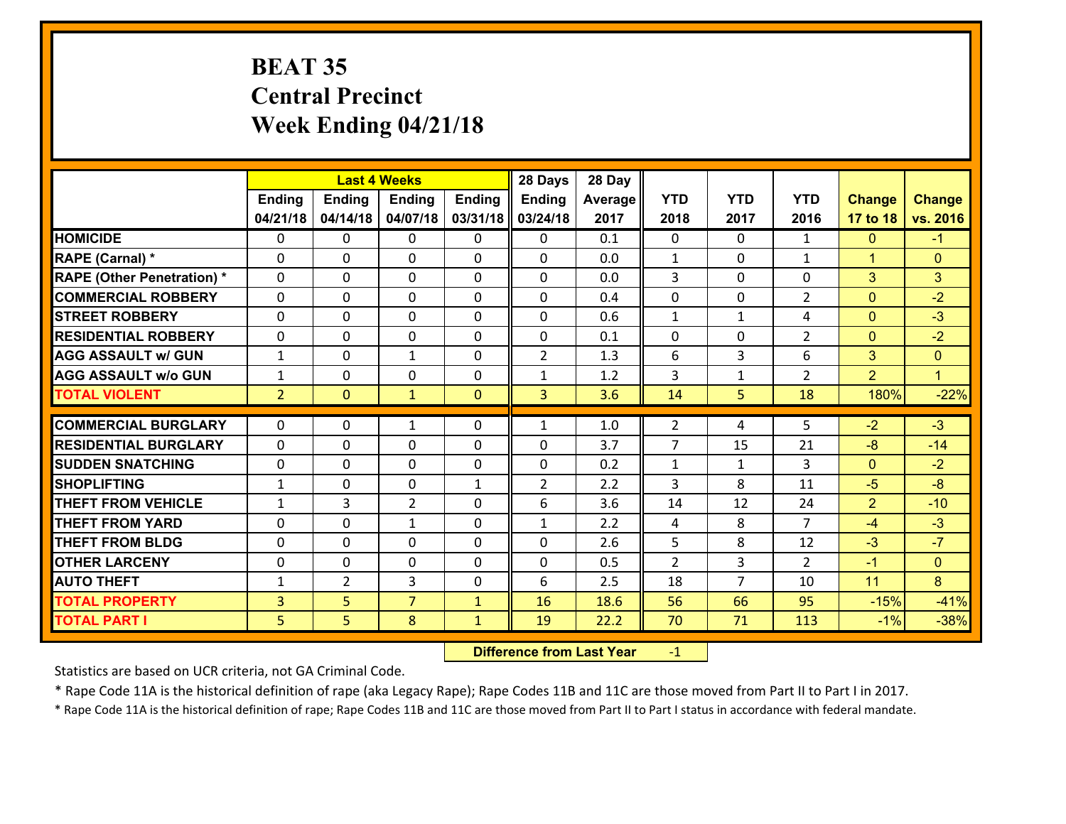# **BEAT 35 Central PrecinctWeek Ending 04/21/18**

|                                                  |                |                | <b>Last 4 Weeks</b>            |               | 28 Days           | 28 Day     |                |                |                      |                      |                |
|--------------------------------------------------|----------------|----------------|--------------------------------|---------------|-------------------|------------|----------------|----------------|----------------------|----------------------|----------------|
|                                                  | Ending         | <b>Ending</b>  | <b>Ending</b>                  | <b>Ending</b> | <b>Ending</b>     | Average    | <b>YTD</b>     | <b>YTD</b>     | <b>YTD</b>           | <b>Change</b>        | <b>Change</b>  |
|                                                  | 04/21/18       | 04/14/18       | 04/07/18                       | 03/31/18      | 03/24/18          | 2017       | 2018           | 2017           | 2016                 | 17 to 18             | vs. 2016       |
| <b>HOMICIDE</b>                                  | $\mathbf{0}$   | 0              | $\mathbf{0}$                   | 0             | 0                 | 0.1        | $\mathbf{0}$   | $\Omega$       | $\mathbf{1}$         | $\mathbf{0}$         | $-1$           |
| RAPE (Carnal) *                                  | $\Omega$       | 0              | $\mathbf{0}$                   | 0             | $\Omega$          | 0.0        | 1              | $\Omega$       | $\mathbf{1}$         | $\mathbf{1}$         | $\mathbf{0}$   |
| <b>RAPE (Other Penetration) *</b>                | $\Omega$       | $\Omega$       | $\Omega$                       | $\Omega$      | $\Omega$          | 0.0        | 3              | 0              | $\Omega$             | 3                    | 3              |
| <b>COMMERCIAL ROBBERY</b>                        | 0              | 0              | $\mathbf 0$                    | 0             | 0                 | 0.4        | 0              | $\mathbf{0}$   | $\overline{2}$       | $\mathbf{0}$         | $-2$           |
| <b>STREET ROBBERY</b>                            | $\Omega$       | 0              | $\mathbf{0}$                   | $\Omega$      | $\Omega$          | 0.6        | 1              | $\mathbf{1}$   | 4                    | $\mathbf{0}$         | $-3$           |
| <b>RESIDENTIAL ROBBERY</b>                       | $\Omega$       | $\Omega$       | $\mathbf 0$                    | $\Omega$      | 0                 | 0.1        | $\Omega$       | $\Omega$       | $\overline{2}$       | $\mathbf{0}$         | $-2$           |
| <b>AGG ASSAULT w/ GUN</b>                        | $\mathbf{1}$   | $\Omega$       | $\mathbf{1}$                   | $\Omega$      | $\overline{2}$    | 1.3        | 6              | 3              | 6                    | 3                    | $\Omega$       |
| <b>AGG ASSAULT W/o GUN</b>                       | $\mathbf{1}$   | 0              | $\mathbf 0$                    | 0             | $\mathbf{1}$      | 1.2        | 3              | $\mathbf{1}$   | $\overline{2}$       | $\overline{2}$       | $\mathbf{1}$   |
| <b>TOTAL VIOLENT</b>                             | $\overline{2}$ | $\mathbf{0}$   | $\mathbf{1}$                   | $\mathbf{0}$  | $\overline{3}$    | 3.6        | 14             | 5              | 18                   | 180%                 | $-22%$         |
|                                                  |                |                |                                |               |                   |            |                |                |                      |                      |                |
|                                                  |                |                |                                |               |                   |            |                |                |                      |                      |                |
| <b>COMMERCIAL BURGLARY</b>                       | $\mathbf{0}$   | 0              | 1                              | 0             | $\mathbf{1}$      | 1.0        | $\overline{2}$ | 4              | 5                    | $-2$                 | $-3$           |
| <b>RESIDENTIAL BURGLARY</b>                      | $\mathbf{0}$   | 0              | $\mathbf{0}$                   | 0             | $\Omega$          | 3.7        | $\overline{7}$ | 15             | 21                   | -8                   | $-14$          |
| <b>ISUDDEN SNATCHING</b>                         | $\Omega$       | 0              | $\mathbf{0}$                   | $\Omega$      | $\Omega$          | 0.2        | 1              | $\mathbf{1}$   | 3                    | $\mathbf{0}$         | $-2$           |
| <b>SHOPLIFTING</b>                               | $\mathbf{1}$   | 0              | $\mathbf 0$                    | $\mathbf{1}$  | $\overline{2}$    | 2.2        | 3              | 8              | 11                   | $-5$                 | $-8$           |
| <b>THEFT FROM VEHICLE</b>                        | $\mathbf{1}$   | 3              | $\overline{2}$<br>$\mathbf{1}$ | $\Omega$<br>0 | 6<br>$\mathbf{1}$ | 3.6        | 14             | 12             | 24<br>$\overline{7}$ | $\overline{2}$<br>-4 | $-10$          |
| <b>THEFT FROM YARD</b><br><b>THEFT FROM BLDG</b> | 0<br>0         | 0<br>0         | $\mathbf 0$                    | 0             | 0                 | 2.2<br>2.6 | 4<br>5         | 8<br>8         | 12                   | $-3$                 | $-3$<br>$-7$   |
| <b>OTHER LARCENY</b>                             | 0              | 0              | $\mathbf 0$                    | 0             | 0                 | 0.5        | $\overline{2}$ | 3              | $\overline{2}$       | $-1$                 | $\overline{0}$ |
| <b>AUTO THEFT</b>                                | $\mathbf{1}$   | $\overline{2}$ | 3                              | 0             | 6                 | 2.5        | 18             | $\overline{7}$ | 10                   | 11                   | 8              |
| <b>TOTAL PROPERTY</b>                            | 3              | 5              | $\overline{7}$                 | $\mathbf{1}$  | 16                | 18.6       | 56             | 66             | 95                   | $-15%$               | $-41%$         |
| <b>TOTAL PART I</b>                              | 5              | 5              | 8                              | $\mathbf{1}$  | 19                | 22.2       | 70             | 71             | 113                  | $-1%$                | $-38%$         |

 **Difference from Last Year**r -1

Statistics are based on UCR criteria, not GA Criminal Code.

\* Rape Code 11A is the historical definition of rape (aka Legacy Rape); Rape Codes 11B and 11C are those moved from Part II to Part I in 2017.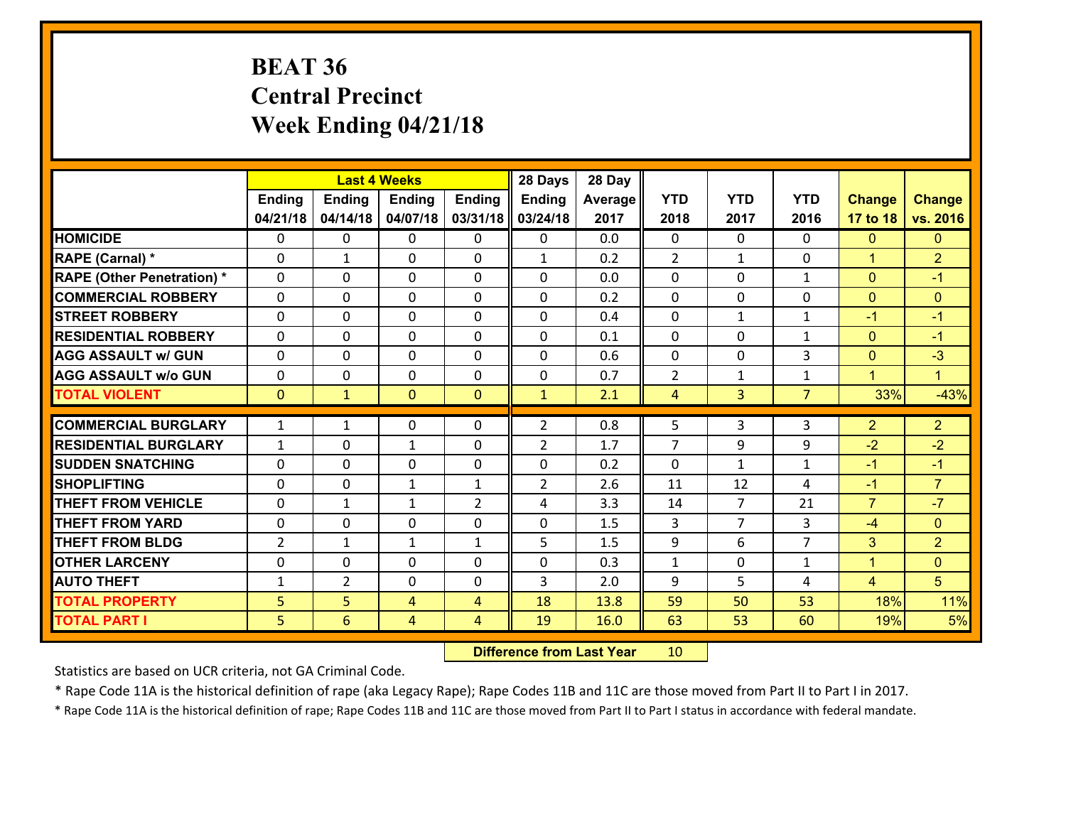# **BEAT 36 Central Precinct Week Ending 04/21/18**

|                                   |                |                | <b>Last 4 Weeks</b> |                | 28 Days        | 28 Day  |                |                |                |                      |                |
|-----------------------------------|----------------|----------------|---------------------|----------------|----------------|---------|----------------|----------------|----------------|----------------------|----------------|
|                                   | <b>Ending</b>  | <b>Ending</b>  | <b>Ending</b>       | <b>Ending</b>  | Ending         | Average | <b>YTD</b>     | <b>YTD</b>     | <b>YTD</b>     | <b>Change</b>        | <b>Change</b>  |
|                                   | 04/21/18       | 04/14/18       | 04/07/18            | 03/31/18       | 03/24/18       | 2017    | 2018           | 2017           | 2016           | 17 to 18             | vs. 2016       |
| <b>HOMICIDE</b>                   | $\Omega$       | 0              | $\mathbf{0}$        | 0              | 0              | 0.0     | $\Omega$       | $\Omega$       | 0              | $\mathbf{0}$         | $\mathbf{0}$   |
| RAPE (Carnal) *                   | $\Omega$       | $\mathbf{1}$   | $\mathbf{0}$        | 0              | $\mathbf{1}$   | 0.2     | 2              | $\mathbf{1}$   | 0              | $\blacktriangleleft$ | $\overline{2}$ |
| <b>RAPE (Other Penetration) *</b> | 0              | 0              | $\mathbf 0$         | 0              | 0              | 0.0     | 0              | $\mathbf{0}$   | $\mathbf{1}$   | $\mathbf{0}$         | $-1$           |
| <b>COMMERCIAL ROBBERY</b>         | $\mathbf{0}$   | 0              | 0                   | 0              | $\Omega$       | 0.2     | $\mathbf{0}$   | 0              | 0              | $\mathbf{0}$         | $\mathbf{0}$   |
| <b>STREET ROBBERY</b>             | 0              | 0              | $\mathbf 0$         | 0              | 0              | 0.4     | 0              | $\mathbf{1}$   | $\mathbf{1}$   | $-1$                 | $-1$           |
| <b>RESIDENTIAL ROBBERY</b>        | 0              | 0              | $\mathbf 0$         | 0              | 0              | 0.1     | 0              | 0              | $\mathbf{1}$   | $\mathbf{0}$         | $-1$           |
| <b>AGG ASSAULT w/ GUN</b>         | 0              | 0              | $\mathbf 0$         | 0              | 0              | 0.6     | 0              | 0              | 3              | $\mathbf{0}$         | $-3$           |
| <b>AGG ASSAULT w/o GUN</b>        | 0              | 0              | $\mathbf 0$         | $\mathbf{0}$   | $\mathbf 0$    | 0.7     | $\overline{2}$ | $\mathbf{1}$   | $\mathbf{1}$   | $\mathbf{1}$         | $\blacksquare$ |
| <b>TOTAL VIOLENT</b>              | $\mathbf{0}$   | $\mathbf{1}$   | $\mathbf{0}$        | $\mathbf{0}$   | $\mathbf{1}$   | 2.1     | 4              | $\overline{3}$ | $\overline{7}$ | 33%                  | $-43%$         |
| <b>COMMERCIAL BURGLARY</b>        | $\mathbf{1}$   | $\mathbf{1}$   | $\mathbf{0}$        | 0              | $\overline{2}$ | 0.8     | 5              | 3              | 3              | $\overline{2}$       | $\overline{2}$ |
| <b>RESIDENTIAL BURGLARY</b>       | $\mathbf{1}$   | 0              | $\mathbf{1}$        | 0              | $\overline{2}$ | 1.7     | $\overline{7}$ | 9              | 9              | $-2$                 | $-2$           |
| <b>ISUDDEN SNATCHING</b>          | $\mathbf{0}$   | 0              | $\mathbf{0}$        | $\Omega$       | $\Omega$       | 0.2     | $\Omega$       | $\mathbf{1}$   | $\mathbf{1}$   | $-1$                 | $-1$           |
| <b>SHOPLIFTING</b>                | $\Omega$       | $\Omega$       | $\mathbf{1}$        | $\mathbf{1}$   | $\overline{2}$ | 2.6     | 11             | 12             | 4              | $-1$                 | $\overline{7}$ |
| <b>THEFT FROM VEHICLE</b>         | $\mathbf{0}$   | $\mathbf{1}$   | $\mathbf{1}$        | $\overline{2}$ | 4              | 3.3     | 14             | $\overline{7}$ | 21             | $\overline{7}$       | $-7$           |
| <b>THEFT FROM YARD</b>            | 0              | 0              | 0                   | 0              | 0              | 1.5     | 3              | $\overline{7}$ | 3              | $-4$                 | $\mathbf{0}$   |
| <b>THEFT FROM BLDG</b>            | $\overline{2}$ | $\mathbf{1}$   | $\mathbf{1}$        | $\mathbf{1}$   | 5              | 1.5     | 9              | 6              | $\overline{7}$ | 3                    | $\overline{2}$ |
| <b>OTHER LARCENY</b>              | 0              | 0              | $\mathbf 0$         | 0              | 0              | 0.3     | $\mathbf{1}$   | 0              | $\mathbf{1}$   | $\mathbf{1}$         | $\overline{0}$ |
| <b>AUTO THEFT</b>                 | $\mathbf{1}$   | $\overline{2}$ | 0                   | 0              | 3              | 2.0     | 9              | 5              | 4              | $\overline{4}$       | 5              |
| <b>TOTAL PROPERTY</b>             | 5              | 5              |                     | 4              | 18             | 13.8    | 59             | 50             | 53             | 18%                  | 11%            |
|                                   |                |                | 4                   |                |                |         |                |                |                |                      |                |
| <b>TOTAL PART I</b>               | 5              | 6              | 4                   | 4              | 19             | 16.0    | 63             | 53             | 60             | 19%                  | 5%             |

 **Difference from Last Year**r 10

Statistics are based on UCR criteria, not GA Criminal Code.

\* Rape Code 11A is the historical definition of rape (aka Legacy Rape); Rape Codes 11B and 11C are those moved from Part II to Part I in 2017.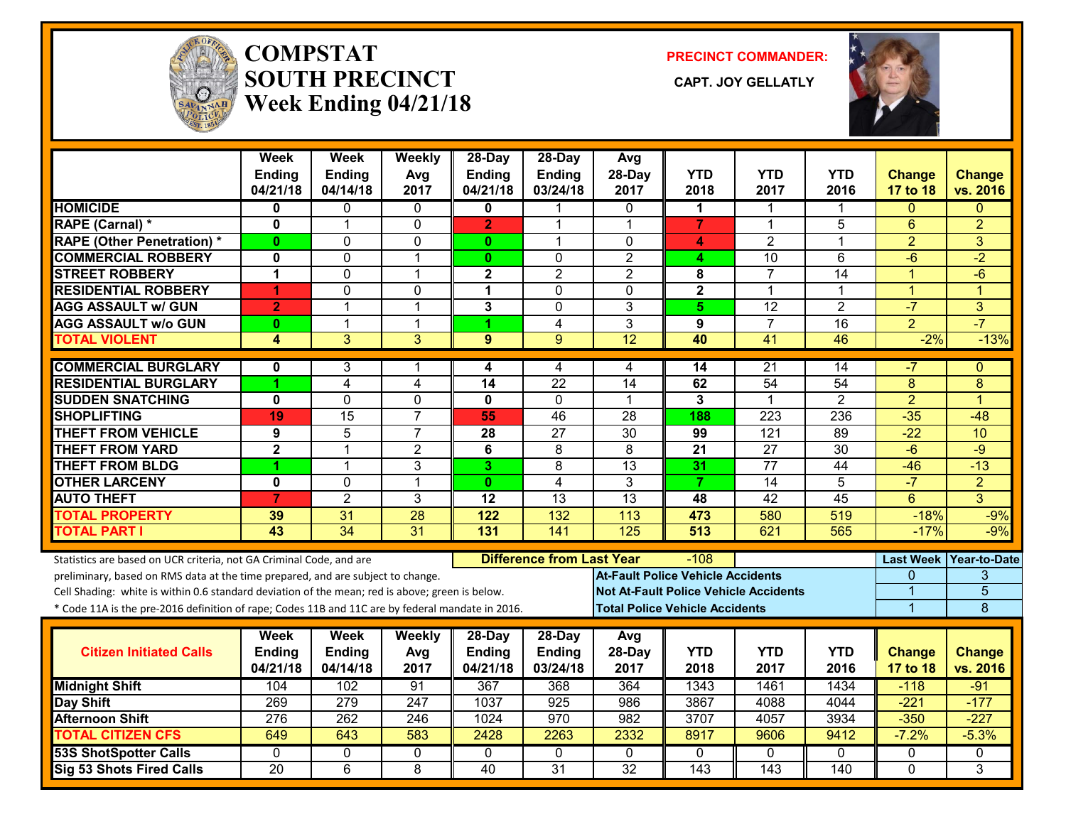

#### **COMPSTATSOUTH PRECINCT** CAPT. JOY GELLATLY **Week Ending 04/21/18**

**PRECINCT COMMANDER:**



|                                                                                                  | Week<br><b>Ending</b><br>04/21/18 | Week<br><b>Ending</b><br>04/14/18 | Weekly<br>Avg<br>2017 | 28-Day<br><b>Ending</b><br>04/21/18 | $28$ -Day<br><b>Ending</b><br>03/24/18 | Avg<br>28-Day<br>2017                        | <b>YTD</b><br>2018      | <b>YTD</b><br>2017 | <b>YTD</b><br>2016 | <b>Change</b><br>17 to 18 | <b>Change</b><br>vs. 2016 |
|--------------------------------------------------------------------------------------------------|-----------------------------------|-----------------------------------|-----------------------|-------------------------------------|----------------------------------------|----------------------------------------------|-------------------------|--------------------|--------------------|---------------------------|---------------------------|
| <b>HOMICIDE</b>                                                                                  | 0                                 | 0                                 | 0                     | $\mathbf{0}$                        | 1                                      | 0                                            | 1                       | 1                  | 1                  | $\Omega$                  | $\Omega$                  |
| <b>RAPE (Carnal) *</b>                                                                           | $\mathbf 0$                       | 1                                 | $\Omega$              | $\overline{2}$                      | 1                                      | 1                                            | $\overline{7}$          | 1                  | 5                  | $6\phantom{1}6$           | $\overline{2}$            |
| <b>RAPE (Other Penetration) *</b>                                                                | $\mathbf{0}$                      | $\Omega$                          | $\Omega$              | $\mathbf{0}$                        | $\mathbf 1$                            | $\Omega$                                     | 4                       | $\overline{2}$     | 1                  | $\overline{2}$            | 3                         |
| <b>COMMERCIAL ROBBERY</b>                                                                        | $\mathbf 0$                       | $\mathbf 0$                       | $\mathbf 1$           | $\mathbf{0}$                        | $\mathbf{0}$                           | $\overline{2}$                               | 4                       | 10                 | 6                  | $-6$                      | $-2$                      |
| <b>STREET ROBBERY</b>                                                                            | 1                                 | 0                                 | 1                     | 2                                   | $\overline{2}$                         | $\overline{2}$                               | 8                       | $\overline{7}$     | 14                 | 1                         | $-6$                      |
| <b>RESIDENTIAL ROBBERY</b>                                                                       | 1                                 | $\Omega$                          | 0                     | 1                                   | $\Omega$                               | $\Omega$                                     | $\overline{\mathbf{2}}$ | 1                  | 1                  | $\overline{1}$            | $\blacktriangleleft$      |
| <b>AGG ASSAULT w/ GUN</b>                                                                        | $\overline{2}$                    | $\overline{1}$                    | $\mathbf{1}$          | 3                                   | $\mathbf 0$                            | 3                                            | 5                       | 12                 | $\overline{2}$     | $-7$                      | 3                         |
| <b>AGG ASSAULT w/o GUN</b>                                                                       | $\bf{0}$                          | 1                                 | $\mathbf{1}$          | 1                                   | 4                                      | 3                                            | 9                       | $\overline{7}$     | 16                 | $\overline{2}$            | $-7$                      |
| <b>TOTAL VIOLENT</b>                                                                             | 4                                 | 3                                 | 3                     | 9                                   | 9                                      | $\overline{12}$                              | 40                      | $\overline{41}$    | 46                 | $-2%$                     | $-13%$                    |
| <b>COMMERCIAL BURGLARY</b>                                                                       | 0                                 | 3                                 | 1                     | 4                                   | 4                                      | 4                                            | 14                      | 21                 | 14                 | -7                        | $\Omega$                  |
| <b>RESIDENTIAL BURGLARY</b>                                                                      | 1                                 | $\overline{4}$                    | 4                     | 14                                  | $\overline{22}$                        | 14                                           | 62                      | 54                 | 54                 | 8                         | 8                         |
| <b>SUDDEN SNATCHING</b>                                                                          | $\mathbf 0$                       | $\overline{0}$                    | $\overline{0}$        | $\mathbf 0$                         | $\mathbf 0$                            | 1                                            | $\overline{3}$          | 1                  | $\overline{2}$     | $\overline{2}$            | 1                         |
| <b>SHOPLIFTING</b>                                                                               | 19                                | 15                                | $\overline{7}$        | 55                                  | 46                                     | 28                                           | 188                     | 223                | 236                | $-35$                     | $-48$                     |
| <b>THEFT FROM VEHICLE</b>                                                                        | 9                                 | 5                                 | $\overline{7}$        | 28                                  | $\overline{27}$                        | $\overline{30}$                              | 99                      | $\overline{121}$   | 89                 | $-22$                     | 10                        |
| <b>THEFT FROM YARD</b>                                                                           | $\overline{\mathbf{2}}$           | 1                                 | $\overline{2}$        | 6                                   | 8                                      | 8                                            | $\overline{21}$         | $\overline{27}$    | $\overline{30}$    | $-6$                      | $-9$                      |
| <b>THEFT FROM BLDG</b>                                                                           | 1                                 | $\mathbf{1}$                      | 3                     | 3                                   | 8                                      | 13                                           | 31                      | 77                 | 44                 | $-46$                     | $-13$                     |
| <b>OTHER LARCENY</b>                                                                             | $\mathbf 0$                       | $\mathbf{0}$                      | $\mathbf{1}$          | $\mathbf{0}$                        | 4                                      | 3                                            | $\overline{7}$          | 14                 | 5                  | $-7$                      | $\overline{2}$            |
| <b>AUTO THEFT</b>                                                                                | $\overline{7}$                    | $\overline{2}$                    | 3                     | $\overline{12}$                     | $\overline{13}$                        | $\overline{13}$                              | 48                      | $\overline{42}$    | $\overline{45}$    | $6\phantom{1}$            | 3                         |
| <b>TOTAL PROPERTY</b>                                                                            | 39                                | 31                                | 28                    | 122                                 | 132                                    | 113                                          | 473                     | 580                | 519                | $-18%$                    | $-9%$                     |
| <b>TOTAL PART I</b>                                                                              | 43                                | $\overline{34}$                   | $\overline{31}$       | 131                                 | $\overline{141}$                       | 125                                          | 513                     | 621                | 565                | $-17%$                    | $-9%$                     |
| Statistics are based on UCR criteria, not GA Criminal Code, and are                              |                                   |                                   |                       |                                     | <b>Difference from Last Year</b>       |                                              | -108                    |                    |                    |                           | Last Week Year-to-Date    |
| preliminary, based on RMS data at the time prepared, and are subject to change.                  |                                   |                                   |                       |                                     |                                        | <b>At-Fault Police Vehicle Accidents</b>     |                         |                    |                    | $\Omega$                  | 3                         |
| Cell Shading: white is within 0.6 standard deviation of the mean; red is above; green is below.  |                                   |                                   |                       |                                     |                                        | <b>Not At-Fault Police Vehicle Accidents</b> |                         |                    |                    | 1                         | $\overline{5}$            |
| * Code 11A is the pre-2016 definition of rape; Codes 11B and 11C are by federal mandate in 2016. |                                   |                                   |                       |                                     |                                        | <b>Total Police Vehicle Accidents</b>        |                         |                    |                    | $\overline{1}$            | 8                         |
|                                                                                                  | Week                              | Week                              | Weekly                | $28$ -Day                           | $28$ -Day                              | Avg                                          |                         |                    |                    |                           |                           |
| <b>Citizen Initiated Calls</b>                                                                   | <b>Ending</b>                     | <b>Ending</b>                     | Avg                   | <b>Ending</b>                       | <b>Ending</b>                          | 28-Day                                       | <b>YTD</b>              | <b>YTD</b>         | <b>YTD</b>         | <b>Change</b>             | <b>Change</b>             |
|                                                                                                  | 04/21/18                          | 04/14/18                          | 2017                  | 04/21/18                            | 03/24/18                               | 2017                                         | 2018                    | 2017               | 2016               | 17 to 18                  | vs. 2016                  |
| <b>Midnight Shift</b>                                                                            | 104                               | 102                               | 91                    | 367                                 | 368                                    | 364                                          | 1343                    | 1461               | 1434               | $-118$                    | $-91$                     |
| <b>Day Shift</b>                                                                                 | 269                               | 279                               | 247                   | 1037                                | 925                                    | 986                                          | 3867                    | 4088               | 4044               | $-221$                    | $-177$                    |
| <b>Afternoon Shift</b>                                                                           | 276                               | 262                               | 246                   | 1024                                | 970                                    | 982                                          | 3707                    | 4057               | 3934               | $-350$                    | $-227$                    |
| <b>TOTAL CITIZEN CFS</b>                                                                         | 649                               | 643                               | 583                   | 2428                                | 2263                                   | 2332                                         | 8917                    | 9606               | 9412               | $-7.2%$                   | $-5.3%$                   |
| <b>53S ShotSpotter Calls</b>                                                                     | $\mathbf{0}$                      | 0                                 | 0                     | $\Omega$                            | $\mathbf{0}$                           | $\mathbf{0}$                                 | 0                       | $\Omega$           | 0                  | 0                         | 0                         |
| Sig 53 Shots Fired Calls                                                                         | $\overline{20}$                   | 6                                 | 8                     | 40                                  | $\overline{31}$                        | $\overline{32}$                              | 143                     | 143                | 140                | $\Omega$                  | 3                         |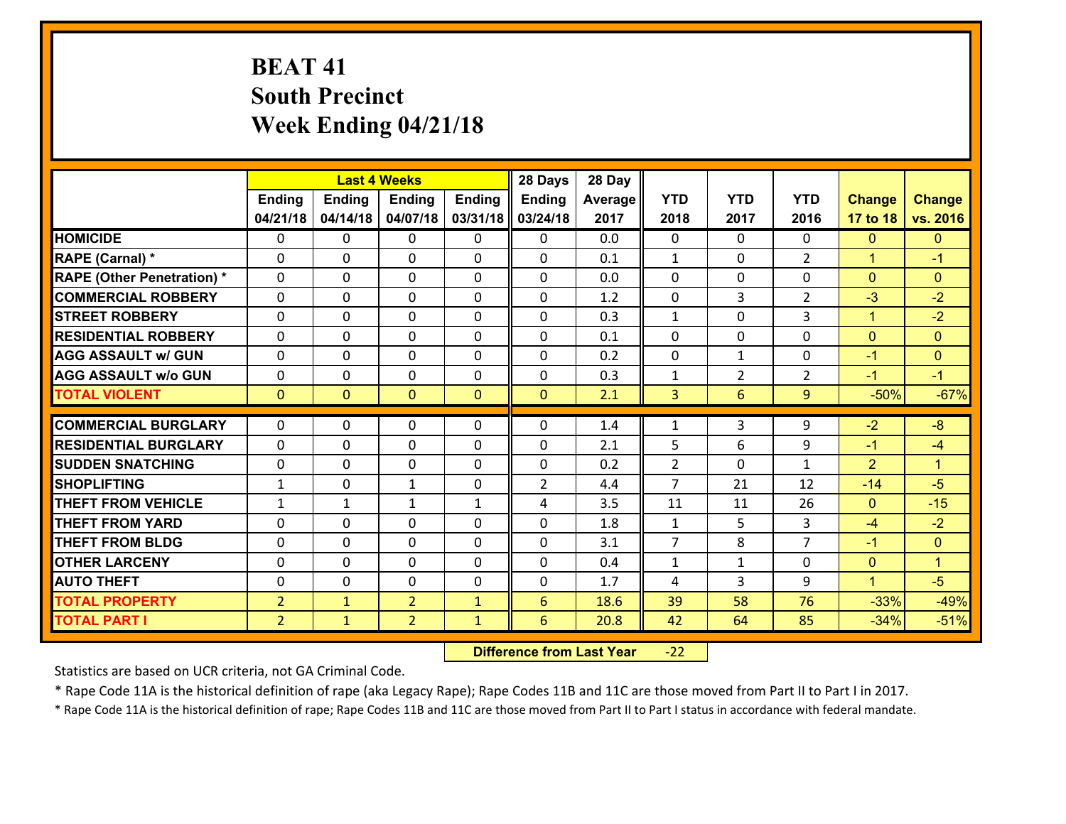# **BEAT 41 South Precinct Week Ending 04/21/18**

|                                   |                |               | <b>Last 4 Weeks</b> |               | 28 Days        | 28 Day  |                |                |                |                      |                      |
|-----------------------------------|----------------|---------------|---------------------|---------------|----------------|---------|----------------|----------------|----------------|----------------------|----------------------|
|                                   | <b>Ending</b>  | <b>Ending</b> | <b>Ending</b>       | <b>Ending</b> | <b>Ending</b>  | Average | <b>YTD</b>     | <b>YTD</b>     | <b>YTD</b>     | <b>Change</b>        | <b>Change</b>        |
|                                   | 04/21/18       | 04/14/18      | 04/07/18            | 03/31/18      | 03/24/18       | 2017    | 2018           | 2017           | 2016           | 17 to 18             | vs. 2016             |
| <b>HOMICIDE</b>                   | 0              | $\Omega$      | $\Omega$            | 0             | $\Omega$       | 0.0     | $\Omega$       | $\Omega$       | 0              | $\mathbf{0}$         | $\mathbf{0}$         |
| RAPE (Carnal) *                   | $\Omega$       | 0             | $\mathbf{0}$        | 0             | 0              | 0.1     | $\mathbf{1}$   | $\Omega$       | $\overline{2}$ | $\mathbf{1}$         | $-1$                 |
| <b>RAPE (Other Penetration) *</b> | $\Omega$       | 0             | $\mathbf{0}$        | $\Omega$      | 0              | 0.0     | $\Omega$       | $\Omega$       | $\Omega$       | $\mathbf{0}$         | $\mathbf{0}$         |
| <b>COMMERCIAL ROBBERY</b>         | 0              | 0             | 0                   | $\Omega$      | $\mathbf{0}$   | 1.2     | $\mathbf{0}$   | 3              | $\overline{2}$ | $-3$                 | $-2$                 |
| <b>STREET ROBBERY</b>             | 0              | 0             | $\mathbf 0$         | 0             | 0              | 0.3     | $\mathbf{1}$   | $\mathbf 0$    | 3              | $\mathbf{1}$         | $-2$                 |
| <b>RESIDENTIAL ROBBERY</b>        | $\Omega$       | $\Omega$      | $\mathbf 0$         | $\Omega$      | $\Omega$       | 0.1     | $\Omega$       | $\Omega$       | $\Omega$       | $\overline{0}$       | $\mathbf{0}$         |
| <b>AGG ASSAULT w/ GUN</b>         | 0              | $\Omega$      | $\mathbf 0$         | $\Omega$      | $\Omega$       | 0.2     | $\mathbf 0$    | $\mathbf{1}$   | 0              | $-1$                 | $\mathbf{0}$         |
| <b>AGG ASSAULT w/o GUN</b>        | 0              | 0             | $\mathbf 0$         | 0             | 0              | 0.3     | $\mathbf{1}$   | $\overline{2}$ | $\overline{2}$ | $-1$                 | $-1$                 |
| <b>TOTAL VIOLENT</b>              | $\mathbf{0}$   | $\mathbf{0}$  | $\mathbf{0}$        | $\mathbf{0}$  | $\mathbf{0}$   | 2.1     | 3              | 6              | 9              | $-50%$               | $-67%$               |
| <b>COMMERCIAL BURGLARY</b>        | $\Omega$       | $\Omega$      | $\mathbf{0}$        | $\Omega$      | 0              | 1.4     | $\mathbf{1}$   | 3              | 9              | $-2$                 | $-8$                 |
| <b>RESIDENTIAL BURGLARY</b>       | 0              | 0             | $\mathbf 0$         | 0             | 0              | 2.1     | 5              | 6              | 9              | $-1$                 | $-4$                 |
| <b>SUDDEN SNATCHING</b>           | 0              | 0             | 0                   | $\Omega$      | 0              | 0.2     | $\overline{2}$ | $\mathbf 0$    | $\mathbf{1}$   | $\overline{2}$       | $\blacktriangleleft$ |
| <b>SHOPLIFTING</b>                | $\mathbf{1}$   | 0             | $\mathbf{1}$        | 0             | $\overline{2}$ | 4.4     | $\overline{7}$ | 21             | 12             | $-14$                | $-5$                 |
| <b>THEFT FROM VEHICLE</b>         | $\mathbf{1}$   | $\mathbf{1}$  | $\mathbf{1}$        | $\mathbf{1}$  | 4              | 3.5     | 11             | 11             | 26             | $\mathbf{0}$         | $-15$                |
| <b>THEFT FROM YARD</b>            | 0              | $\mathbf 0$   | $\mathbf 0$         | $\Omega$      | 0              | 1.8     | $\mathbf{1}$   | 5              | 3              | $-4$                 | $-2$                 |
| <b>THEFT FROM BLDG</b>            | 0              | 0             | $\mathbf 0$         | $\Omega$      | 0              | 3.1     | $\overline{7}$ | 8              | $\overline{7}$ | $-1$                 | $\mathbf{0}$         |
| <b>OTHER LARCENY</b>              | 0              | 0             | $\mathbf 0$         | 0             | 0              | 0.4     | $\mathbf{1}$   | $\mathbf{1}$   | 0              | $\overline{0}$       | $\mathbf{1}$         |
| <b>AUTO THEFT</b>                 | $\Omega$       | 0             | $\mathbf{0}$        | $\Omega$      | 0              | 1.7     | 4              | 3              | 9              | $\blacktriangleleft$ | $-5$                 |
| <b>TOTAL PROPERTY</b>             | $\overline{2}$ | $\mathbf{1}$  | $\overline{2}$      | $\mathbf{1}$  | 6              | 18.6    | 39             | 58             | 76             | $-33%$               | $-49%$               |
| <b>TOTAL PART I</b>               | $\overline{2}$ | $\mathbf{1}$  | $\overline{2}$      | $\mathbf{1}$  | $6\phantom{1}$ | 20.8    | 42             | 64             | 85             | $-34%$               | $-51%$               |
|                                   |                |               |                     |               |                |         |                |                |                |                      |                      |

 **Difference from Last Year**r -22

Statistics are based on UCR criteria, not GA Criminal Code.

\* Rape Code 11A is the historical definition of rape (aka Legacy Rape); Rape Codes 11B and 11C are those moved from Part II to Part I in 2017.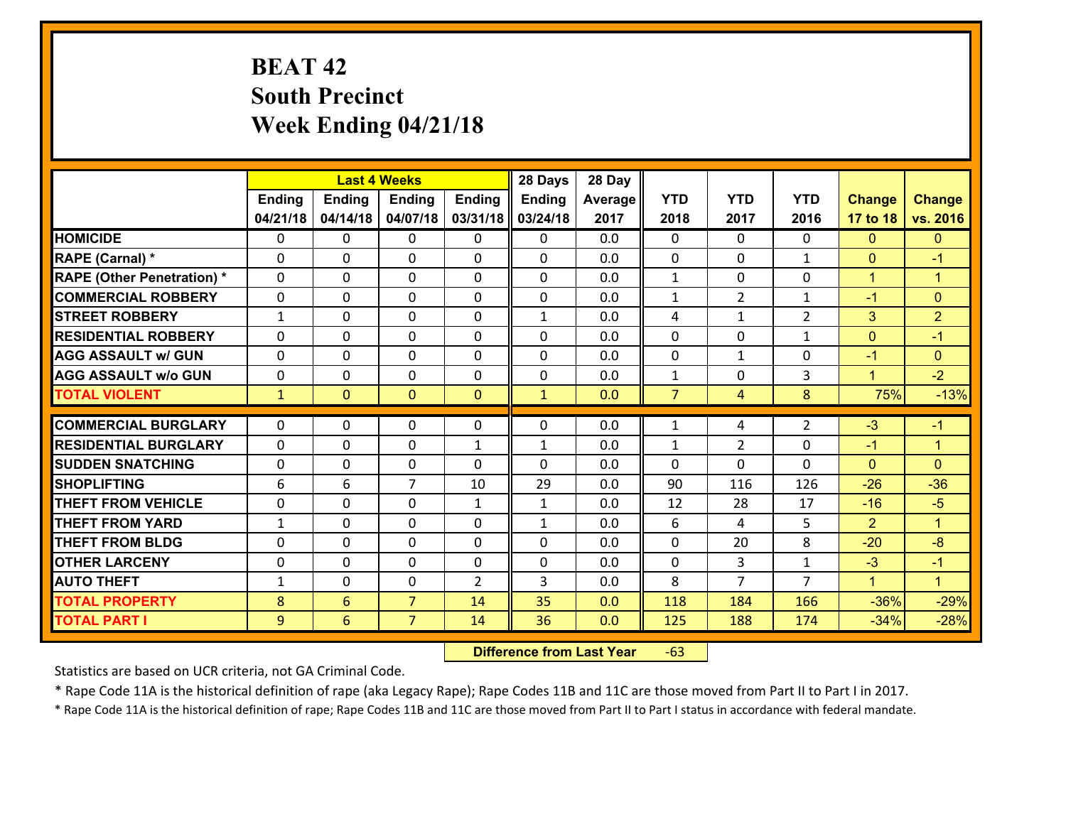# **BEAT 42 South Precinct Week Ending 04/21/18**

|                                              |               |                                   | <b>Last 4 Weeks</b>              |                | 28 Days      | 28 Day     |                |                |                |                  |                      |
|----------------------------------------------|---------------|-----------------------------------|----------------------------------|----------------|--------------|------------|----------------|----------------|----------------|------------------|----------------------|
|                                              | <b>Ending</b> | Ending                            | <b>Ending</b>                    | <b>Ending</b>  | Ending       | Average    | <b>YTD</b>     | <b>YTD</b>     | <b>YTD</b>     | <b>Change</b>    | <b>Change</b>        |
|                                              | 04/21/18      | 04/14/18                          | 04/07/18                         | 03/31/18       | 03/24/18     | 2017       | 2018           | 2017           | 2016           | 17 to 18         | vs. 2016             |
| <b>HOMICIDE</b>                              | $\Omega$      | 0                                 | $\mathbf{0}$                     | $\Omega$       | 0            | 0.0        | $\Omega$       | $\Omega$       | $\Omega$       | $\mathbf{0}$     | $\mathbf{0}$         |
| RAPE (Carnal) *                              | $\Omega$      | 0                                 | $\mathbf{0}$                     | 0              | $\Omega$     | 0.0        | $\Omega$       | $\Omega$       | $\mathbf{1}$   | $\mathbf{0}$     | $-1$                 |
| <b>RAPE (Other Penetration) *</b>            | $\Omega$      | 0                                 | $\mathbf 0$                      | 0              | 0            | 0.0        | $\mathbf{1}$   | 0              | 0              | $\mathbf{1}$     | $\blacktriangleleft$ |
| <b>COMMERCIAL ROBBERY</b>                    | 0             | 0                                 | 0                                | 0              | $\Omega$     | 0.0        | $\mathbf{1}$   | $\overline{2}$ | 1              | $-1$             | $\mathbf{0}$         |
| <b>STREET ROBBERY</b>                        | $\mathbf{1}$  | 0                                 | $\mathbf 0$                      | 0              | $\mathbf{1}$ | 0.0        | 4              | $\mathbf{1}$   | $\overline{2}$ | 3                | $\overline{2}$       |
| <b>RESIDENTIAL ROBBERY</b>                   | 0             | 0                                 | $\mathbf 0$                      | 0              | 0            | 0.0        | $\mathbf 0$    | $\mathbf 0$    | $\mathbf{1}$   | $\mathbf{0}$     | $-1$                 |
| <b>AGG ASSAULT w/ GUN</b>                    | 0             | 0                                 | $\mathbf 0$                      | 0              | 0            | 0.0        | $\mathbf 0$    | $\mathbf{1}$   | 0              | $-1$             | $\mathbf{0}$         |
| <b>AGG ASSAULT w/o GUN</b>                   | 0             | 0                                 | $\mathbf 0$                      | 0              | 0            | 0.0        | $\mathbf 1$    | $\mathbf 0$    | 3              | $\mathbf{1}$     | $-2$                 |
| <b>TOTAL VIOLENT</b>                         | $\mathbf{1}$  | $\overline{0}$                    | $\mathbf{O}$                     | $\mathbf{0}$   | $\mathbf{1}$ | 0.0        | $\overline{7}$ | $\overline{4}$ | 8              | 75%              | $-13%$               |
| <b>COMMERCIAL BURGLARY</b>                   | $\Omega$      | 0                                 | $\mathbf{0}$                     | 0              | $\Omega$     | 0.0        | 1              | 4              | $\overline{2}$ | $-3$             | $-1$                 |
| <b>RESIDENTIAL BURGLARY</b>                  | $\Omega$      | 0                                 | $\mathbf 0$                      | $\mathbf{1}$   | $\mathbf{1}$ | 0.0        | $\mathbf{1}$   | $\overline{2}$ | $\Omega$       | $-1$             | $\blacktriangleleft$ |
|                                              |               |                                   |                                  |                |              |            |                |                |                |                  |                      |
|                                              |               |                                   |                                  |                |              |            |                |                |                |                  |                      |
| <b>SUDDEN SNATCHING</b>                      | $\mathbf{0}$  | 0                                 | 0                                | $\Omega$       | $\Omega$     | 0.0        | $\Omega$       | $\Omega$       | $\Omega$       | $\mathbf{0}$     | $\Omega$             |
| <b>SHOPLIFTING</b>                           | 6             | 6                                 | $\overline{7}$                   | 10             | 29           | 0.0        | 90             | 116            | 126            | $-26$            | $-36$                |
| <b>THEFT FROM VEHICLE</b>                    | 0             | 0                                 | $\mathbf 0$                      | $\mathbf{1}$   | $\mathbf{1}$ | 0.0        | 12             | 28             | 17             | $-16$            | $-5$                 |
| <b>THEFT FROM YARD</b>                       | $\mathbf{1}$  | 0                                 | 0                                | 0              | $\mathbf{1}$ | 0.0        | 6              | 4              | 5              | $\overline{2}$   | $\blacktriangleleft$ |
| <b>THEFT FROM BLDG</b>                       | 0             | $\Omega$                          | $\mathbf 0$                      | 0              | 0            | 0.0        | $\mathbf 0$    | 20             | 8              | $-20$            | $-8$                 |
| <b>OTHER LARCENY</b>                         | 0             | 0                                 | $\mathbf 0$                      | 0              | 0            | 0.0        | 0              | 3              | $\mathbf{1}$   | $-3$             | $-1$                 |
| <b>AUTO THEFT</b>                            | $\mathbf{1}$  | 0                                 | 0                                | $\overline{2}$ | 3            | 0.0        | 8              | $\overline{7}$ | $\overline{7}$ | $\mathbf{1}$     | $\blacklozenge$      |
| <b>TOTAL PROPERTY</b><br><b>TOTAL PART I</b> | 8<br>9        | $6\overline{6}$<br>$6\phantom{1}$ | $\overline{7}$<br>$\overline{7}$ | 14<br>14       | 35<br>36     | 0.0<br>0.0 | 118<br>125     | 184<br>188     | 166<br>174     | $-36%$<br>$-34%$ | $-29%$<br>$-28%$     |

 **Difference from Last Year**r -63

Statistics are based on UCR criteria, not GA Criminal Code.

\* Rape Code 11A is the historical definition of rape (aka Legacy Rape); Rape Codes 11B and 11C are those moved from Part II to Part I in 2017.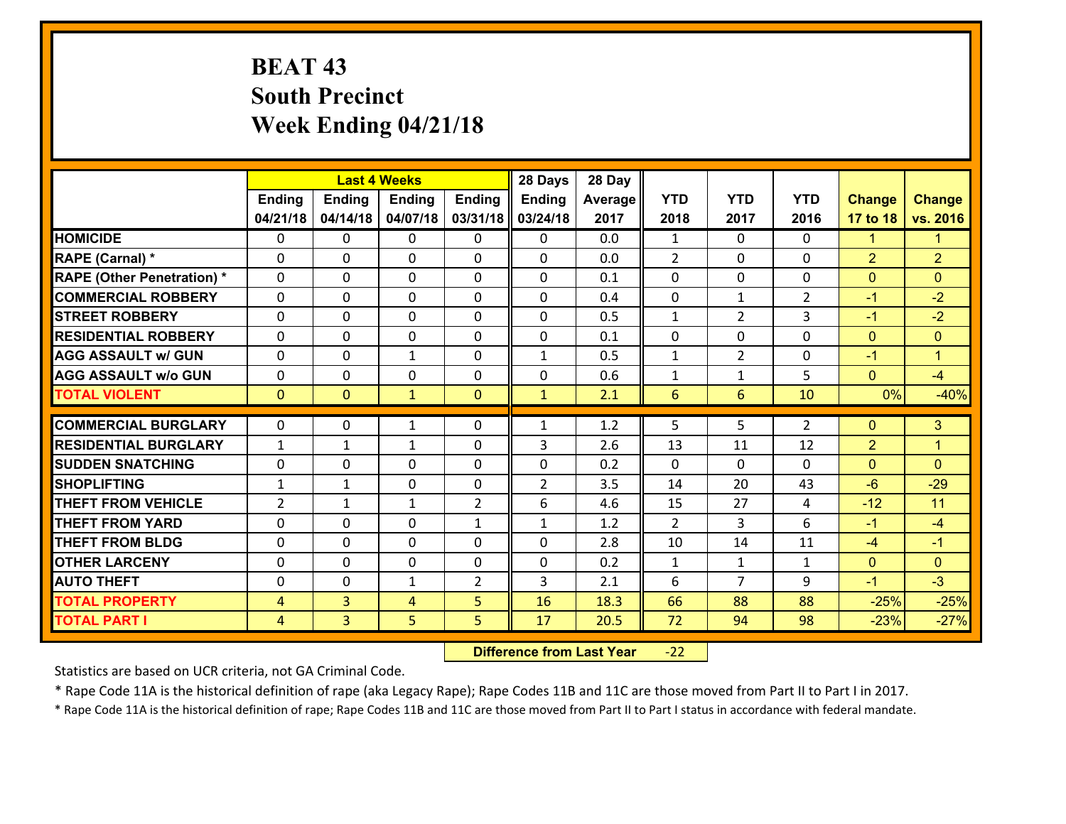# **BEAT 43 South Precinct Week Ending 04/21/18**

|                                   |                |                | <b>Last 4 Weeks</b> |                | 28 Days        | 28 Day  |                |                |                |                |                      |
|-----------------------------------|----------------|----------------|---------------------|----------------|----------------|---------|----------------|----------------|----------------|----------------|----------------------|
|                                   | <b>Ending</b>  | <b>Ending</b>  | <b>Ending</b>       | <b>Ending</b>  | <b>Ending</b>  | Average | <b>YTD</b>     | <b>YTD</b>     | <b>YTD</b>     | <b>Change</b>  | <b>Change</b>        |
|                                   | 04/21/18       | 04/14/18       | 04/07/18            | 03/31/18       | 03/24/18       | 2017    | 2018           | 2017           | 2016           | 17 to 18       | vs. 2016             |
| <b>HOMICIDE</b>                   | $\Omega$       | $\Omega$       | $\mathbf{0}$        | 0              | $\mathbf{0}$   | 0.0     | 1              | $\Omega$       | $\Omega$       | 1              | 1                    |
| RAPE (Carnal) *                   | $\Omega$       | $\Omega$       | $\mathbf{0}$        | 0              | $\Omega$       | 0.0     | $\overline{2}$ | $\Omega$       | $\Omega$       | $\overline{2}$ | $\overline{2}$       |
| <b>RAPE (Other Penetration) *</b> | $\Omega$       | $\Omega$       | $\mathbf 0$         | $\Omega$       | $\Omega$       | 0.1     | $\Omega$       | $\Omega$       | $\Omega$       | $\mathbf{0}$   | $\Omega$             |
| <b>COMMERCIAL ROBBERY</b>         | $\Omega$       | $\Omega$       | $\mathbf 0$         | $\Omega$       | $\Omega$       | 0.4     | $\mathbf 0$    | $\mathbf{1}$   | $\overline{2}$ | $-1$           | $-2$                 |
| <b>STREET ROBBERY</b>             | 0              | 0              | 0                   | $\Omega$       | 0              | 0.5     | $\mathbf{1}$   | $\overline{2}$ | 3              | $-1$           | $-2$                 |
| <b>RESIDENTIAL ROBBERY</b>        | 0              | $\Omega$       | 0                   | $\Omega$       | 0              | 0.1     | $\mathbf 0$    | $\mathbf 0$    | 0              | $\overline{0}$ | $\mathbf{0}$         |
| <b>AGG ASSAULT w/ GUN</b>         | 0              | $\Omega$       | $\mathbf{1}$        | $\Omega$       | $\mathbf{1}$   | 0.5     | $\mathbf{1}$   | $\overline{2}$ | 0              | $-1$           | $\blacktriangleleft$ |
| <b>AGG ASSAULT w/o GUN</b>        | 0              | 0              | $\mathbf 0$         | $\Omega$       | 0              | 0.6     | $\mathbf{1}$   | $\mathbf{1}$   | 5              | $\overline{0}$ | $-4$                 |
| <b>TOTAL VIOLENT</b>              | $\mathbf{0}$   | $\mathbf{0}$   | $\mathbf{1}$        | $\overline{0}$ | $\mathbf{1}$   | 2.1     | 6              | 6              | 10             | 0%             | $-40%$               |
| <b>COMMERCIAL BURGLARY</b>        | 0              | 0              | $\mathbf{1}$        | 0              | $\mathbf{1}$   | 1.2     | 5              | 5              | $\overline{2}$ | $\mathbf{0}$   | 3                    |
| <b>RESIDENTIAL BURGLARY</b>       | $\mathbf{1}$   | $\mathbf{1}$   | $\mathbf{1}$        | $\Omega$       | 3              | 2.6     | 13             | 11             | 12             | $\overline{2}$ | $\overline{1}$       |
| <b>SUDDEN SNATCHING</b>           | $\Omega$       | 0              | $\mathbf{0}$        | $\Omega$       | $\mathbf{0}$   | 0.2     | $\Omega$       | $\Omega$       | $\Omega$       | $\mathbf{0}$   | $\Omega$             |
| <b>SHOPLIFTING</b>                | $\mathbf{1}$   | $\mathbf{1}$   | $\mathbf 0$         | $\Omega$       | $\overline{2}$ | 3.5     | 14             | 20             | 43             | $-6$           | $-29$                |
| <b>THEFT FROM VEHICLE</b>         | $\overline{2}$ | $\mathbf{1}$   | $\mathbf{1}$        | $\overline{2}$ | 6              | 4.6     | 15             | 27             | 4              | $-12$          | 11                   |
| <b>THEFT FROM YARD</b>            | 0              | 0              | 0                   | $\mathbf{1}$   | $\mathbf{1}$   | 1.2     | 2              | 3              | 6              | $-1$           | $-4$                 |
| <b>THEFT FROM BLDG</b>            | 0              | $\Omega$       | $\mathbf 0$         | $\Omega$       | $\Omega$       | 2.8     | 10             | 14             | 11             | $-4$           | $-1$                 |
| <b>OTHER LARCENY</b>              | 0              | $\Omega$       | $\mathbf 0$         | $\Omega$       | $\Omega$       | 0.2     | $\mathbf{1}$   | $\mathbf{1}$   | $\mathbf{1}$   | $\overline{0}$ | $\overline{0}$       |
| <b>AUTO THEFT</b>                 | 0              | 0              | 1                   | $\overline{2}$ | 3              | 2.1     | 6              | $\overline{7}$ | 9              | $-1$           | $-3$                 |
| <b>TOTAL PROPERTY</b>             | 4              | $\overline{3}$ | 4                   | 5              | 16             | 18.3    | 66             | 88             | 88             | $-25%$         | $-25%$               |
| <b>TOTAL PART I</b>               | 4              | 3              | 5                   | 5              | 17             | 20.5    | 72             | 94             | 98             | $-23%$         | $-27%$               |

 **Difference from Last Year**r -22

Statistics are based on UCR criteria, not GA Criminal Code.

\* Rape Code 11A is the historical definition of rape (aka Legacy Rape); Rape Codes 11B and 11C are those moved from Part II to Part I in 2017.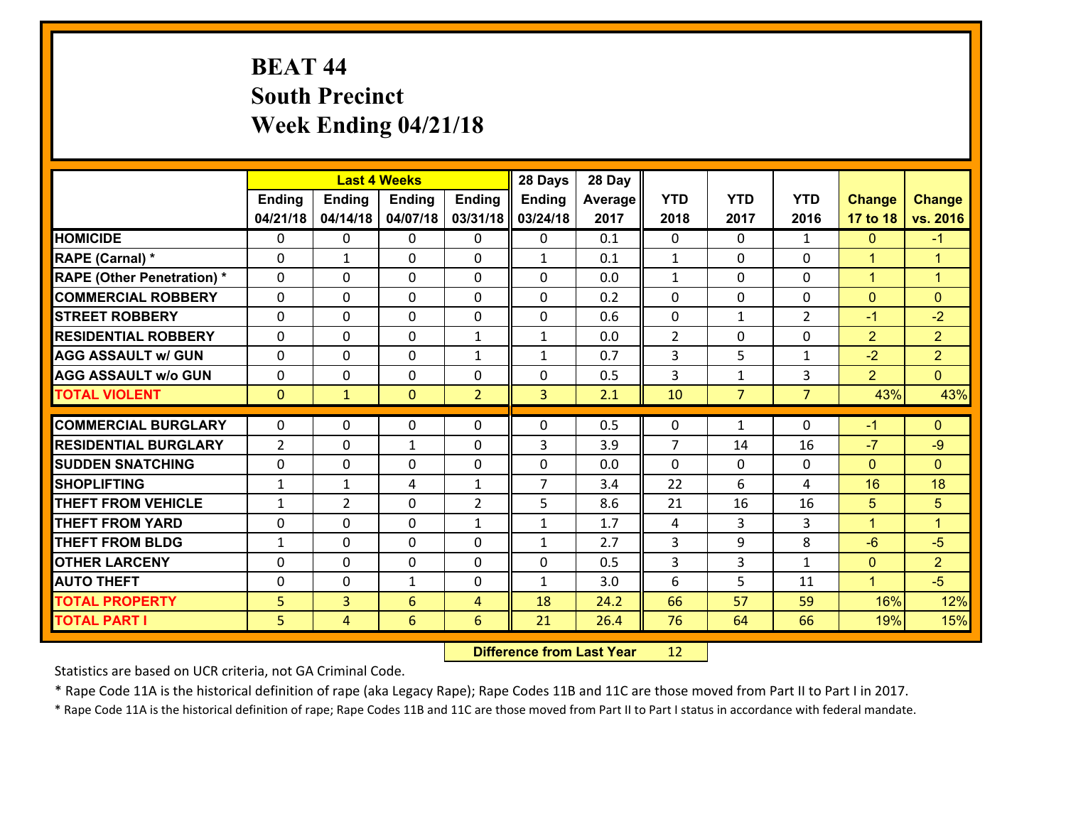# **BEAT 44 South Precinct Week Ending 04/21/18**

|                                   |                |                | <b>Last 4 Weeks</b> |                | 28 Days        | 28 Day  |                |                |                |                      |                      |
|-----------------------------------|----------------|----------------|---------------------|----------------|----------------|---------|----------------|----------------|----------------|----------------------|----------------------|
|                                   | Ending         | <b>Ending</b>  | <b>Ending</b>       | <b>Ending</b>  | <b>Ending</b>  | Average | <b>YTD</b>     | <b>YTD</b>     | <b>YTD</b>     | <b>Change</b>        | <b>Change</b>        |
|                                   | 04/21/18       | 04/14/18       | 04/07/18            | 03/31/18       | 03/24/18       | 2017    | 2018           | 2017           | 2016           | 17 to 18             | vs. 2016             |
| <b>HOMICIDE</b>                   | 0              | 0              | 0                   | 0              | 0              | 0.1     | $\mathbf{0}$   | $\Omega$       | $\mathbf{1}$   | $\mathbf{0}$         | $-1$                 |
| RAPE (Carnal) *                   | 0              | $\mathbf{1}$   | $\mathbf{0}$        | 0              | $\mathbf{1}$   | 0.1     | 1              | $\Omega$       | 0              | $\blacktriangleleft$ | $\blacktriangleleft$ |
| <b>RAPE (Other Penetration) *</b> | $\Omega$       | 0              | $\Omega$            | $\Omega$       | $\Omega$       | 0.0     | $\mathbf{1}$   | 0              | 0              | $\mathbf{1}$         | $\blacktriangleleft$ |
| <b>COMMERCIAL ROBBERY</b>         | $\Omega$       | 0              | $\mathbf 0$         | $\Omega$       | 0              | 0.2     | $\Omega$       | $\Omega$       | 0              | $\mathbf{0}$         | $\Omega$             |
| <b>ISTREET ROBBERY</b>            | 0              | 0              | $\mathbf 0$         | 0              | 0              | 0.6     | 0              | $\mathbf{1}$   | $\overline{2}$ | $-1$                 | $-2$                 |
| <b>RESIDENTIAL ROBBERY</b>        | $\mathbf{0}$   | 0              | $\mathbf 0$         | $\mathbf{1}$   | $\mathbf{1}$   | 0.0     | $\overline{2}$ | $\mathbf{0}$   | 0              | $\overline{2}$       | 2 <sup>1</sup>       |
| <b>AGG ASSAULT w/ GUN</b>         | 0              | 0              | $\mathbf 0$         | $\mathbf{1}$   | $\mathbf{1}$   | 0.7     | 3              | 5              | $\mathbf{1}$   | $-2$                 | $\overline{2}$       |
| <b>AGG ASSAULT w/o GUN</b>        | 0              | 0              | $\mathbf 0$         | 0              | 0              | 0.5     | 3              | $\mathbf{1}$   | 3              | $\overline{2}$       | $\overline{0}$       |
| <b>TOTAL VIOLENT</b>              | $\mathbf{0}$   | $\mathbf{1}$   | $\mathbf{0}$        | $\overline{2}$ | 3              | 2.1     | 10             | $\overline{7}$ | $\overline{7}$ | 43%                  | 43%                  |
| <b>COMMERCIAL BURGLARY</b>        | $\Omega$       | 0              | $\mathbf{0}$        | 0              | 0              | 0.5     | $\mathbf{0}$   | $\mathbf{1}$   | 0              | $-1$                 | $\mathbf{0}$         |
| <b>RESIDENTIAL BURGLARY</b>       | $\overline{2}$ | 0              | 1                   | 0              | 3              | 3.9     | $\overline{7}$ | 14             | 16             | $-7$                 | $-9$                 |
| <b>SUDDEN SNATCHING</b>           | $\Omega$       | 0              | $\mathbf 0$         | $\Omega$       | $\Omega$       | 0.0     | $\Omega$       | 0              | 0              | $\Omega$             | $\Omega$             |
| <b>SHOPLIFTING</b>                | $\mathbf{1}$   | $\mathbf{1}$   | 4                   | $\mathbf{1}$   | $\overline{7}$ | 3.4     | 22             | 6              | 4              | 16                   | 18                   |
| <b>THEFT FROM VEHICLE</b>         | 1              | $\overline{2}$ | 0                   | $\overline{2}$ | 5              | 8.6     | 21             | 16             | 16             | 5                    | 5                    |
| <b>THEFT FROM YARD</b>            | 0              | 0              | $\mathbf 0$         | $\mathbf{1}$   | $\mathbf{1}$   | 1.7     | 4              | 3              | 3              | $\mathbf{1}$         | $\overline{1}$       |
| <b>THEFT FROM BLDG</b>            | $\mathbf{1}$   | 0              | $\mathbf 0$         | 0              | $\mathbf{1}$   | 2.7     | 3              | 9              | 8              | $-6$                 | $-5$                 |
| <b>OTHER LARCENY</b>              | 0              | 0              | $\mathbf 0$         | 0              | 0              | 0.5     | 3              | 3              | $\mathbf{1}$   | $\mathbf{0}$         | $\overline{2}$       |
| <b>AUTO THEFT</b>                 | $\mathbf{0}$   | 0              | 1                   | 0              | $\mathbf{1}$   | 3.0     | 6              | 5              | 11             | $\blacktriangleleft$ | $-5$                 |
| <b>TOTAL PROPERTY</b>             | 5              | 3              | 6                   | $\overline{4}$ | 18             | 24.2    | 66             | 57             | 59             | 16%                  | 12%                  |
| <b>TOTAL PART I</b>               | 5 <sub>1</sub> | $\overline{4}$ | 6                   | 6              | 21             | 26.4    | 76             | 64             | 66             | 19%                  | 15%                  |

 **Difference from Last Year**r 12

Statistics are based on UCR criteria, not GA Criminal Code.

\* Rape Code 11A is the historical definition of rape (aka Legacy Rape); Rape Codes 11B and 11C are those moved from Part II to Part I in 2017.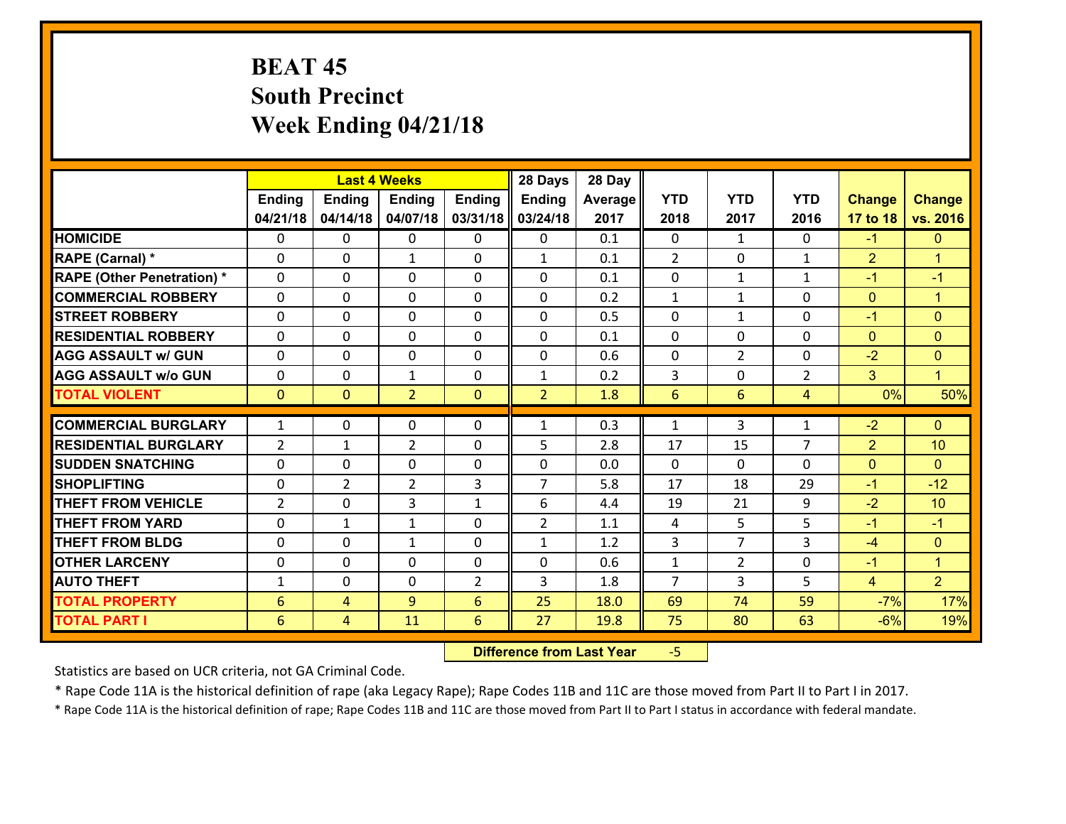# **BEAT 45 South Precinct Week Ending 04/21/18**

|                                   |                |                | <b>Last 4 Weeks</b> |                | 28 Days        | 28 Day  |                |                |                |                |                      |
|-----------------------------------|----------------|----------------|---------------------|----------------|----------------|---------|----------------|----------------|----------------|----------------|----------------------|
|                                   | <b>Ending</b>  | <b>Ending</b>  | <b>Ending</b>       | <b>Ending</b>  | <b>Ending</b>  | Average | <b>YTD</b>     | <b>YTD</b>     | <b>YTD</b>     | <b>Change</b>  | <b>Change</b>        |
|                                   | 04/21/18       | 04/14/18       | 04/07/18            | 03/31/18       | 03/24/18       | 2017    | 2018           | 2017           | 2016           | 17 to 18       | vs. 2016             |
| <b>HOMICIDE</b>                   | 0              | 0              | 0                   | 0              | $\mathbf{0}$   | 0.1     | $\mathbf{0}$   | $\mathbf{1}$   | $\Omega$       | $-1$           | $\mathbf{0}$         |
| RAPE (Carnal) *                   | 0              | $\Omega$       | $\mathbf{1}$        | 0              | $\mathbf{1}$   | 0.1     | 2              | $\Omega$       | $\mathbf{1}$   | $\overline{2}$ | $\blacktriangleleft$ |
| <b>RAPE (Other Penetration) *</b> | $\Omega$       | $\Omega$       | $\Omega$            | $\Omega$       | $\Omega$       | 0.1     | $\Omega$       | $\mathbf{1}$   | $\mathbf{1}$   | $-1$           | $-1$                 |
| <b>COMMERCIAL ROBBERY</b>         | 0              | 0              | $\mathbf 0$         | $\Omega$       | 0              | 0.2     | $\mathbf{1}$   | $\mathbf{1}$   | 0              | $\mathbf{0}$   | $\mathbf{1}$         |
| <b>STREET ROBBERY</b>             | 0              | $\Omega$       | $\mathbf 0$         | $\Omega$       | $\mathbf{0}$   | 0.5     | $\Omega$       | $\mathbf{1}$   | $\Omega$       | $-1$           | $\mathbf{0}$         |
| <b>RESIDENTIAL ROBBERY</b>        | $\Omega$       | $\Omega$       | $\mathbf 0$         | $\Omega$       | $\Omega$       | 0.1     | $\Omega$       | $\Omega$       | $\Omega$       | $\mathbf{0}$   | $\mathbf{0}$         |
| <b>AGG ASSAULT w/ GUN</b>         | 0              | $\Omega$       | $\mathbf 0$         | $\Omega$       | 0              | 0.6     | $\mathbf 0$    | $\overline{2}$ | 0              | $-2$           | $\mathbf{0}$         |
| <b>AGG ASSAULT w/o GUN</b>        | 0              | 0              | $\mathbf{1}$        | 0              | $\mathbf{1}$   | 0.2     | 3              | $\mathbf 0$    | $\overline{2}$ | 3              | $\mathbf{1}$         |
| <b>TOTAL VIOLENT</b>              | $\mathbf{0}$   | $\overline{0}$ | $\overline{2}$      | $\mathbf{0}$   | $\overline{2}$ | 1.8     | 6              | 6              | 4              | 0%             | 50%                  |
| <b>COMMERCIAL BURGLARY</b>        | $\mathbf{1}$   | 0              | 0                   | $\Omega$       | $\mathbf{1}$   | 0.3     | 1              | 3              | 1              | $-2$           | $\mathbf{0}$         |
| <b>RESIDENTIAL BURGLARY</b>       | $\overline{2}$ | 1              | $\overline{2}$      | 0              | 5              | 2.8     | 17             | 15             | $\overline{7}$ | $\overline{2}$ | 10                   |
| <b>ISUDDEN SNATCHING</b>          | $\Omega$       | $\Omega$       | $\mathbf{0}$        | 0              | 0              | 0.0     | $\Omega$       | $\Omega$       | $\Omega$       | $\mathbf{0}$   | $\Omega$             |
| <b>SHOPLIFTING</b>                | $\Omega$       | $\overline{2}$ | $\overline{2}$      | 3              | $\overline{7}$ | 5.8     | 17             | 18             | 29             | $-1$           | $-12$                |
| <b>THEFT FROM VEHICLE</b>         | $\overline{2}$ | $\Omega$       | 3                   | $\mathbf{1}$   | 6              | 4.4     | 19             | 21             | 9              | $-2$           | 10                   |
| <b>THEFT FROM YARD</b>            | 0              | $\mathbf{1}$   | 1                   | 0              | $\overline{2}$ | 1.1     | 4              | 5              | 5              | $-1$           | $-1$                 |
| <b>THEFT FROM BLDG</b>            | 0              | 0              | $\mathbf{1}$        | 0              | $\mathbf{1}$   | 1.2     | 3              | $\overline{7}$ | 3              | $-4$           | $\mathbf{0}$         |
| <b>OTHER LARCENY</b>              | 0              | 0              | $\mathbf 0$         | 0              | 0              | 0.6     | $\mathbf{1}$   | $\overline{2}$ | 0              | $-1$           | $\mathbf{1}$         |
| <b>AUTO THEFT</b>                 | $\mathbf{1}$   | 0              | 0                   | $\overline{2}$ | 3              | 1.8     | $\overline{7}$ | 3              | 5              | $\overline{4}$ | $\overline{2}$       |
| <b>TOTAL PROPERTY</b>             | 6              | 4              | 9                   | 6              | 25             | 18.0    | 69             | 74             | 59             | $-7%$          | 17%                  |
| <b>TOTAL PART I</b>               | 6              | 4              | 11                  | 6              | 27             | 19.8    | 75             | 80             | 63             | $-6%$          | 19%                  |

 **Difference from Last Year**‐5

Statistics are based on UCR criteria, not GA Criminal Code.

\* Rape Code 11A is the historical definition of rape (aka Legacy Rape); Rape Codes 11B and 11C are those moved from Part II to Part I in 2017.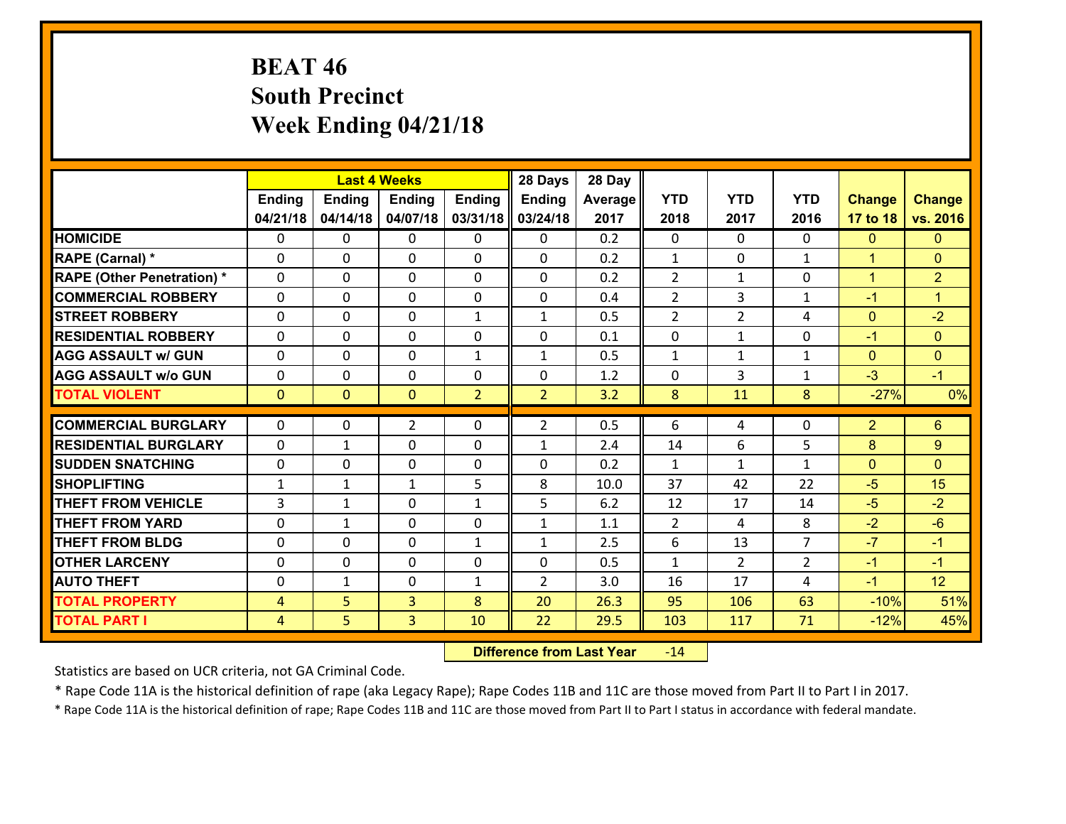# **BEAT 46 South Precinct Week Ending 04/21/18**

|                                                  |                |                | <b>Last 4 Weeks</b>        |                   | 28 Days                      | 28 Day     |                     |                |                     |                |                      |
|--------------------------------------------------|----------------|----------------|----------------------------|-------------------|------------------------------|------------|---------------------|----------------|---------------------|----------------|----------------------|
|                                                  | <b>Ending</b>  | <b>Ending</b>  | <b>Ending</b>              | <b>Ending</b>     | <b>Ending</b>                | Average    | <b>YTD</b>          | <b>YTD</b>     | <b>YTD</b>          | <b>Change</b>  | <b>Change</b>        |
|                                                  | 04/21/18       | 04/14/18       | 04/07/18                   | 03/31/18          | 03/24/18                     | 2017       | 2018                | 2017           | 2016                | 17 to 18       | vs. 2016             |
| <b>HOMICIDE</b>                                  | $\mathbf{0}$   | 0              | $\mathbf{0}$               | $\mathbf{0}$      | 0                            | 0.2        | $\Omega$            | $\Omega$       | $\Omega$            | $\mathbf{0}$   | $\mathbf{0}$         |
| RAPE (Carnal) *                                  | $\Omega$       | 0              | $\mathbf{0}$               | 0                 | 0                            | 0.2        | 1                   | $\Omega$       | $\mathbf{1}$        | $\mathbf{1}$   | $\mathbf{0}$         |
| <b>RAPE (Other Penetration) *</b>                | $\Omega$       | $\Omega$       | $\Omega$                   | $\Omega$          | $\Omega$                     | 0.2        | 2                   | $\mathbf{1}$   | $\Omega$            | $\mathbf{1}$   | $\overline{2}$       |
| <b>COMMERCIAL ROBBERY</b>                        | 0              | 0              | $\mathbf 0$                | 0                 | 0                            | 0.4        | 2                   | 3              | $\mathbf{1}$        | $-1$           | $\blacktriangleleft$ |
| <b>STREET ROBBERY</b>                            | $\Omega$       | 0              | $\mathbf 0$                | $\mathbf{1}$      | $\mathbf{1}$                 | 0.5        | $\overline{2}$      | $\overline{2}$ | 4                   | $\mathbf{0}$   | $-2$                 |
| <b>RESIDENTIAL ROBBERY</b>                       | $\Omega$       | $\Omega$       | $\mathbf 0$                | $\Omega$          | 0                            | 0.1        | 0                   | $\mathbf{1}$   | $\Omega$            | $-1$           | $\overline{0}$       |
| <b>AGG ASSAULT w/ GUN</b>                        | $\Omega$       | 0              | $\mathbf 0$                | $\mathbf{1}$      | $\mathbf{1}$                 | 0.5        | $\mathbf{1}$        | $\mathbf{1}$   | $\mathbf{1}$        | $\mathbf{0}$   | $\mathbf{0}$         |
| <b>AGG ASSAULT w/o GUN</b>                       | 0              | 0              | $\mathbf 0$                | 0                 | 0                            | 1.2        | $\mathbf 0$         | 3              | $\mathbf{1}$        | $-3$           | $-1$                 |
| <b>TOTAL VIOLENT</b>                             | $\mathbf{0}$   | $\overline{0}$ | $\mathbf{0}$               | $\overline{2}$    | $\overline{2}$               | 3.2        | 8                   | 11             | 8                   | $-27%$         | 0%                   |
| <b>COMMERCIAL BURGLARY</b>                       | $\Omega$       | 0              | $\overline{2}$             | 0                 | $\overline{2}$               | 0.5        | 6                   | 4              | $\Omega$            | $\overline{2}$ | 6                    |
| <b>RESIDENTIAL BURGLARY</b>                      | $\Omega$       | 1              | $\mathbf{0}$               | 0                 | 1                            | 2.4        | 14                  | 6              | 5                   | 8              | 9                    |
|                                                  |                |                |                            |                   |                              |            |                     |                |                     |                |                      |
|                                                  |                |                |                            |                   |                              |            |                     |                |                     |                |                      |
| <b>SUDDEN SNATCHING</b>                          | 0              | 0              | $\mathbf{0}$               | $\Omega$          | $\Omega$                     | 0.2        | $\mathbf{1}$        | $\mathbf{1}$   | $\mathbf{1}$        | $\mathbf{0}$   | $\Omega$             |
| <b>SHOPLIFTING</b>                               | $\mathbf{1}$   | $\mathbf{1}$   | $\mathbf{1}$               | 5                 | 8                            | 10.0       | 37                  | 42             | 22                  | $-5$           | 15                   |
| <b>THEFT FROM VEHICLE</b>                        | 3              | 1              | $\mathbf{0}$               | $\mathbf{1}$<br>0 | 5                            | 6.2        | 12                  | 17<br>4        | 14                  | $-5$           | $-2$                 |
| <b>THEFT FROM YARD</b><br><b>THEFT FROM BLDG</b> | 0<br>0         | 1<br>0         | $\mathbf 0$<br>$\mathbf 0$ | $\mathbf{1}$      | $\mathbf{1}$<br>$\mathbf{1}$ | 1.1<br>2.5 | $\overline{2}$<br>6 | 13             | 8<br>$\overline{7}$ | $-2$<br>$-7$   | $-6$<br>$-1$         |
| <b>OTHER LARCENY</b>                             | 0              | 0              | $\mathbf 0$                | 0                 | 0                            | 0.5        | $\mathbf{1}$        | $\overline{2}$ | $\overline{2}$      | $-1$           | $-1$                 |
| <b>AUTO THEFT</b>                                | 0              | $\mathbf{1}$   | $\mathbf 0$                | $\mathbf{1}$      | $\overline{2}$               | 3.0        | 16                  | 17             | 4                   | $-1$           | 12                   |
| <b>TOTAL PROPERTY</b>                            | $\overline{4}$ | 5              | $\overline{3}$             | 8                 | 20                           | 26.3       | 95                  | 106            | 63                  | $-10%$         | 51%                  |
| <b>TOTAL PART I</b>                              | $\overline{4}$ | 5              | 3                          | 10                | 22                           | 29.5       | 103                 | 117            | 71                  | $-12%$         | 45%                  |

 **Difference from Last Year**r -14

Statistics are based on UCR criteria, not GA Criminal Code.

\* Rape Code 11A is the historical definition of rape (aka Legacy Rape); Rape Codes 11B and 11C are those moved from Part II to Part I in 2017.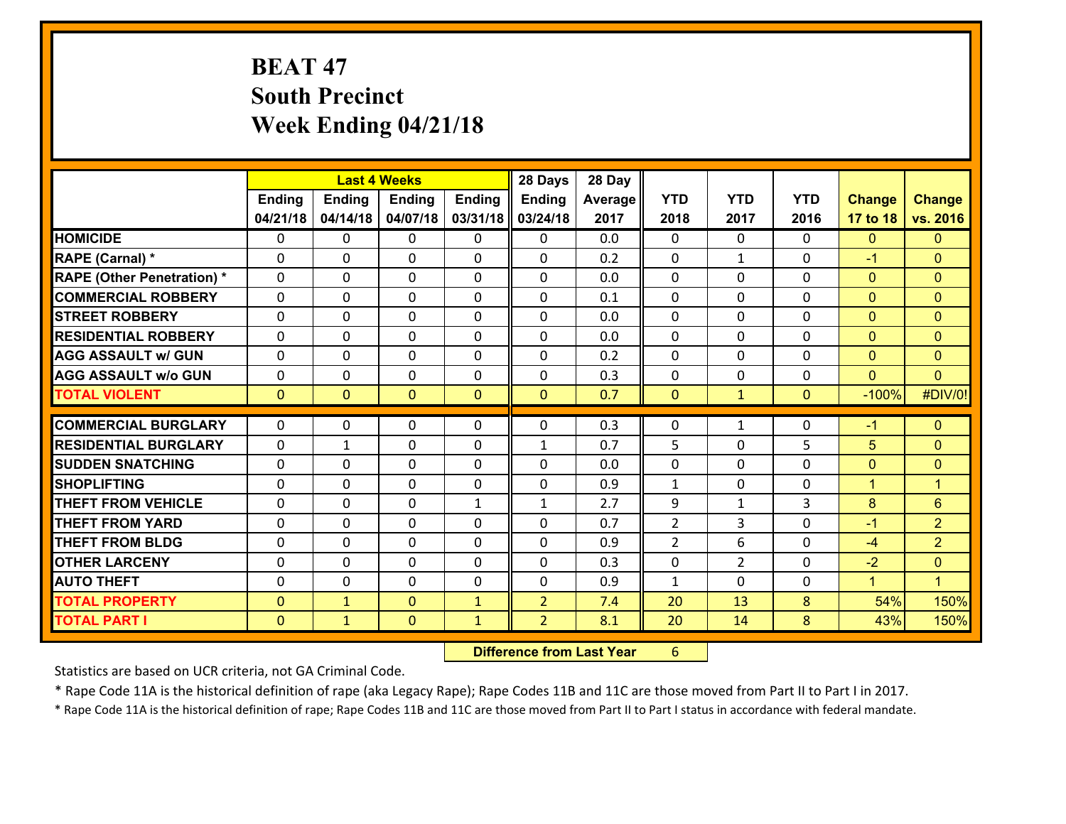# **BEAT 47 South Precinct Week Ending 04/21/18**

|                                   |                | <b>Last 4 Weeks</b> |                |               | 28 Days        | 28 Day  |                |                |              |                      |                |
|-----------------------------------|----------------|---------------------|----------------|---------------|----------------|---------|----------------|----------------|--------------|----------------------|----------------|
|                                   | <b>Ending</b>  | <b>Ending</b>       | <b>Ending</b>  | <b>Ending</b> | <b>Ending</b>  | Average | <b>YTD</b>     | <b>YTD</b>     | <b>YTD</b>   | <b>Change</b>        | <b>Change</b>  |
|                                   | 04/21/18       | 04/14/18            | 04/07/18       | 03/31/18      | 03/24/18       | 2017    | 2018           | 2017           | 2016         | 17 to 18             | vs. 2016       |
| <b>HOMICIDE</b>                   | $\mathbf{0}$   | 0                   | 0              | $\mathbf{0}$  | 0              | 0.0     | $\mathbf{0}$   | $\Omega$       | $\Omega$     | $\mathbf{0}$         | $\overline{0}$ |
| RAPE (Carnal) *                   | $\mathbf{0}$   | 0                   | $\mathbf{0}$   | 0             | 0              | 0.2     | $\mathbf{0}$   | $\mathbf{1}$   | 0            | $-1$                 | $\overline{0}$ |
| <b>RAPE (Other Penetration) *</b> | $\Omega$       | 0                   | $\mathbf{0}$   | 0             | 0              | 0.0     | $\Omega$       | $\Omega$       | 0            | $\mathbf{0}$         | $\Omega$       |
| <b>COMMERCIAL ROBBERY</b>         | 0              | 0                   | $\mathbf{0}$   | 0             | 0              | 0.1     | $\mathbf 0$    | $\Omega$       | 0            | $\mathbf{0}$         | $\overline{0}$ |
| <b>STREET ROBBERY</b>             | $\Omega$       | 0                   | $\Omega$       | $\Omega$      | $\Omega$       | 0.0     | $\Omega$       | $\Omega$       | 0            | $\mathbf{0}$         | $\Omega$       |
| <b>RESIDENTIAL ROBBERY</b>        | 0              | 0                   | 0              | 0             | 0              | 0.0     | 0              | $\Omega$       | 0            | $\overline{0}$       | $\overline{0}$ |
| <b>AGG ASSAULT w/ GUN</b>         | $\Omega$       | $\Omega$            | $\Omega$       | $\Omega$      | $\Omega$       | 0.2     | $\Omega$       | $\Omega$       | 0            | $\mathbf{0}$         | $\Omega$       |
| <b>AGG ASSAULT w/o GUN</b>        | 0              | 0                   | 0              | 0             | 0              | 0.3     | 0              | 0              | 0            | $\mathbf{0}$         | $\Omega$       |
| <b>TOTAL VIOLENT</b>              | $\mathbf{0}$   | $\mathbf{0}$        | $\mathbf{0}$   | $\mathbf{0}$  | $\mathbf{0}$   | 0.7     | $\mathbf{0}$   | $\mathbf{1}$   | $\mathbf{O}$ | $-100%$              | #DIV/0!        |
|                                   |                |                     |                |               |                |         |                |                |              |                      |                |
| <b>COMMERCIAL BURGLARY</b>        | $\mathbf 0$    | 0                   | 0              | 0             | 0              | 0.3     | $\mathbf{0}$   | 1              | 0            | $-1$                 | $\overline{0}$ |
| <b>RESIDENTIAL BURGLARY</b>       | 0              | 1                   | 0              | 0             | 1              | 0.7     | 5              | 0              | 5            | 5                    | $\overline{0}$ |
| <b>SUDDEN SNATCHING</b>           | 0              | 0                   | 0              | 0             | 0              | 0.0     | 0              | 0              | 0            | $\mathbf{0}$         | $\overline{0}$ |
| <b>SHOPLIFTING</b>                | $\Omega$       | 0                   | 0              | 0             | 0              | 0.9     | 1              | 0              | 0            | $\overline{1}$       | 1              |
| <b>THEFT FROM VEHICLE</b>         | $\mathbf{0}$   | 0                   | 0              | $\mathbf{1}$  | 1              | 2.7     | 9              | 1              | 3            | 8                    | 6              |
| <b>THEFT FROM YARD</b>            | 0              | 0                   | 0              | 0             | 0              | 0.7     | $\overline{2}$ | 3              | 0            | $-1$                 | $\overline{2}$ |
| <b>THEFT FROM BLDG</b>            | 0              | 0                   | $\mathbf{0}$   | 0             | 0              | 0.9     | $\overline{2}$ | 6              | 0            | $-4$                 | $\overline{2}$ |
| <b>OTHER LARCENY</b>              | 0              | 0                   | 0              | 0             | 0              | 0.3     | 0              | $\overline{2}$ | 0            | $-2$                 | $\overline{0}$ |
| <b>AUTO THEFT</b>                 | 0              | 0                   | 0              | 0             | 0              | 0.9     | 1              | $\Omega$       | 0            | $\blacktriangleleft$ | $\mathbf{1}$   |
| <b>TOTAL PROPERTY</b>             | $\overline{0}$ | $\mathbf{1}$        | $\overline{0}$ | $\mathbf{1}$  | $\overline{2}$ | 7.4     | 20             | 13             | 8            | 54%                  | 150%           |
| <b>TOTAL PART I</b>               | $\mathbf{0}$   | $\mathbf{1}$        | $\mathbf{0}$   | $\mathbf{1}$  | $\overline{2}$ | 8.1     | 20             | 14             | 8            | 43%                  | 150%           |
|                                   |                |                     |                |               |                |         |                |                |              |                      |                |

 **Difference from Last Year**r 6

Statistics are based on UCR criteria, not GA Criminal Code.

\* Rape Code 11A is the historical definition of rape (aka Legacy Rape); Rape Codes 11B and 11C are those moved from Part II to Part I in 2017.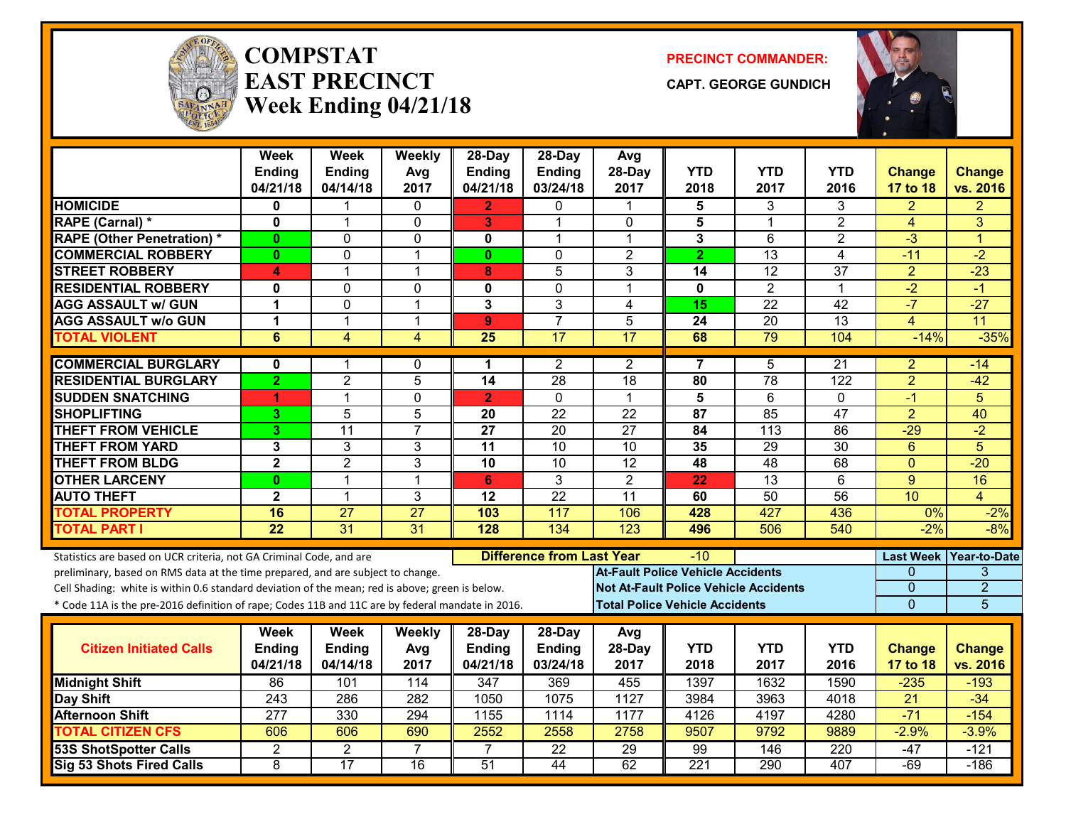

#### **COMPSTATEAST PRECINCTWeek Ending 04/21/18**

**PRECINCT COMMANDER:**

**CAPT. GEORGE GUNDICH**



|                                                                                                                                                        | <b>Week</b><br>Ending   | <b>Week</b><br>Ending | Weekly<br>Avg  | 28-Day<br><b>Ending</b> | 28-Day<br>Ending                 | Avg<br>28-Day                                | <b>YTD</b>       | <b>YTD</b>       | <b>YTD</b>      | <b>Change</b>    | <b>Change</b>   |
|--------------------------------------------------------------------------------------------------------------------------------------------------------|-------------------------|-----------------------|----------------|-------------------------|----------------------------------|----------------------------------------------|------------------|------------------|-----------------|------------------|-----------------|
|                                                                                                                                                        | 04/21/18                | 04/14/18              | 2017           | 04/21/18                | 03/24/18                         | 2017                                         | 2018             | 2017             | 2016            | <b>17 to 18</b>  | vs. 2016        |
| <b>HOMICIDE</b>                                                                                                                                        | 0                       | 1                     | $\mathbf{0}$   | $\mathbf{2}$            | $\mathbf{0}$                     | $\mathbf 1$                                  | 5                | 3                | 3               | 2                | 2               |
| RAPE (Carnal) *                                                                                                                                        | 0                       | $\mathbf 1$           | 0              | 3                       | 1                                | 0                                            | 5                | $\mathbf 1$      | $\overline{2}$  | 4                | 3               |
| <b>RAPE (Other Penetration) *</b>                                                                                                                      | $\mathbf{0}$            | $\Omega$              | $\mathbf 0$    | $\mathbf{0}$            | 1                                | $\mathbf{1}$                                 | 3                | 6                | $\overline{2}$  | $\overline{3}$   | $\overline{1}$  |
| <b>COMMERCIAL ROBBERY</b>                                                                                                                              | $\mathbf{0}$            | 0                     | $\overline{1}$ | $\mathbf{0}$            | $\Omega$                         | $\overline{2}$                               | $\overline{2}$   | $\overline{13}$  | $\overline{4}$  | $-11$            | $-2$            |
| <b>STREET ROBBERY</b>                                                                                                                                  | 4                       | $\mathbf 1$           | $\overline{1}$ | 8                       | 5                                | 3                                            | 14               | $\overline{12}$  | 37              | $\overline{2}$   | $-23$           |
| <b>RESIDENTIAL ROBBERY</b>                                                                                                                             | 0                       | $\Omega$              | $\mathbf 0$    | $\mathbf 0$             | $\Omega$                         | 1                                            | $\mathbf{0}$     | $\overline{2}$   | $\mathbf{1}$    | $-2$             | $-1$            |
| <b>AGG ASSAULT w/ GUN</b>                                                                                                                              | 1                       | 0                     | $\overline{1}$ | 3                       | 3                                | 4                                            | 15               | $\overline{22}$  | $\overline{42}$ | $-7$             | $-27$           |
| <b>AGG ASSAULT w/o GUN</b>                                                                                                                             | 1                       | $\mathbf{1}$          | $\overline{1}$ | 9 <sup>°</sup>          | $\overline{7}$                   | 5                                            | $\overline{24}$  | $\overline{20}$  | $\overline{13}$ | 4                | $\overline{11}$ |
| <b>TOTAL VIOLENT</b>                                                                                                                                   | $\overline{6}$          | $\overline{4}$        | 4              | $\overline{25}$         | 17                               | $\overline{17}$                              | 68               | 79               | 104             | $-14%$           | $-35%$          |
| <b>COMMERCIAL BURGLARY</b>                                                                                                                             | 0                       | 1                     | 0              | 1                       | 2                                | 2                                            | 7                | 5                | 21              | 2                | -14             |
| <b>RESIDENTIAL BURGLARY</b>                                                                                                                            | $\overline{2}$          | $\overline{2}$        | $\overline{5}$ | $\overline{14}$         | 28                               | $\overline{18}$                              | $\overline{80}$  | 78               | 122             | $\overline{2}$   | $-42$           |
| <b>SUDDEN SNATCHING</b>                                                                                                                                | 1                       | 1                     | $\Omega$       | $\overline{2}$          | $\mathbf{0}$                     | $\mathbf{1}$                                 | 5                | 6                | 0               | $-1$             | 5               |
| <b>SHOPLIFTING</b>                                                                                                                                     | 3                       | $\overline{5}$        | $\overline{5}$ | 20                      | $\overline{22}$                  | $\overline{22}$                              | $\overline{87}$  | 85               | 47              | $\overline{2}$   | 40              |
| <b>THEFT FROM VEHICLE</b>                                                                                                                              | 3                       | $\overline{11}$       | $\overline{7}$ | $\overline{27}$         | $\overline{20}$                  | $\overline{27}$                              | 84               | $\overline{113}$ | $\overline{86}$ | $-29$            | $-2$            |
| <b>THEFT FROM YARD</b>                                                                                                                                 | 3                       | 3                     | $\mathbf{3}$   | $\overline{11}$         | $\overline{10}$                  | 10                                           | 35               | $\overline{29}$  | $\overline{30}$ | $6\phantom{1}$   | 5               |
| <b>THEFT FROM BLDG</b>                                                                                                                                 | $\overline{\mathbf{2}}$ | $\overline{2}$        | 3              | $\overline{10}$         | 10                               | $\overline{12}$                              | 48               | $\overline{48}$  | 68              | $\mathbf{0}$     | $-20$           |
| <b>OTHER LARCENY</b>                                                                                                                                   | $\bf{0}$                | 1                     | $\overline{1}$ | 6                       | $\overline{3}$                   | $\overline{2}$                               | 22               | $\overline{13}$  | 6               | $\overline{9}$   | 16              |
| <b>AUTO THEFT</b>                                                                                                                                      | $\mathbf{2}$            | $\mathbf{1}$          | 3              | 12                      | $\overline{22}$                  | 11                                           | 60               | 50               | $\overline{56}$ | 10               | $\overline{4}$  |
| <b>TOTAL PROPERTY</b>                                                                                                                                  | 16                      | 27                    | 27             | 103                     | 117                              | 106                                          | 428              | 427              | 436             | 0%               | $-2%$           |
| <b>TOTAL PART I</b>                                                                                                                                    | $\overline{22}$         | 31                    | 31             | 128                     | 134                              | 123                                          | 496              | 506              | 540             | $-2%$            | $-8%$           |
|                                                                                                                                                        |                         |                       |                |                         | <b>Difference from Last Year</b> |                                              | -10              |                  |                 | <b>Last Week</b> | Year-to-Date    |
| Statistics are based on UCR criteria, not GA Criminal Code, and are<br>preliminary, based on RMS data at the time prepared, and are subject to change. |                         |                       |                |                         |                                  | <b>At-Fault Police Vehicle Accidents</b>     |                  |                  |                 | 0                | 3               |
| Cell Shading: white is within 0.6 standard deviation of the mean; red is above; green is below.                                                        |                         |                       |                |                         |                                  | <b>Not At-Fault Police Vehicle Accidents</b> |                  |                  |                 | $\Omega$         | $\overline{2}$  |
| * Code 11A is the pre-2016 definition of rape; Codes 11B and 11C are by federal mandate in 2016.                                                       |                         |                       |                |                         |                                  | <b>Total Police Vehicle Accidents</b>        |                  |                  |                 | $\overline{0}$   | 5               |
|                                                                                                                                                        |                         |                       |                |                         |                                  |                                              |                  |                  |                 |                  |                 |
|                                                                                                                                                        | Week                    | <b>Week</b>           | Weekly         | 28-Day                  | 28-Day                           | Avg                                          |                  |                  |                 |                  |                 |
| <b>Citizen Initiated Calls</b>                                                                                                                         | Ending                  | <b>Ending</b>         | Avg            | <b>Ending</b>           | <b>Ending</b>                    | 28-Day                                       | <b>YTD</b>       | <b>YTD</b>       | <b>YTD</b>      | <b>Change</b>    | <b>Change</b>   |
|                                                                                                                                                        | 04/21/18                | 04/14/18              | 2017           | 04/21/18                | 03/24/18                         | 2017                                         | 2018             | 2017             | 2016            | 17 to 18         | vs. 2016        |
| <b>Midnight Shift</b>                                                                                                                                  | 86                      | 101                   | 114            | $\overline{347}$        | 369                              | 455                                          | 1397             | 1632             | 1590            | $-235$           | $-193$          |
| Day Shift                                                                                                                                              | $\overline{243}$        | 286                   | 282            | 1050                    | 1075                             | 1127                                         | 3984             | 3963             | 4018            | 21               | $-34$           |
| <b>Afternoon Shift</b>                                                                                                                                 | 277                     | 330                   | 294            | 1155                    | 1114                             | 1177                                         | 4126             | 4197             | 4280            | $-71$            | $-154$          |
| <b>TOTAL CITIZEN CFS</b>                                                                                                                               | 606                     | 606                   | 690            | 2552                    | 2558                             | 2758                                         | 9507             | 9792             | 9889            | $-2.9%$          | $-3.9%$         |
| <b>53S ShotSpotter Calls</b>                                                                                                                           | $\overline{2}$          | $\overline{2}$        | $\overline{7}$ | $\overline{7}$          | $\overline{22}$                  | 29                                           | 99               | 146              | 220             | $-47$            | $-121$          |
| <b>Sig 53 Shots Fired Calls</b>                                                                                                                        | 8                       | $\overline{17}$       | 16             | $\overline{51}$         | 44                               | 62                                           | $\overline{221}$ | 290              | 407             | $-69$            | $-186$          |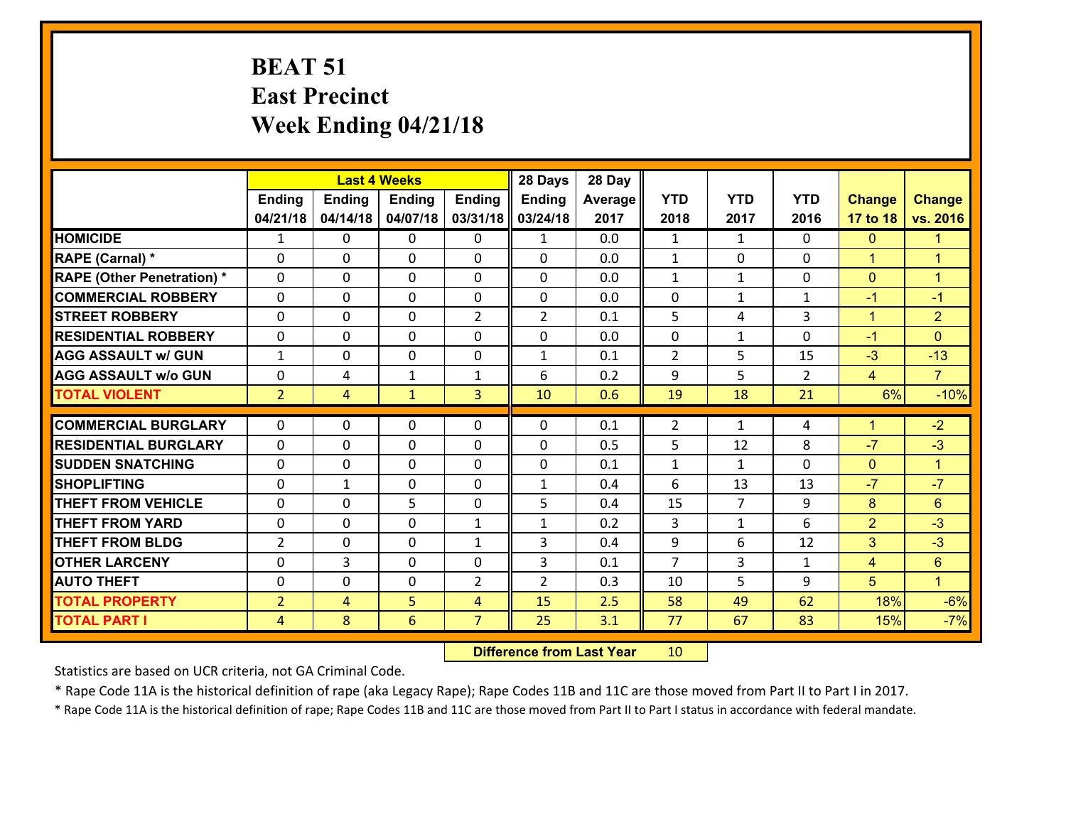# **BEAT 51 East Precinct Week Ending 04/21/18**

|                                   | <b>Last 4 Weeks</b> |                |               |                | 28 Days        | 28 Day  |                |                      |                |                      |                      |
|-----------------------------------|---------------------|----------------|---------------|----------------|----------------|---------|----------------|----------------------|----------------|----------------------|----------------------|
|                                   | <b>Ending</b>       | <b>Ending</b>  | <b>Ending</b> | <b>Ending</b>  | <b>Ending</b>  | Average | <b>YTD</b>     | <b>YTD</b>           | <b>YTD</b>     | <b>Change</b>        | <b>Change</b>        |
|                                   | 04/21/18            | 04/14/18       | 04/07/18      | 03/31/18       | 03/24/18       | 2017    | 2018           | 2017                 | 2016           | 17 to 18             | vs. 2016             |
| <b>HOMICIDE</b>                   | $\mathbf{1}$        | 0              | $\Omega$      | $\Omega$       | $\mathbf{1}$   | 0.0     | 1              | $\mathbf{1}$         | 0              | $\mathbf{0}$         | -1                   |
| RAPE (Carnal) *                   | 0                   | 0              | $\mathbf{0}$  | 0              | $\Omega$       | 0.0     | $\mathbf{1}$   | 0                    | $\Omega$       | $\mathbf{1}$         | $\blacktriangleleft$ |
| <b>RAPE (Other Penetration) *</b> | $\Omega$            | 0              | $\mathbf{0}$  | $\Omega$       | $\Omega$       | 0.0     | $\mathbf{1}$   | $\mathbf{1}$         | $\Omega$       | $\mathbf{0}$         | $\overline{1}$       |
| <b>COMMERCIAL ROBBERY</b>         | 0                   | 0              | $\mathbf 0$   | 0              | 0              | 0.0     | $\mathbf{0}$   | $\mathbf{1}$         | $\mathbf{1}$   | $-1$                 | $-1$                 |
| <b>STREET ROBBERY</b>             | $\Omega$            | 0              | $\mathbf 0$   | $\overline{2}$ | $\overline{2}$ | 0.1     | 5              | 4                    | 3              | $\mathbf{1}$         | $\overline{2}$       |
| <b>RESIDENTIAL ROBBERY</b>        | $\Omega$            | 0              | $\mathbf 0$   | $\Omega$       | 0              | 0.0     | $\mathbf 0$    | $\mathbf{1}$         | $\Omega$       | $-1$                 | $\Omega$             |
| <b>AGG ASSAULT w/ GUN</b>         | $\mathbf{1}$        | 0              | $\mathbf 0$   | 0              | $\mathbf{1}$   | 0.1     | $\overline{2}$ | 5                    | 15             | $-3$                 | $-13$                |
| <b>AGG ASSAULT w/o GUN</b>        | 0                   | 4              | $\mathbf{1}$  | $\mathbf{1}$   | 6              | 0.2     | 9              | 5                    | $\overline{2}$ | $\overline{4}$       | $\overline{7}$       |
| <b>TOTAL VIOLENT</b>              | 2 <sup>1</sup>      | $\overline{4}$ | $\mathbf{1}$  | 3              | 10             | 0.6     | 19             | 18                   | 21             | 6%                   | $-10%$               |
| <b>COMMERCIAL BURGLARY</b>        | $\Omega$            | 0              | $\mathbf{0}$  | $\Omega$       | $\Omega$       | 0.1     | $\overline{2}$ | $\mathbf{1}$         | 4              | $\mathbf{1}$         | $-2$                 |
|                                   |                     |                |               |                |                |         |                |                      |                | $-7$                 | $-3$                 |
| <b>RESIDENTIAL BURGLARY</b>       | 0                   | 0              | $\mathbf 0$   | 0              | 0              | 0.5     | 5              | 12                   | 8              |                      |                      |
| <b>SUDDEN SNATCHING</b>           | 0                   | 0              | $\mathbf 0$   | 0              | 0              | 0.1     | $\mathbf{1}$   | $\mathbf{1}$         | 0              | $\mathbf{0}$<br>$-7$ | $\mathbf{1}$<br>$-7$ |
| <b>SHOPLIFTING</b>                | 0                   | $\mathbf{1}$   | $\mathbf 0$   | 0              | $\mathbf{1}$   | 0.4     | 6              | 13<br>$\overline{7}$ | 13             |                      |                      |
| <b>THEFT FROM VEHICLE</b>         | $\Omega$            | 0              | 5             | 0              | 5              | 0.4     | 15             |                      | 9              | 8                    | $6\phantom{a}$       |
| <b>THEFT FROM YARD</b>            | 0                   | 0              | $\mathbf 0$   | $\mathbf{1}$   | $\mathbf{1}$   | 0.2     | 3              | $\mathbf{1}$         | 6              | $\overline{2}$       | $-3$                 |
| <b>THEFT FROM BLDG</b>            | $\overline{2}$      | 0              | $\mathbf 0$   | $\mathbf{1}$   | 3              | 0.4     | 9              | 6                    | 12             | 3                    | $-3$                 |
| <b>OTHER LARCENY</b>              | 0                   | 3              | $\mathbf 0$   | 0              | 3              | 0.1     | $\overline{7}$ | $\overline{3}$       | $\mathbf{1}$   | $\overline{4}$       | $6\phantom{a}$       |
| <b>AUTO THEFT</b>                 | 0                   | 0              | $\mathbf{0}$  | 2              | $\overline{2}$ | 0.3     | 10             | 5                    | 9              | 5                    | $\blacktriangleleft$ |
| <b>TOTAL PROPERTY</b>             | $\overline{2}$      | 4              | 5             | 4              | 15             | 2.5     | 58             | 49                   | 62             | 18%                  | $-6%$                |
| <b>TOTAL PART I</b>               | $\overline{4}$      | 8              | 6             | $\overline{7}$ | 25             | 3.1     | 77             | 67                   | 83             | 15%                  | $-7%$                |

 **Difference from Last Year**r 10

Statistics are based on UCR criteria, not GA Criminal Code.

\* Rape Code 11A is the historical definition of rape (aka Legacy Rape); Rape Codes 11B and 11C are those moved from Part II to Part I in 2017.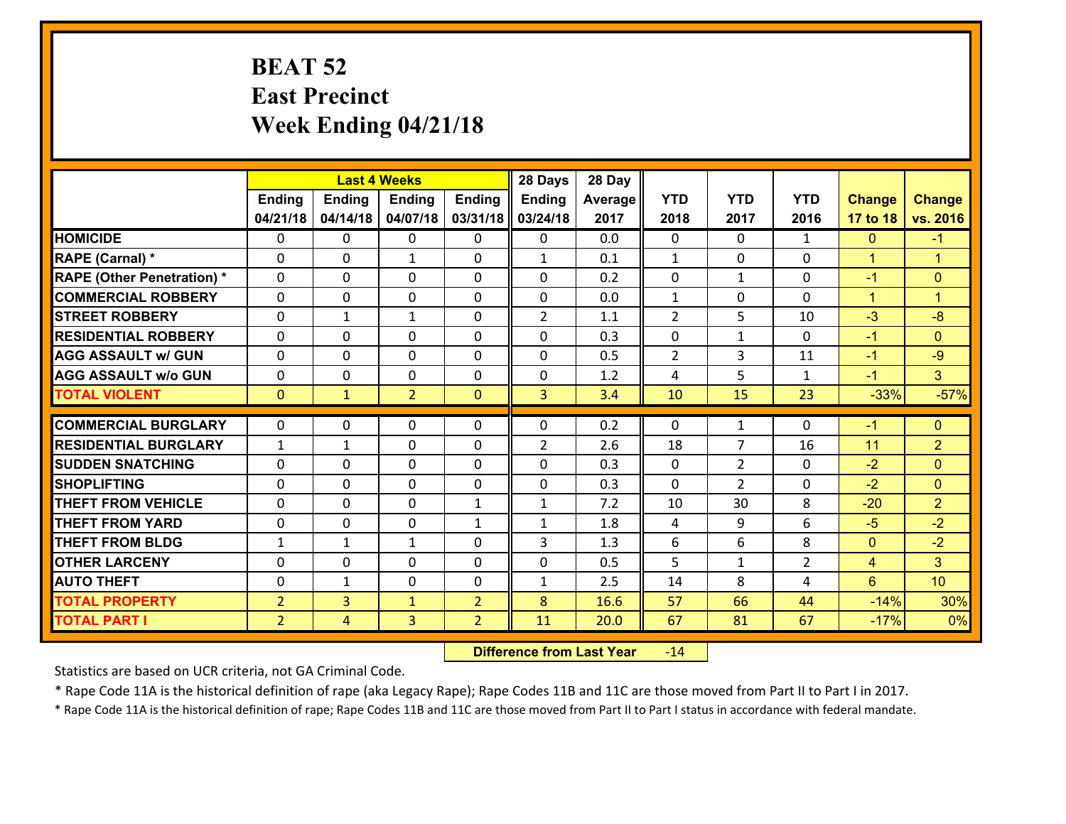## **BEAT 52 East Precinct Week Ending 04/21/18**

|                                              |                                  | <b>Last 4 Weeks</b> |                   |                                  |                | 28 Day       |                |                |                     |                      |                      |
|----------------------------------------------|----------------------------------|---------------------|-------------------|----------------------------------|----------------|--------------|----------------|----------------|---------------------|----------------------|----------------------|
|                                              | Ending                           | <b>Ending</b>       | <b>Ending</b>     | <b>Ending</b>                    | <b>Ending</b>  | Average      | <b>YTD</b>     | <b>YTD</b>     | <b>YTD</b>          | <b>Change</b>        | <b>Change</b>        |
|                                              | 04/21/18                         | 04/14/18            | 04/07/18          | 03/31/18                         | 03/24/18       | 2017         | 2018           | 2017           | 2016                | 17 to 18             | vs. 2016             |
| <b>HOMICIDE</b>                              | 0                                | 0                   | 0                 | 0                                | 0              | 0.0          | $\mathbf{0}$   | $\Omega$       | $\mathbf{1}$        | $\mathbf{0}$         | $-1$                 |
| RAPE (Carnal) *                              | 0                                | 0                   | 1                 | 0                                | $\mathbf{1}$   | 0.1          | 1              | $\mathbf{0}$   | 0                   | $\blacktriangleleft$ | $\blacktriangleleft$ |
| <b>RAPE (Other Penetration) *</b>            | $\Omega$                         | 0                   | $\mathbf{0}$      | $\Omega$                         | $\Omega$       | 0.2          | $\Omega$       | $\mathbf{1}$   | 0                   | $-1$                 | $\mathbf{0}$         |
| <b>COMMERCIAL ROBBERY</b>                    | $\Omega$                         | $\Omega$            | $\mathbf 0$       | $\Omega$                         | 0              | 0.0          | $\mathbf{1}$   | 0              | $\Omega$            | $\blacktriangleleft$ | $\blacktriangleleft$ |
| <b>ISTREET ROBBERY</b>                       | 0                                | $\mathbf{1}$        | $\mathbf{1}$      | 0                                | $\overline{2}$ | 1.1          | 2              | 5              | 10                  | $-3$                 | $-8$                 |
| <b>RESIDENTIAL ROBBERY</b>                   | $\mathbf{0}$                     | 0                   | $\mathbf 0$       | 0                                | 0              | 0.3          | $\mathbf{0}$   | $\mathbf{1}$   | $\Omega$            | $-1$                 | $\Omega$             |
| <b>AGG ASSAULT w/ GUN</b>                    | 0                                | 0                   | $\mathbf 0$       | 0                                | 0              | 0.5          | $\overline{2}$ | 3              | 11                  | $-1$                 | $-9$                 |
| <b>AGG ASSAULT W/o GUN</b>                   | 0                                | 0                   | $\mathbf 0$       | $\mathbf{0}$                     | $\mathbf 0$    | 1.2          | 4              | 5              | $\mathbf{1}$        | $-1$                 | 3 <sup>1</sup>       |
| <b>TOTAL VIOLENT</b>                         | $\mathbf{0}$                     | $\mathbf{1}$        | $\overline{2}$    | $\mathbf{0}$                     | 3              | 3.4          | 10             | 15             | 23                  | $-33%$               | $-57%$               |
|                                              |                                  |                     |                   |                                  |                |              |                |                |                     |                      |                      |
|                                              |                                  |                     |                   |                                  |                |              |                |                |                     |                      |                      |
| <b>COMMERCIAL BURGLARY</b>                   | $\mathbf{0}$                     | 0                   | $\mathbf{0}$      | 0                                | $\Omega$       | 0.2          | $\mathbf{0}$   | $\mathbf{1}$   | 0                   | $-1$                 | $\mathbf{0}$         |
| <b>RESIDENTIAL BURGLARY</b>                  | $\mathbf{1}$                     | 1                   | $\mathbf{0}$      | 0                                | $\overline{2}$ | 2.6          | 18             | 7              | 16                  | 11                   | $\overline{2}$       |
| <b>SUDDEN SNATCHING</b>                      | $\Omega$                         | 0                   | $\mathbf 0$       | $\Omega$                         | $\Omega$       | 0.3          | $\Omega$       | $\mathcal{L}$  | 0                   | $-2$                 | $\Omega$             |
| <b>SHOPLIFTING</b>                           | $\Omega$                         | 0                   | $\mathbf{0}$      | $\Omega$                         | $\Omega$       | 0.3          | $\Omega$       | $\overline{2}$ | 0                   | $-2$                 | $\Omega$             |
| <b>THEFT FROM VEHICLE</b>                    | $\mathbf{0}$                     | 0                   | 0                 | 1                                | $\mathbf{1}$   | 7.2          | 10             | 30             | 8                   | $-20$                | $\overline{2}$       |
| <b>THEFT FROM YARD</b>                       | 0                                | 0                   | $\mathbf 0$       | $\mathbf{1}$                     | $\mathbf{1}$   | 1.8          | 4              | 9              | 6                   | $-5$                 | $-2$                 |
| <b>THEFT FROM BLDG</b>                       | $\mathbf{1}$                     | $\mathbf{1}$        | $\mathbf{1}$      | 0                                | 3              | 1.3          | 6              | 6              | 8                   | $\mathbf{0}$         | $-2$                 |
| <b>OTHER LARCENY</b>                         | 0<br>$\mathbf{0}$                | 0                   | $\mathbf 0$       | 0<br>0                           | 0              | 0.5          | 5              | $\mathbf{1}$   | $\overline{2}$<br>4 | $\overline{4}$       | 3 <sup>1</sup>       |
| <b>AUTO THEFT</b>                            |                                  | 1                   | 0                 |                                  | $\mathbf{1}$   | 2.5          | 14             | 8              | 44                  | 6                    | 10                   |
| <b>TOTAL PROPERTY</b><br><b>TOTAL PART I</b> | $\overline{2}$<br>$\overline{2}$ | 3<br>$\overline{4}$ | $\mathbf{1}$<br>3 | $\overline{2}$<br>$\overline{2}$ | 8<br>11        | 16.6<br>20.0 | 57<br>67       | 66<br>81       | 67                  | $-14%$<br>$-17%$     | 30%<br>0%            |

 **Difference from Last Year**r -14

Statistics are based on UCR criteria, not GA Criminal Code.

\* Rape Code 11A is the historical definition of rape (aka Legacy Rape); Rape Codes 11B and 11C are those moved from Part II to Part I in 2017.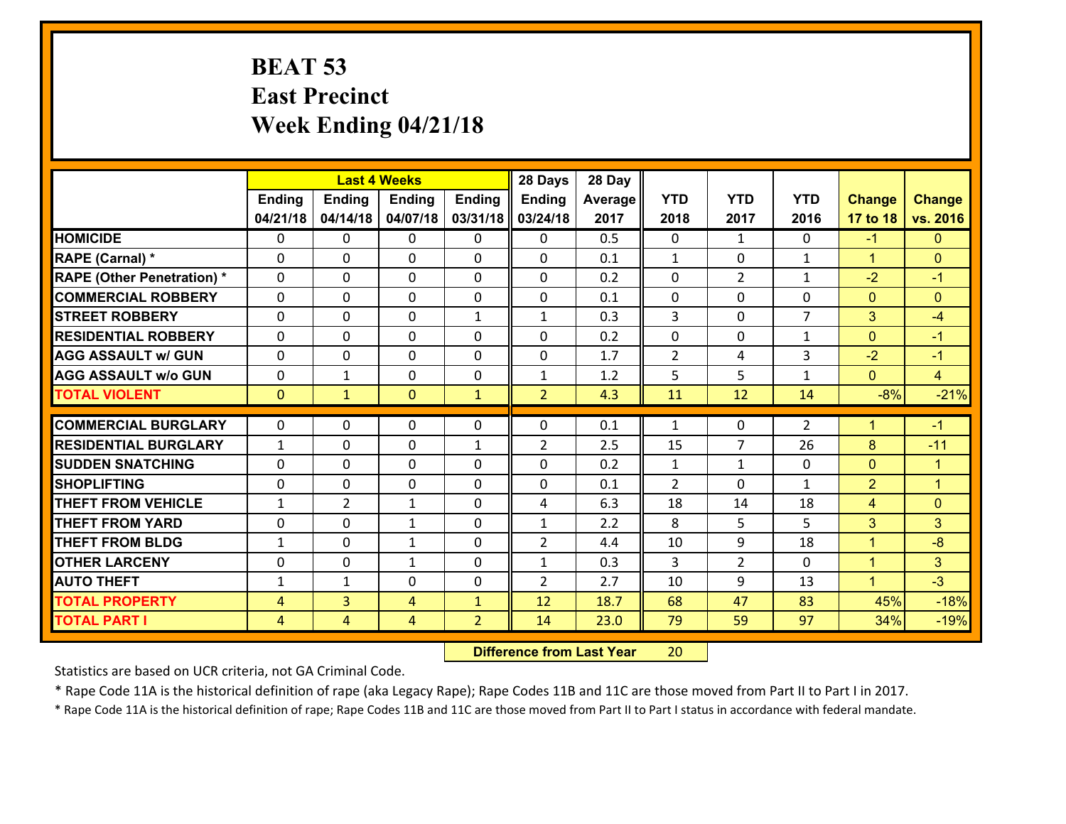## **BEAT 53 East Precinct Week Ending 04/21/18**

|                                               |                | <b>Last 4 Weeks</b> |                              |                | 28 Days                        | 28 Day         |                                |                          |                   |                                |                      |
|-----------------------------------------------|----------------|---------------------|------------------------------|----------------|--------------------------------|----------------|--------------------------------|--------------------------|-------------------|--------------------------------|----------------------|
|                                               | Ending         | <b>Ending</b>       | <b>Ending</b>                | Ending         | Ending                         | <b>Average</b> | <b>YTD</b>                     | <b>YTD</b>               | <b>YTD</b>        | <b>Change</b>                  | <b>Change</b>        |
|                                               | 04/21/18       | 04/14/18            | 04/07/18                     | 03/31/18       | 03/24/18                       | 2017           | 2018                           | 2017                     | 2016              | 17 to 18                       | vs. 2016             |
| <b>HOMICIDE</b>                               | $\Omega$       | 0                   | $\mathbf{0}$                 | $\Omega$       | 0                              | 0.5            | $\Omega$                       | $\mathbf{1}$             | 0                 | $-1$                           | $\Omega$             |
| RAPE (Carnal) *                               | $\Omega$       | 0                   | $\Omega$                     | $\Omega$       | $\Omega$                       | 0.1            | $\mathbf{1}$                   | 0                        | $\mathbf{1}$      | $\mathbf{1}$                   | $\Omega$             |
| <b>RAPE (Other Penetration) *</b>             | $\Omega$       | 0                   | 0                            | 0              | 0                              | 0.2            | $\mathbf 0$                    | $\overline{2}$           | $\mathbf{1}$      | $-2$                           | $-1$                 |
| <b>COMMERCIAL ROBBERY</b>                     | 0              | 0                   | 0                            | 0              | 0                              | 0.1            | $\mathbf{0}$                   | $\Omega$                 | 0                 | $\mathbf{0}$                   | $\mathbf{0}$         |
| <b>STREET ROBBERY</b>                         | $\Omega$       | 0                   | 0                            | $\mathbf{1}$   | $\mathbf{1}$                   | 0.3            | $\overline{3}$                 | $\Omega$                 | $\overline{7}$    | 3                              | $-4$                 |
| <b>RESIDENTIAL ROBBERY</b>                    | 0              | 0                   | 0                            | 0              | 0                              | 0.2            | 0                              | 0                        | $\mathbf{1}$      | $\overline{0}$                 | $-1$                 |
| <b>AGG ASSAULT w/ GUN</b>                     | 0              | 0                   | $\mathbf 0$                  | 0              | 0                              | 1.7            | $\overline{2}$                 | 4                        | 3                 | $-2$                           | $-1$                 |
| <b>AGG ASSAULT W/o GUN</b>                    | 0              | 1                   | 0                            | 0              | $\mathbf{1}$                   | 1.2            | 5                              | 5                        | $\mathbf{1}$      | $\mathbf{0}$                   | $\overline{4}$       |
| <b>TOTAL VIOLENT</b>                          | $\overline{0}$ | $\mathbf{1}$        | $\mathbf{0}$                 | $\mathbf{1}$   | $\overline{2}$                 | 4.3            | 11                             | 12                       | 14                | $-8%$                          | $-21%$               |
| <b>COMMERCIAL BURGLARY</b>                    | $\Omega$       | 0                   | 0                            | $\mathbf{0}$   | $\Omega$                       | 0.1            | $\mathbf{1}$                   | $\Omega$                 | 2                 | $\mathbf{1}$                   | $-1$                 |
| <b>RESIDENTIAL BURGLARY</b>                   | $\mathbf{1}$   | 0                   | 0                            | $\mathbf{1}$   | $\overline{2}$                 | 2.5            | 15                             | $\overline{7}$           | 26                | 8                              | $-11$                |
|                                               | $\Omega$       | 0                   |                              | $\Omega$       |                                |                |                                |                          |                   |                                | $\blacktriangleleft$ |
| <b>SUDDEN SNATCHING</b><br><b>SHOPLIFTING</b> | $\Omega$       | $\Omega$            | $\mathbf{0}$<br>$\mathbf{0}$ | $\Omega$       | $\Omega$<br>$\Omega$           | 0.2<br>0.1     | $\mathbf{1}$<br>$\overline{2}$ | $\mathbf{1}$<br>$\Omega$ | 0<br>$\mathbf{1}$ | $\mathbf{0}$<br>$\overline{2}$ | $\blacktriangleleft$ |
| <b>THEFT FROM VEHICLE</b>                     | 1              | $\overline{2}$      | $\mathbf{1}$                 | 0              | 4                              | 6.3            | 18                             | 14                       | 18                | $\overline{4}$                 | $\overline{0}$       |
| <b>THEFT FROM YARD</b>                        | 0              |                     |                              | 0              |                                | 2.2            | 8                              | 5                        | 5                 | 3                              | 3 <sup>1</sup>       |
| <b>THEFT FROM BLDG</b>                        | $\mathbf{1}$   | 0<br>0              | $\mathbf{1}$<br>$\mathbf{1}$ | 0              | $\mathbf{1}$<br>$\overline{2}$ | 4.4            | 10                             | 9                        | 18                | $\mathbf{1}$                   | $-8$                 |
|                                               |                |                     |                              |                |                                |                |                                |                          |                   |                                |                      |
| <b>OTHER LARCENY</b>                          | 0              | 0                   | $\mathbf{1}$                 | 0              | $\mathbf{1}$                   | 0.3            | 3                              | $\overline{2}$           | 0                 | $\mathbf{1}$                   | 3 <sup>1</sup>       |
| <b>AUTO THEFT</b>                             | $\mathbf{1}$   | $\mathbf{1}$        | 0                            | 0              | $\overline{2}$                 | 2.7            | 10                             | 9                        | 13                | $\mathbf{1}$                   | $-3$                 |
| <b>TOTAL PROPERTY</b>                         | $\overline{4}$ | $\overline{3}$      | 4                            | $\mathbf{1}$   | 12                             | 18.7           | 68                             | 47                       | 83                | 45%                            | $-18%$               |
| <b>TOTAL PART I</b>                           | $\overline{4}$ | $\overline{4}$      | 4                            | $\overline{2}$ | 14                             | 23.0           | 79                             | 59                       | 97                | 34%                            | $-19%$               |

 **Difference from Last Year**r 20

Statistics are based on UCR criteria, not GA Criminal Code.

\* Rape Code 11A is the historical definition of rape (aka Legacy Rape); Rape Codes 11B and 11C are those moved from Part II to Part I in 2017.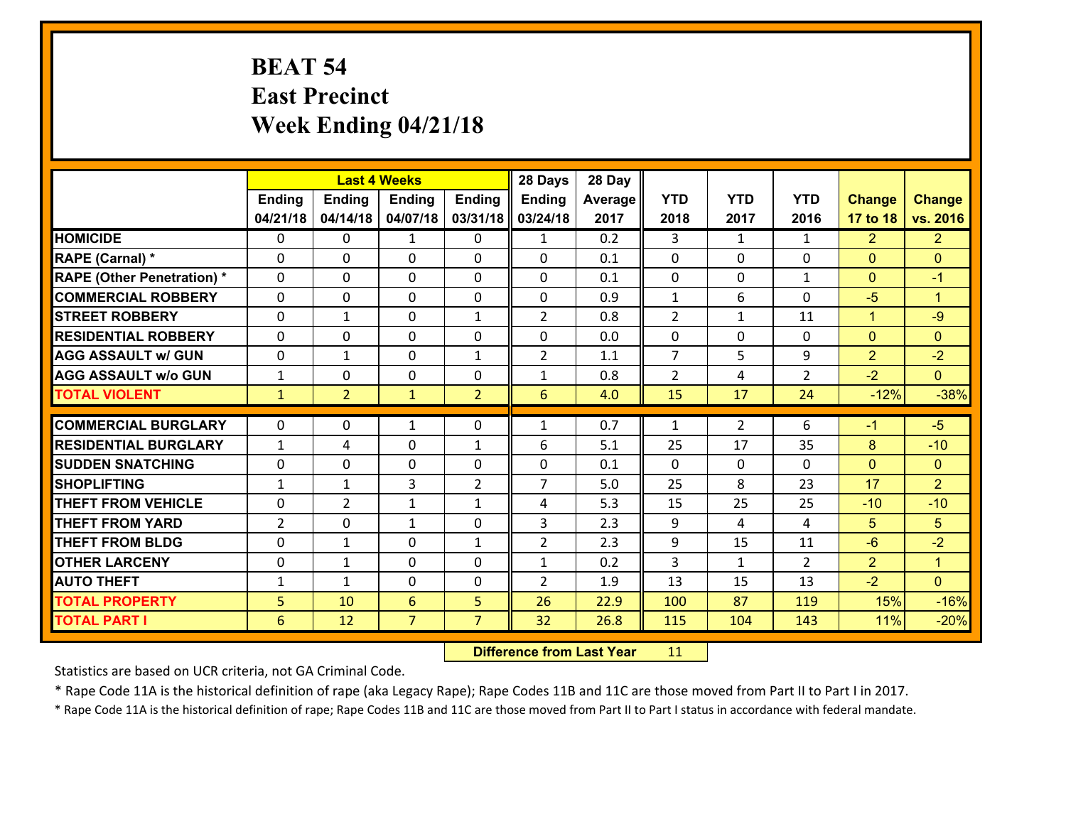# **BEAT 54 East Precinct Week Ending 04/21/18**

|                                   |                | <b>Last 4 Weeks</b> |                |                |                | 28 Day  |                |                |                |                |                      |
|-----------------------------------|----------------|---------------------|----------------|----------------|----------------|---------|----------------|----------------|----------------|----------------|----------------------|
|                                   | Ending         | <b>Ending</b>       | <b>Ending</b>  | <b>Ending</b>  | <b>Ending</b>  | Average | <b>YTD</b>     | <b>YTD</b>     | <b>YTD</b>     | <b>Change</b>  | <b>Change</b>        |
|                                   | 04/21/18       | 04/14/18            | 04/07/18       | 03/31/18       | 03/24/18       | 2017    | 2018           | 2017           | 2016           | 17 to 18       | vs. 2016             |
| <b>HOMICIDE</b>                   | $\Omega$       | 0                   | 1              | $\Omega$       | 1              | 0.2     | 3              | $\mathbf{1}$   | $\mathbf{1}$   | $\overline{2}$ | $\overline{2}$       |
| RAPE (Carnal) *                   | $\mathbf{0}$   | 0                   | $\mathbf{0}$   | 0              | $\Omega$       | 0.1     | $\mathbf{0}$   | $\mathbf{0}$   | 0              | $\mathbf{0}$   | $\mathbf{0}$         |
| <b>RAPE (Other Penetration) *</b> | $\Omega$       | 0                   | $\mathbf{0}$   | $\Omega$       | $\Omega$       | 0.1     | $\mathbf{0}$   | 0              | $\mathbf{1}$   | $\mathbf{0}$   | $-1$                 |
| <b>COMMERCIAL ROBBERY</b>         | $\mathbf{0}$   | 0                   | 0              | 0              | $\Omega$       | 0.9     | $\mathbf{1}$   | 6              | 0              | $-5$           | $\blacktriangleleft$ |
| <b>STREET ROBBERY</b>             | 0              | $\mathbf{1}$        | $\mathbf 0$    | $\mathbf{1}$   | $\overline{2}$ | 0.8     | $\overline{2}$ | $\mathbf{1}$   | 11             | $\mathbf{1}$   | $-9$                 |
| <b>RESIDENTIAL ROBBERY</b>        | $\Omega$       | $\Omega$            | $\mathbf 0$    | $\Omega$       | 0              | 0.0     | 0              | $\Omega$       | 0              | $\mathbf{0}$   | $\Omega$             |
| <b>AGG ASSAULT w/ GUN</b>         | 0              | $\mathbf{1}$        | $\mathbf 0$    | $\mathbf{1}$   | $\overline{2}$ | 1.1     | $\overline{7}$ | 5              | 9              | $\overline{2}$ | $-2$                 |
| <b>AGG ASSAULT w/o GUN</b>        | $\mathbf{1}$   | 0                   | $\mathbf 0$    | 0              | $\mathbf{1}$   | 0.8     | $\overline{2}$ | 4              | $\overline{2}$ | $-2$           | $\overline{0}$       |
| <b>TOTAL VIOLENT</b>              | $\mathbf{1}$   | $\overline{2}$      | $\mathbf{1}$   | $\overline{2}$ | 6              | 4.0     | 15             | 17             | 24             | $-12%$         | $-38%$               |
| <b>COMMERCIAL BURGLARY</b>        | $\Omega$       | 0                   | 1              | $\Omega$       | $\mathbf{1}$   | 0.7     | $\mathbf{1}$   | $\overline{2}$ | 6              | $-1$           | $-5$                 |
| <b>RESIDENTIAL BURGLARY</b>       | $\mathbf{1}$   | 4                   | 0              | $\mathbf{1}$   | 6              | 5.1     | 25             | 17             | 35             | 8              | $-10$                |
| <b>SUDDEN SNATCHING</b>           | 0              | 0                   | $\mathbf 0$    | 0              | 0              | 0.1     | 0              | 0              | 0              | $\mathbf{0}$   | $\overline{0}$       |
| <b>SHOPLIFTING</b>                | $\mathbf{1}$   | 1                   | 3              | $\overline{2}$ | $\overline{7}$ | 5.0     | 25             | 8              | 23             | 17             | $\overline{2}$       |
| <b>THEFT FROM VEHICLE</b>         | 0              | $\overline{2}$      | 1              | $\mathbf{1}$   | 4              | 5.3     | 15             | 25             | 25             | $-10$          | $-10$                |
| <b>THEFT FROM YARD</b>            | $\overline{2}$ | 0                   | $\mathbf{1}$   | 0              | 3              | 2.3     | 9              | 4              | 4              | 5              | 5                    |
| <b>THEFT FROM BLDG</b>            | 0              | $\mathbf{1}$        | $\mathbf 0$    | $\mathbf{1}$   | $\overline{2}$ | 2.3     | 9              | 15             | 11             | $-6$           | $-2$                 |
| <b>OTHER LARCENY</b>              | 0              | $\mathbf{1}$        | $\mathbf 0$    | 0              | $\mathbf{1}$   | 0.2     | $\overline{3}$ | $\mathbf{1}$   | $\overline{2}$ | $\overline{2}$ | $\mathbf{1}$         |
| <b>AUTO THEFT</b>                 | $\mathbf{1}$   | $\mathbf{1}$        | $\mathbf{0}$   | 0              | $\overline{2}$ | 1.9     | 13             | 15             | 13             | $-2$           | $\overline{0}$       |
| <b>TOTAL PROPERTY</b>             | 5              | 10                  | 6              | 5              | 26             | 22.9    | 100            | 87             | 119            | 15%            | $-16%$               |
| <b>TOTAL PART I</b>               | 6              | 12                  | $\overline{7}$ | $\overline{7}$ | 32             | 26.8    | 115            | 104            | 143            | 11%            | $-20%$               |

 **Difference from Last Year**r 11

Statistics are based on UCR criteria, not GA Criminal Code.

\* Rape Code 11A is the historical definition of rape (aka Legacy Rape); Rape Codes 11B and 11C are those moved from Part II to Part I in 2017.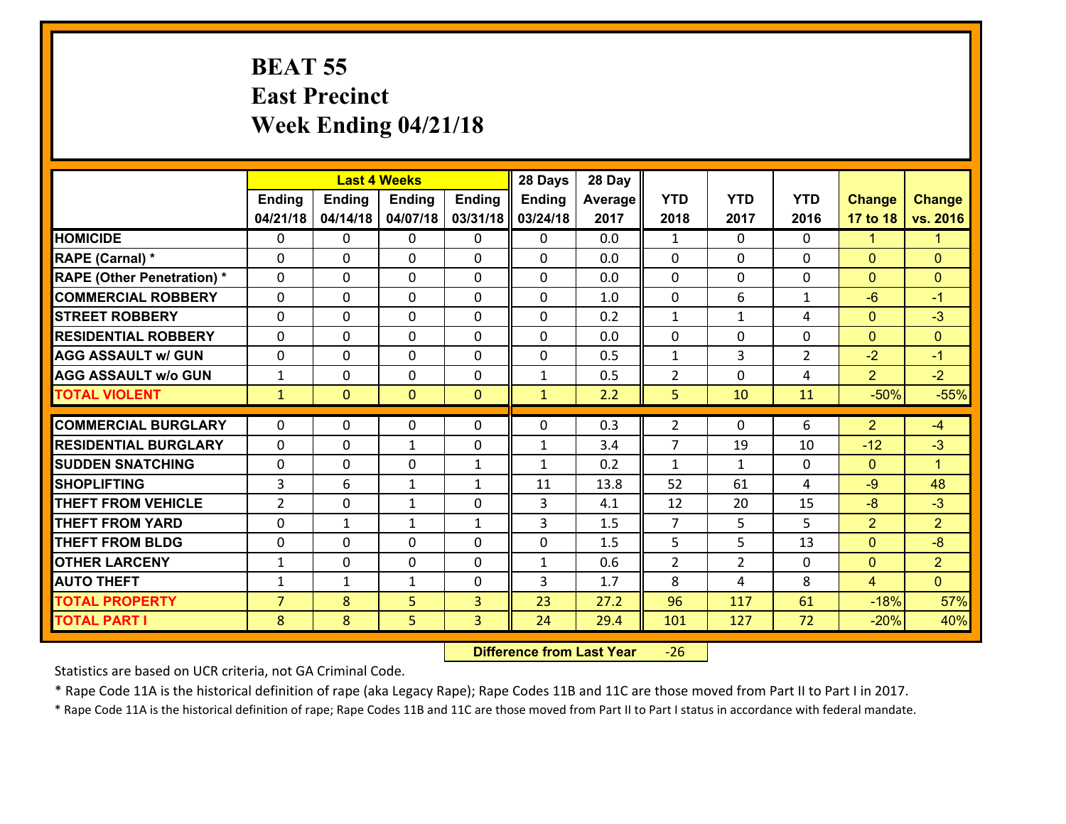### **BEAT 55 East Precinct Week Ending 04/21/18**

|                                   | <b>Last 4 Weeks</b> |                |               |               | 28 Days       | 28 Day  |                |                |                |                |                      |
|-----------------------------------|---------------------|----------------|---------------|---------------|---------------|---------|----------------|----------------|----------------|----------------|----------------------|
|                                   | <b>Ending</b>       | <b>Ending</b>  | <b>Ending</b> | <b>Ending</b> | <b>Ending</b> | Average | <b>YTD</b>     | <b>YTD</b>     | <b>YTD</b>     | <b>Change</b>  | <b>Change</b>        |
|                                   | 04/21/18            | 04/14/18       | 04/07/18      | 03/31/18      | 03/24/18      | 2017    | 2018           | 2017           | 2016           | 17 to 18       | vs. 2016             |
| <b>HOMICIDE</b>                   | $\Omega$            | 0              | $\Omega$      | $\Omega$      | $\Omega$      | 0.0     | $\mathbf{1}$   | $\Omega$       | $\Omega$       | $\mathbf{1}$   | $\mathbf{1}$         |
| RAPE (Carnal) *                   | 0                   | 0              | $\mathbf{0}$  | 0             | $\Omega$      | 0.0     | $\mathbf{0}$   | 0              | $\Omega$       | $\mathbf{0}$   | $\mathbf{0}$         |
| <b>RAPE (Other Penetration) *</b> | $\Omega$            | 0              | $\mathbf{0}$  | $\Omega$      | $\Omega$      | 0.0     | $\Omega$       | $\Omega$       | $\Omega$       | $\mathbf{0}$   | $\mathbf{0}$         |
| <b>COMMERCIAL ROBBERY</b>         | 0                   | 0              | 0             | 0             | $\Omega$      | 1.0     | $\mathbf{0}$   | 6              | $\mathbf{1}$   | $-6$           | $-1$                 |
| <b>STREET ROBBERY</b>             | $\Omega$            | 0              | $\mathbf 0$   | 0             | 0             | 0.2     | $\mathbf{1}$   | $\mathbf{1}$   | 4              | $\mathbf{0}$   | $-3$                 |
| <b>RESIDENTIAL ROBBERY</b>        | $\Omega$            | $\Omega$       | $\mathbf 0$   | $\Omega$      | 0             | 0.0     | $\mathbf 0$    | $\Omega$       | $\Omega$       | $\mathbf{0}$   | $\mathbf{0}$         |
| <b>AGG ASSAULT w/ GUN</b>         | 0                   | 0              | $\mathbf 0$   | $\Omega$      | 0             | 0.5     | $\mathbf 1$    | 3              | $\overline{2}$ | $-2$           | $-1$                 |
| <b>AGG ASSAULT w/o GUN</b>        | $\mathbf{1}$        | 0              | $\mathbf 0$   | 0             | $\mathbf{1}$  | 0.5     | $\overline{2}$ | $\mathbf 0$    | 4              | $\overline{2}$ | $-2$                 |
| <b>TOTAL VIOLENT</b>              | $\mathbf{1}$        | $\overline{0}$ | $\mathbf{O}$  | $\mathbf{0}$  | $\mathbf{1}$  | 2.2     | 5              | 10             | 11             | $-50%$         | $-55%$               |
| <b>COMMERCIAL BURGLARY</b>        | $\Omega$            | 0              | $\mathbf{0}$  | $\Omega$      | $\Omega$      | 0.3     | $\overline{2}$ | $\Omega$       | 6              | $\overline{2}$ | $-4$                 |
|                                   |                     |                |               |               |               |         |                |                |                |                |                      |
| <b>RESIDENTIAL BURGLARY</b>       | 0                   | 0              | $\mathbf{1}$  | 0             | $\mathbf{1}$  | 3.4     | $\overline{7}$ | 19             | 10             | $-12$          | $-3$                 |
| <b>SUDDEN SNATCHING</b>           | 0                   | 0              | $\mathbf 0$   | $\mathbf{1}$  | $\mathbf{1}$  | 0.2     | $\mathbf{1}$   | $\mathbf{1}$   | $\Omega$       | $\mathbf{0}$   | $\blacktriangleleft$ |
| <b>SHOPLIFTING</b>                | 3                   | 6              | 1             | $\mathbf{1}$  | 11            | 13.8    | 52             | 61             | 4              | $-9$           | 48                   |
| <b>THEFT FROM VEHICLE</b>         | $\overline{2}$      | 0              | 1             | 0             | 3             | 4.1     | 12             | 20             | 15             | $-8$           | $-3$                 |
| <b>THEFT FROM YARD</b>            | 0                   | $\mathbf{1}$   | 1             | $\mathbf{1}$  | 3             | 1.5     | $\overline{7}$ | 5              | 5              | $\overline{2}$ | $\overline{2}$       |
| <b>THEFT FROM BLDG</b>            | 0                   | 0              | $\mathbf 0$   | 0             | 0             | 1.5     | 5              | 5              | 13             | $\mathbf{0}$   | $-8$                 |
| <b>OTHER LARCENY</b>              | $\mathbf{1}$        | 0              | $\mathbf 0$   | 0             | $\mathbf{1}$  | 0.6     | $\overline{2}$ | $\overline{2}$ | 0              | $\mathbf{0}$   | $\overline{2}$       |
| <b>AUTO THEFT</b>                 | $\mathbf{1}$        | 1              | $\mathbf{1}$  | 0             | 3             | 1.7     | 8              | 4              | 8              | $\overline{4}$ | $\overline{0}$       |
| <b>TOTAL PROPERTY</b>             | $\overline{7}$      | 8              | 5             | 3             | 23            | 27.2    | 96             | 117            | 61             | $-18%$         | 57%                  |
| <b>TOTAL PART I</b>               | 8                   | 8              | 5             | 3             | 24            | 29.4    | 101            | 127            | 72             | $-20%$         | 40%                  |

 **Difference from Last Year**‐26

Statistics are based on UCR criteria, not GA Criminal Code.

\* Rape Code 11A is the historical definition of rape (aka Legacy Rape); Rape Codes 11B and 11C are those moved from Part II to Part I in 2017.